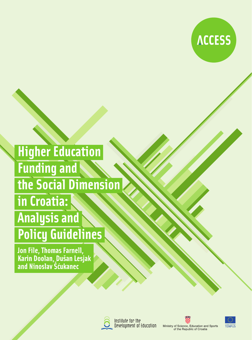

# **Higher Education Funding and** the Social Dimension in Croatia: **Analysis and Policy Guidelines**

Jon File, Thomas Farnell,<br>Karin Doolan, Dušan Lesjak<br>and Ninoslav Šćukanec



Institute for the<br>Development of Education





**TEMPUS**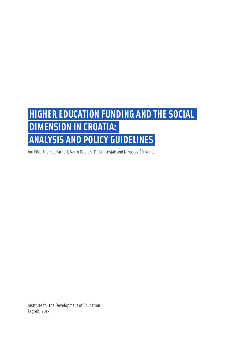# **HIGHER EDUCATION FUNDING AND THE SOCIAL DIMENSION IN CROATIA: ANALYSIS AND POLICY GUIDELINES**

Jon File, Thomas Farnell, Karin Doolan, Dušan Lesjak and Ninoslav Šćukanec

Institute for the Development of Education Zagreb, 2013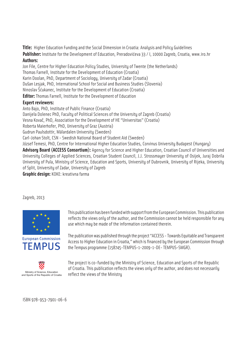**Title:** Higher Education Funding and the Social Dimension in Croatia: Analysis and Policu Guidelines

**Publisher:** Institute for the Development of Education, Preradovićeva 33 / I, 10000 Zagreb, Croatia, www.iro.hr **Authors:** 

Jon File, Centre for Higher Education Policy Studies, University of Twente (the Netherlands) Thomas Farnell, Institute for the Development of Education (Croatia) Karin Doolan, PhD, Department of Sociology, University of Zadar (Croatia) Dušan Lesjak, PhD, International School for Social and Business Studies (Slovenia) Ninoslav Šćukanec, Institute for the Development of Education (Croatia) **Editor:** Thomas Farnell, Institute for the Development of Education

# **Expert reviewers:**

Anto Bajo, PhD, Institute of Public Finance (Croatia)

Danijela Dolenec PhD, Facultu of Political Sciences of the Universitu of Zagreb (Croatia)

Vesna Kovač, PhD, Association for the Development of HE "Universitas" (Croatia)

Roberta Maierhofer, PhD, University of Graz (Austria)

Gudrun Paulsdottir, Mälardalen University (Sweden)

Carl-Johan Stolt, CSN - Swedish National Board of Student Aid (Sweden)

József Temesi, PhD, Centre for International Higher Education Studies, Corvinus University Budapest (Hungary)

**Advisory Board (ACCESS Consortium):** Agency for Science and Higher Education, Croatian Council of Universities and University Colleges of Applied Sciences, Croatian Student Council, J.J. Strossmayer University of Osijek, Juraj Dobrila University of Pula, Ministry of Science, Education and Sports, University of Dubrovnik, University of Rijeka, University of Split, University of Zadar, University of Zagreb

**Graphic design:** KOKE: kreativna farma

Zagreb, 2013



**European Commission TFMPIIS** 



This publication has been funded with support from the European Commission. This publication reflects the views only of the author, and the Commission cannot be held responsible for any use which may be made of the information contained therein.

The publication was published through the project "ACCESS - Towards Equitable and Transparent Access to Higher Education in Croatia," which is financed by the European Commission through the Tempus programme (158745-TEMPUS-1-2009-1-DE- TEMPUS-SMGR).

The project is co-funded by the Ministry of Science, Education and Sports of the Republic of Croatia. This publication reflects the views only of the author, and does not necessarily Ministry of Science, Education<br>d Sports of the Republic of Croatia Feflect the Views of the Ministry

ISBN 978-953-7901-06-6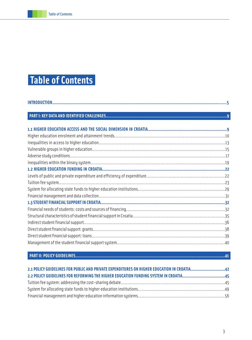# **Table of Contents**

# **PART II: POLICY GUIDELINES..............................................................................................................................41**

| 2.2 POLICY GUIDELINES FOR REFORMING THE HIGHER EDUCATION FUNDING SYSTEM IN CROATIA45 |  |
|--------------------------------------------------------------------------------------|--|
|                                                                                      |  |
|                                                                                      |  |
|                                                                                      |  |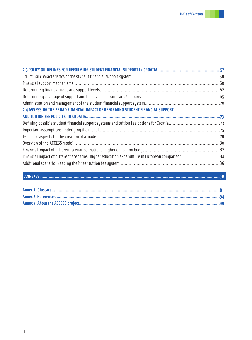| 2.4 ASSESSING THE BROAD FINANCIAL IMPACT OF REFORMING STUDENT FINANCIAL SUPPORT |  |
|---------------------------------------------------------------------------------|--|
|                                                                                 |  |
|                                                                                 |  |
|                                                                                 |  |
|                                                                                 |  |
|                                                                                 |  |
|                                                                                 |  |
|                                                                                 |  |
|                                                                                 |  |
|                                                                                 |  |

# **ANNEXES .......................................................................................................................................................90**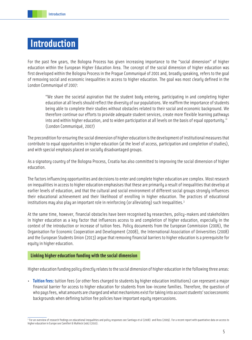# **Introduction**

For the past few years, the Bologna Process has given increasing importance to the "social dimension" of higher education within the European Higher Education Area. The concept of the social dimension of higher education was first developed within the Bologna Process in the Prague Communiqué of 2001 and, broadly speaking, refers to the goal of removing social and economic inequalities in access to higher education. The goal was most clearly defined in the London Communiqué of 2007:

"We share the societal aspiration that the student body entering, participating in and completing higher education at all levels should reflect the diversity of our populations. We reaffirm the importance of students being able to complete their studies without obstacles related to their social and economic background. We therefore continue our efforts to provide adequate student services, create more flexible learning pathways into and within higher education, and to widen participation at all levels on the basis of equal opportunity." (London Communiqué, 2007)

The precondition for ensuring the social dimension of higher education is the development of institutional measures that contribute to equal opportunities in higher education (at the level of access, participation and completion of studies), and with special emphasis placed on socially disadvantaged groups.

As a signatory country of the Bologna Process, Croatia has also committed to improving the social dimension of higher education.

The factors influencing opportunities and decisions to enter and complete higher education are complex. Most research on inequalities in access to higher education emphasises that these are primarily a result of inequalities that develop at earlier levels of education, and that the cultural and social environment of different social groups strongly influences their educational achievement and their likelihood of enrolling in higher education. The practices of educational institutions may also play an important role in reinforcing (or alleviating) such inequalities.<sup>3</sup>

At the same time, however, financial obstacles have been recognised by researchers, policy-makers and stakeholders in higher education as a key factor that influences access to and completion of higher education, especially in the context of the introduction or increase of tuition fees. Policy documents from the European Commission (2006), the Organisation for Economic Cooperation and Development (2008), the International Association of Universities (2008) and the European Students Union (2013) argue that removing financial barriers to higher education is a prerequisite for equity in higher education.

# **Linking higher education funding with the social dimension**

Higher education funding policy directly relates to the social dimension of higher education in the following three areas:

• **Tuition fees:** tuition fees (or other fees charged to students by higher education institutions) can represent a major financial barrier for access to higher education for students from low-income families. Therefore, the question of who pays fees, what amounts are charged and what mechanisms exist for taking into account students' socioeconomic backgrounds when defining tuition fee policies have important equity repercussions.

<sup>&</sup>lt;sup>3</sup> For an overview of research findings on educational inequalities and policy responses see Santiago et al (2008) and Ross (2009). For a recent report with quantiative data on access to higher education in Europe see Camilleri & Muhleck (eds) (2010).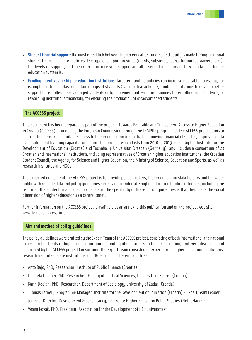- **Student financial support:** the most direct link between higher education funding and equity is made through national student financial support policies. The type of support provided (grants, subsidies, loans, tuition fee waivers, etc.), the levels of support, and the criteria for receiving support are all essential indicators of how equitable a higher education system is.
- **Funding incentives for higher education institutions:** targeted funding policies can increase equitable access by, for example, setting quotas for certain groups of students ("affirmative action"), funding institutions to develop better support for enrolled disadvantaged students or to implement outreach programmes for enrolling such students, or rewarding institutions financially for ensuring the graduation of disadvantaged students.

# **The ACCESS project**

This document has been prepared as part of the project "Towards Equitable and Transparent Access to Higher Education in Croatia (ACCESS)", funded by the European Commission through the TEMPUS programme. The ACCESS project aims to contribute to ensuring equitable access to higher education in Croatia by removing financial obstacles, improving data availability and building capacity for action. The project, which lasts from 2010 to 2013, is led by the Institute for the Development of Education (Croatia) and Technische Universität Dresden (Germany), and includes a consortium of 23 Croatian and international institutions, including representatives of Croatian higher education institutions, the Croatian Student Council, the Agency for Science and Higher Education, the Ministry of Science, Education and Sports, as well as research institutes and NGOs.

The expected outcome of the ACCESS project is to provide policy-makers, higher education stakeholders and the wider public with reliable data and policy guidelines necessary to undertake higher education funding reform in, including the reform of the student financial support system. The specificity of these policy guidelines is that they place the social dimension of higher education as a central tenet.

Further information on the ACCESS project is available as an annex to this publication and on the project web site: www.tempus-access.info.

# **Aim and method of policy guidelines**

The policy guidelines were drafted by the Expert Team of the ACCESS project, consisting of both international and national experts in the fields of higher education funding and equitable access to higher education, and were discussed and confirmed by the ACCESS project Consortium. The Expert Team consisted of experts from higher education institutions, research institutes, state institutions and NGOs from 6 different countries:

- Anto Bajo, PhD, Researcher, Institute of Public Finance (Croatia)
- Danijela Dolenec PhD, Researcher, Faculty of Political Sciences, University of Zagreb (Croatia)
- Karin Doolan, PhD, Researcher, Department of Sociology, University of Zadar (Croatia)
- Thomas Farnell, Programme Manager, Institute for the Development of Education (Croatia) Expert Team Leader
- Jon File, Director: Development & Consultancy, Centre for Higher Education Policy Studies (Netherlands)
- Vesna Kovač, PhD, President, Association for the Development of HE "Universitas"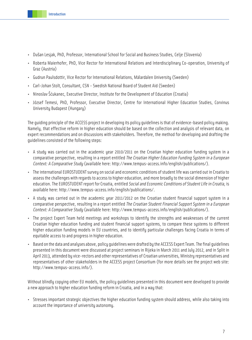- Dušan Lesjak, PhD, Professor, International School for Social and Business Studies, Celje (Slovenia)
- Roberta Maierhofer, PhD, Vice Rector for International Relations and Interdisciplinary Co-operation, University of Graz (Austria)
- Gudrun Paulsdottir, Vice Rector for International Relations, Mälardalen University (Sweden)
- Carl-Johan Stolt, Consultant, CSN Swedish National Board of Student Aid (Sweden)
- Ninoslav Šćukanec, Executive Director, Institute for the Development of Education (Croatia)
- József Temesi, PhD, Professor, Executive Director, Centre for International Higher Education Studies, Corvinus University Budapest (Hungary)

The guiding principle of the ACCESS project in developing its policy guidelines is that of evidence-based policy making. Namely, that effective reform in higher education should be based on the collection and analysis of relevant data, on expert recommendations and on discussions with stakeholders. Therefore, the method for developing and drafting the guidelines consisted of the following steps:

- A study was carried out in the academic year 2010/2011 on the Croatian higher education funding system in a comparative perspective, resulting in a report entitled The Croatian Higher Education Funding System in a European Context: A Comparative Study (available here: http://www.tempus-access.info/english/publications/).
- The international EUROSTUDENT survey on social and economic conditions of student life was carried out in Croatia to assess the challenges with regards to access to higher education, and more broadly to the social dimension of higher education. The EUROSTUDENT report for Croatia, entitled Social and Economic Conditions of Student Life in Croatia, is available here: http://www.tempus-access.info/english/publications/.
- A study was carried out in the academic year 2011/2012 on the Croatian student financial support system in a comparative perspective, resulting in a report entitled The Croatian Student Financial Support System in a European Context: A Comparative Study (available here: http://www.tempus-access.info/english/publications/).
- The project Expert Team held meetings and workshops to identify the strengths and weaknesses of the current Croatian higher education funding and student financial support systems, to compare these systems to different higher education funding models in EU countries, and to identify particular challenges facing Croatia in terms of equitable access to and progress in higher education.
- Based on the data and analyses above, policy guidelines were drafted by the ACCESS Expert Team. The final guidelines presented in this document were discussed at project seminars in Rijeka in March 2011 and July 2012, and in Split in April 2013, attended by vice-rectors and other representatives of Croatian universities, Ministry representatives and representatives of other stakeholders in the ACCESS project Consortium (for more details see the project web site: http://www.tempus-access.info/).

Without blindly copying other EU models, the policy guidelines presented in this document were developed to provide a new approach to higher education funding reform in Croatia, and in a way that:

• Stresses important strategic objectives the higher education funding system should address, while also taking into account the importance of university autonomy.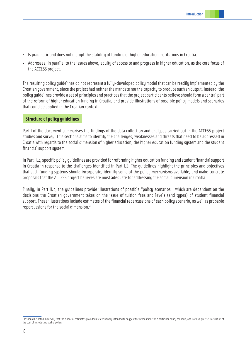- Is pragmatic and does not disrupt the stability of funding of higher education institutions in Croatia.
- Addresses, in parallel to the issues above, equity of access to and progress in higher education, as the core focus of the ACCESS project.

The resulting policy guidelines do not represent a fully-developed policy model that can be readily implemented by the Croatian government, since the project had neither the mandate nor the capacity to produce such an output. Instead, the policy guidelines provide a set of principles and practices that the project participants believe should form a central part of the reform of higher education funding in Croatia, and provide illustrations of possible policy models and scenarios that could be applied in the Croatian context.

# **Structure of policy guidelines**

Part I of the document summarises the findings of the data collection and analyses carried out in the ACCESS project studies and survey. This sections aims to identify the challenges, weaknesses and threats that need to be addressed in Croatia with regards to the social dimension of higher education, the higher education funding system and the student financial support system.

In Part II.2, specific policy guidelines are provided for reforming higher education funding and student financial support in Croatia in response to the challenges identified in Part I.2. The guidelines highlight the principles and objectives that such funding systems should incorporate, identify some of the policy mechanisms available, and make concrete proposals that the ACCESS project believes are most adequate for addressing the social dimension in Croatia.

Finally, in Part II.4, the guidelines provide illustrations of possible "policy scenarios", which are dependent on the decisions the Croatian government takes on the issue of tuition fees and levels (and types) of student financial support. These illustrations include estimates of the financial repercussions of each policy scenario, as well as probable repercussions for the social dimension.<sup>4</sup>

<sup>4</sup> It should be noted, however, that the financial estimates provided are exclusively intended to suggest the broad impact of a particular policy scenario, and not as a precise calculation of the cost of introducing such a policy.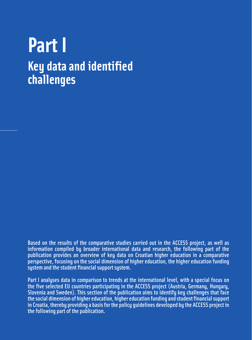# **Part I Key data and identified challenges**

Based on the results of the comparative studies carried out in the ACCESS project, as well as information compiled by broader international data and research, the following part of the publication provides an overview of key data on Croatian higher education in a comparative perspective, focusing on the social dimension of higher education, the higher education funding system and the student financial support system.

Part I analyses data in comparison to trends at the international level, with a special focus on the five selected EU countries participating in the ACCESS project (Austria, Germany, Hungary, Slovenia and Sweden). This section of the publication aims to identify key challenges that face the social dimension of higher education, higher education funding and student financial support in Croatia, thereby providing a basis for the policy guidelines developed by the ACCESS project in the following part of the publication.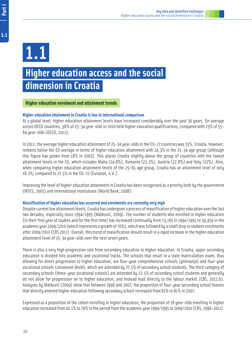Part I

# **Higher education access and the social dimension in Croatia**

# **Higher education enrolment and attainment trends**

# **Higher education attainment in Croatia is low in international comparison**

At a global level, higher education attainment levels have increased considerably over the past 30 years. On average across OECD countries, 38% of 25-34 year-olds in 2010 held higher education qualifications, compared with 23% of 55- 64 year-olds (OECD, 2012).

In 2012, the average higher education attainment of 25-34 year-olds in the EU-27 countries was 35%. Croatia, however, remains below the EU average in terms of higher education attainment with 24.3% in the 25-34 age group (although this figure has grown from 18% in 2005). This places Croatia slightly above the group of countries with the lowest attainment levels in the EU, which includes Malta (24.8%), Romania (23.3%), Austria (22.8%) and Italy (22%). Also, when comparing higher education attainment levels of the 25-65 age group, Croatia has an attainment level of only 18.2%, compared to 27.5% in the EU-27 (Eurostat, n.d.).

Improving the level of higher education attainment in Croatia has been recognised as a priority both by the government (MSES, 2005) and international institutions (World Bank, 2008).

# **Massification of higher education has occurred and enrolments are currently very high**

Despite current low attainment levels, Croatia has undergone a process of massification of higher education over the last two decades, especially since 1994/1995 (Matković, 2009). The number of students who enrolled in higher education (in their first year of studies and for the first time) has increased continually from 23,165 in 1994/1995 to 39,459 in the academic year 2009/2010 (which represents a growth of 70%), which was followed by a small drop in student enrolments after 2009/2010 (CBS 2011). Overall, this trend of massification should result in a rapid increase in the higher education attainment level of 25-34 year-olds over the next seven years.

There is also a very high progression rate from secondary education to higher education. In Croatia, upper secondary education is divided into academic and vocational tracks. The schools that result in a state matriculation exam, thus allowing for direct progression to higher education, are four-year comprehensive schools (*gimnazije*) and four-year vocational schools (strukovne škole), which are attended by 77.5% of secondary school students. The third category of secondary schools (three-year vocational schools) are attended by 22.5% of secondary school students and generally do not allow for progression on to higher education, and instead lead directly to the labour market (CBS, 2012.b). Analyses by Matković (2009) show that between 1998 and 2007, the proportion of four-year secondary school leavers that directly entered higher education following secondary school increased from 61% to 81% in 2007.

Expressed as a proportion of the cohort enrolling in higher education, the proportion of 18 year-olds enrolling in higher education increased from 42.1% to 79% in the period from the academic year 1994/1995 to 2009/2010 (CBS, 1996-2011).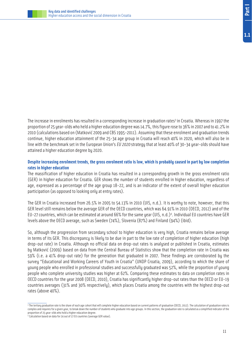

The increase in enrolments has resulted in a corresponding increase in graduation rates<sup>3</sup> in Croatia. Whereas in 1997 the proportion of 25 year-olds who held a higher education degree was 14.7%, this figure rose to 36% in 2007 and to 41.2% in 2010 (calculations based on (Matković 2009 and CBS 1995-2011). Assuming that these enrolment and graduation trends continue, higher education attainment of the 25-34 age group in Croatia will reach 40% in 2020, which will also be in line with the benchmark set in the European Union's EU 2020 strategy that at least 40% of 30-34 year-olds should have attained a higher education degree by 2020.

# **Despite increasing enrolment trends, the gross enrolment ratio is low, which is probably caused in part by low completion rates in higher education**

The massification of higher education in Croatia has resulted in a corresponding growth in the gross enrolment ratio (GER) in higher education for Croatia. GER shows the number of students enrolled in higher education, regardless of age, expressed as a percentage of the age group 18-22, and is an indicator of the extent of overall higher education participation (as opposed to looking only at entry rates).

The GER in Croatia increased from 26.5% in 2005 to 54.13% in 2010 (UIS, n.d.). It is worthy to note, however, that this GER level still remains below the average GER of the OECD countries, which was 64.91% in 2010 (OECD, 2012) and of the EU-27 countries, which can be estimated at around 66% for the same year (UIS, n.d.)<sup>4</sup> . Individual EU countries have GER levels above the OECD average, such as Sweden (74%), Slovenia (87%) and Finland (94%) (ibid).

So, although the progression from secondary school to higher education is very high, Croatia remains below average in terms of its GER. This discrepancy is likely to be due in part to the low rate of completion of higher education (high drop-out rate) in Croatia. Although no official data on drop-out rates is analysed or published in Croatia, estimates by Matković (2009) based on data from the Central Bureau of Statistics show that the completion rate in Croatia was 59% (i.e. a 41% drop-out rate) for the generation that graduated in 2007. These findings are corroborated by the survey "Educational and Working Careers of Youth in Croatia" (UNDP Croatia, 2009), according to which the share of young people who enrolled in professional studies and successfully graduated was 52%, while the proportion of young people who complete university studies was higher at 62%. Comparing these estimates to data on completion rates in OECD countries for the year 2008 (OECD, 2010), Croatia has significantly higher drop-out rates than the OECD or EU-19 countries averages (31% and 30% respectively), which places Croatia among the countries with the highest drop-out rates (above 40%).

<sup>&</sup>lt;sup>3</sup> The tertiary graduation rate is the share of each age cohort that will complete higher education based on current patterns of graduation (OECD, 2012). The calculation of graduation rates is complex and requires for a given year, to break down the number of students who graduate into age groups. In this section, the graduation rate is calculated as a simplified indicator of the proportion of 25 year-olds who hold a higher education degree.

<sup>4</sup> Calculation based on data for 24 out of 27 EU countries (average GER value).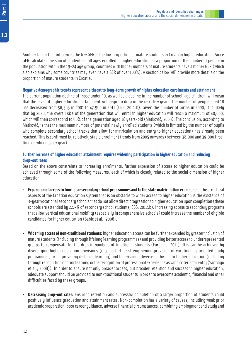Another factor that influences the low GER is the low proportion of mature students in Croatian higher education. Since GER calculates the sum of students of all ages enrolled in higher education as a proportion of the number of people in the population within the 19-24 age group, countries with higher numbers of mature students have a higher GER (which also explains why some countries may even have a GER of over 100%). A section below will provide more details on the proportion of mature students in Croatia.

#### **Negative demographic trends represent a threat to long-term growth of higher education enrolments and attainment**

The current population decline of those under 30, as well as a decline in the number of school-age children, will mean that the level of higher education attainment will begin to drop in the next few years. The number of people aged 18 has decreased from 58,363 in 2001 to 47,960 in 2011 (CBS, 2011.b). Given the number of births in 2000, it is likely that by 2020, the overall size of the generation that will enrol in higher education will reach a maximum of 40,000, which will then correspond to 90% of the generation aged 18 years-old (Matković, 2009). The conclusion, according to Matković, is that the maximum number of potential newly enrolled students (which is limited by the number of pupils who complete secondary school tracks that allow for matriculation and entry to higher education) has already been reached. This is confirmed by relatively stable enrolment trends from 2005 onwards (between 38,000 and 39,000 firsttime enrolments per year).

# **Further increase of higher education attainment requires widening participation in higher education and reducing drop-out rates**

Based on the above constraints to increasing enrolments, further expansion of access to higher education could be achieved through some of the following measures, each of which is closely related to the social dimension of higher education:

- **Expansion of access to four-year secondary school programmes and to the state matriculation exam:** one of the structural aspects of the Croatian education system that is an obstacle to wider access to higher education is the existence of 3-year vocational secondary schools that do not allow direct progression to higher education upon completion (these schools are attended by 22.5% of secondary school students; CBS, 2012.b). Increasing access to secondary programs that allow vertical educational mobility (especially in comprehensive schools) could increase the number of eligible candidates for higher education (Babić et al., 2006).
- **Widening access of non-traditional students:** higher education access can be further expanded by greater inclusion of mature students (including through lifelong learning programmes) and providing better access to underrepresented groups to compensate for the drop in numbers of traditional students (Eurydice, 2011). This can be achieved by diversifying higher education provisions (e.g. by further strengthening provision of vocationally-oriented study programmes, or by providing distance learning) and by ensuring diverse pathways to higher education (including through recognition of prior learning or the recognition of professional experience as valid criteria for entry (Santiago et al., 2008)). In order to ensure not only broader access, but broader retention and success in higher education, adequate support should be provided to non-traditional students in order to overcome academic, financial and other difficulties faced by these groups.
- **Decreasing drop-out rates:** ensuring retention and successful completion of a larger proportion of students could positively influence graduation and attainment rates. Non-completion has a variety of causes, including weak prior academic preparation, poor career guidance, adverse financial circumstances, combining employment and study and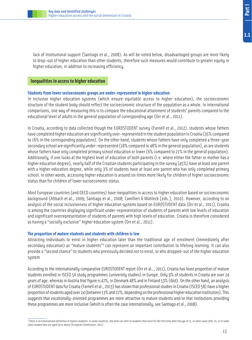lack of institutional support (Santiago et al., 2008). As will be noted below, disadvantaged groups are more likely to drop-out of higher education than other students, therefore such measures would contribute to greater equity in higher education, in addition to increasing efficiency.

# **Inequalities in access to higher education**

# **Students from lower socioeconomic groups are under-represented in higher education**

In inclusive higher education systems (which ensure equitable access to higher education), the socioeconomic structure of the student body should reflect the socioeconomic structure of the population as a whole. In international comparisons, one way of measuring this is to compare the educational attainment of students' parents compared to the educational level of adults in the general population of corresponding age (Orr et al., 2011).

In Croatia, according to data collected though the EUROSTUDENT survey (Farnell et al., 2012), students whose fathers have completed higher education are significantly over-represented in the student population in Croatia (35% compared to 16% in the corresponding population). On the other hand, students whose fathers have only completed a three-year secondary school are significantly under-represented (18% compared to 48% in the general population), as are students whose fathers have only completed primary school education or lower (6% compared to 21% in the general population). Additionally, if one looks at the highest level of education of both parents (i.e. where either the father or mother has a higher education degree), nearly half of the Croatian students participating in the survey (45%) have at least one parent with a higher education degree, while only 3% of students have at least one parent who has only completed primary school. In other words, accessing higher education is around six times more likely for children of higher socioeconomic status than for children of lower socioeconomic status.

Most European countries (and OECD countries) have inequalities in access to higher education based on socioeconomic background (Altbach et al., 2009; Santiago et al., 2008; Camilleri & Mühleck [eds.], 2010). However, according to an analysis of the social inclusiveness of higher education systems based on EUROSTUDENT data (Orr et al., 2011), Croatia is among the countries displaying significant under-representation of students of parents with low levels of education and significant overrepresentation of students of parents with high levels of education. Croatia is therefore considered as having a "socially exclusive" higher education system (Orr et al., 2011).

# **The proportion of mature students and students with children is low**

Attracting individuals to enrol in higher education later than the traditional age of enrolment (immediately after secondary education) as "mature students"<sup>5</sup> can represent an important contribution to lifelong learning. It can also provide a "second chance" to students who previously decided not to enrol, or who dropped-out of the higher education system

According to the internationally comparative EUROSTUDENT report (Orr et al.., 2011), Croatia has least proportion of mature students enrolled in ISCED 5A study programmes (university studies) in Europe. Only 9% of students in Croatia are over 24 years of age, whereas in Austria that figure is 47%, in Denmark 48% and in Finland 53% (ibid). On the other hand, an analysis of EUROSTUDENT data for Croatia (Farnell et al., 2013) has shown that professional studies in Croatia (ISCED 5B) have a higher proportion of students aged over 24 (between 13% and 22%, depending on the professional higher education institution). This suggests that vocationally-oriented programmes are more attractive to mature students and/or that institutions providing these programmes are more inclusive (which is often the case internationally, see Santiago et al., 2008).

 $^5$  There is no international definition of mature students. In some countries, the term can refer to students that enrol for the first time after the age of 21, in other cases after 25, or in some cases student who are aged 30 or above (European Commission, 2011).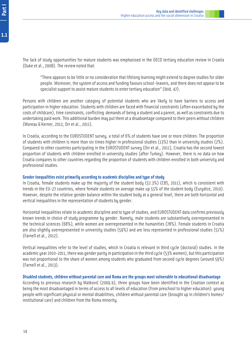The lack of study opportunities for mature students was emphasised in the OECD tertiary education review in Croatia (Duke et al., 2008). The review noted that:

"There appears to be little or no consideration that lifelong learning might extend to degree studies for older people. Moreover, the system of access and funding favours school-leavers, and there does not appear to be specialist support to assist mature students to enter tertiary education" (ibid. 47).

Persons with children are another category of potential students who are likely to have barriers to access and participation in higher education. Students with children are faced with financial constraints (often exacerbated by the costs of childcare), time constraints, conflicting demands of being a student and a parent, as well as constraints due to undertaking paid work. This additional burden may put them at a disadvantage compared to their peers without children (Moreau & Kerner, 2012, Orr et al., 2011).

In Croatia, according to the EUROSTUDENT survey, a total of 6% of students have one or more children. The proportion of students with children is more than six times higher in professional studies (13%) than in university studies (2%). Compared to other countries participating in the EUROSTUDENT survey (Orr et al., 2011), Croatia has the second lowest proportion of students with children enrolled in university studies (after Turkey). However, there is no data on how Croatia compares to other countries regarding the proportion of students with children enrolled in both university and professional studies.

# **Gender inequalities exist primarily according to academic discipline and type of study**

In Croatia, female students make up the majority of the student body (57.3%) (CBS, 2011), which is consistent with trends in the EU-27 countries, where female students on average make up 55% of the student body (Eurydice, 2010). However, despite the relative gender balance within the student body at a general level, there are both horizontal and vertical inequalities in the representation of students by gender.

Horizontal inequalities relate to academic discipline and to type of studies, and EUROSTUDENT data confirms previously known trends in choice of study programme by gender. Namely, male students are substantively overrepresented in the technical sciences (68%), while women are overrepresented in the humanities (78%). Female students in Croatia are also slightly overrepresented in university studies (59%) and are less represented in professional studies (51%) (Farnell et al., 2012).

Vertical inequalities refer to the level of studies, which in Croatia is relevant in third cycle (doctoral) studies. In the academic year 2010-2011, there was gender parity in participation in the third cycle (53% women), but this participation was not proportional to the share of women among students who graduated from second cycle degrees (around 59%) (Farnell et al., 2013).

# **Disabled students, children without parental care and Roma are the groups most vulnerable to educational disadvantage**

According to previous research by Matković (2009.b), three groups have been identified in the Croatian context as being the most disadvantaged in terms of access to all levels of education (from preschool to higher education): young people with significant physical or mental disabilities, children without parental care (brought up in children's homes/ institutional care) and children from the Roma minority.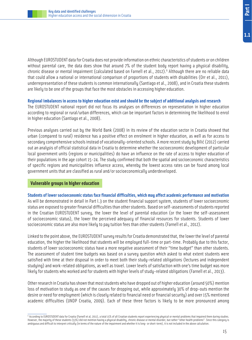Although EUROSTUDENT data for Croatia does not provide information on ethnic characteristics of students or on children without parental care, the data does show that around 7% of the student body report having a physical disability, chronic disease or mental impairment (calculated based on Farnell et al., 2012).<sup>6</sup> Although there are no reliable data that could allow a national or international comparison of proportions of students with disabilities (Orr et al., 2011), underrepresentation of these students is common internationally (Santiago et al., 2008), and in Croatia these students are likely to be one of the groups that face the most obstacles in accessing higher education.

#### **Regional imbalances in access to higher education exist and should be the subject of additional analysis and research**

The EUROSTUDENT national report did not focus its analyses on differences on representation in higher education according to regional or rural/urban differences, which can be important factors in determining the likelihood to enrol in higher education (Santiago et al., 2008).

Previous analyses carried out by the World Bank (2008) in its review of the education sector in Croatia showed that urban (compared to rural) residence has a positive effect on enrolment in higher education, as well as for access to secondary comprehensive schools instead of vocationally-oriented schools. A more recent study by Bilić (2012) carried out an analysis of official statistical data in Croatia to determine whether the socioeconomic development of particular local government units (regions or municipalities) do have an influence on the rate of access to higher education of their populations in the age cohort 15-24. The study confirmed that both the spatial and socioeconomic characteristics of specific regions and municipalities influence access, whereby the lowest access rates can be found among local government units that are classified as rural and/or socioeconomically underdeveloped.

# **Vulnerable groups in higher education**

# **Students of lower socioeconomic status face financial difficulties, which may affect academic performance and motivation**

As will be demonstrated in detail in Part I.3 on the student financial support system, students of lower socioeconomic status are exposed to greater financial difficulties than other students. Based on self-assessments of students reported in the Croatian EUROSTUDENT survey, the lower the level of parental education (or the lower the self-assessment of socioeconomic status), the lower the perceived adequacy of financial resources for students. Students of lower socioeconomic status are also more likely to pay tuition fees than other students (Farnell et al., 2012).

Linked to the point above, the EUROSTUDENT survey results for Croatia demonstrated that, the lower the level of parental education, the higher the likelihood that students will be employed full-time or part-time. Probably due to this factor, students of lower socioeconomic status have a more negative assessment of their "time budget" than other students. The assessment of student time budgets was based on a survey question which asked to what extent students were satisfied with time at their disposal in order to meet both their study-related obligations (lectures and independent studying) and work-related obligations, as well as travel. Lower levels of satisfaction with one's time budget was more likely for students who worked and for students with higher levels of study-related obligations (Farnell et al., 2013).

Other research in Croatia has shown that most students who have dropped out of higher education (around 50%) mention loss of motivation to study as one of the causes for dropping out, while approximately 30% of drop-outs mention the desire or need for employment (which is closely related to financial need or financial security) and over 15% mentioned academic difficulties (UNDP Croatia, 2009). Each of these three factors is likely to be more pronounced among

 $^6$  According to EUROSTUDENT data for Croatia (Farnell et al, 2011), a total 15% of all Croatian students report experiencing physical or mental problems that impaired them during studies. However, the majority of these students (53%) did not mention having a physical disability, chronic disease or mental disorder, but rather "other health problems". Since this category is ambiguous and difficult to interpret critically (in terms of the nature of the impairment and whether it is long- or short-term), it is not included in the above calculation.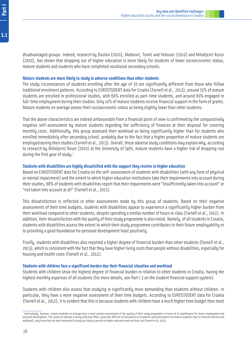disadvantaged groups. Indeed, research by Doolan (2010), Matković, Tomić and Vehovec (2010) and Mihaljević Kosor (2010), has shown that dropping out of higher education is more likely for students of lower socioeconomic status, mature students and students who have completed vocational secondary schools.

#### **Mature students are more likely to study in adverse conditions than other students**

The study circumstances of students enrolling after the age of 20 are significantly different from those who follow traditional enrolment patterns. According to EUROSTUDENT data for Croatia (Farnell et al., 2013), around 75% of mature students are enrolled in professional studies, with 60% enrolled as part-time students, and around 60% engaged in full-time employment during their studies. Only 10% of mature students receive financial support in the form of grants. Mature students on average assess their socioeconomic status as being slightly lower than other students.

That the above characteristics are indeed unfavourable from a financial point of view is confirmed by the comparatively negative self-assessment by mature students regarding the sufficiency of finances at their disposal for covering monthly costs. Additionally, this group assessed their workload as being significantly higher than for students who enrolled immediately after secondary school, probably due to the fact that a higher proportion of mature students are employed during their studies (Farnell et al., 2013). Overall, these adverse study conditions may explain why, according to research by Mihaljević Kosor (2010) at the University of Split, mature students have a higher risk of dropping-out during the first year of study.<sup>7</sup>

#### **Students with disabilities are highly dissatisfied with the support they receive in higher education**

Based on EUROSTUDENT data for Croatia on the self-assessment of students with disabilities (with any form of physical or mental impairment) and the extent to which higher education institutions take their impairments into account during their studies, 68% of students with disabilities report that their impairments were "insufficiently taken into account" or "not taken into account at all" (Farnell et al., 2012).

This dissatisfaction is reflected in other assessments made by this group of students. Based on their negative assessments of their time budgets, students with disabilities appear to experience a significantly higher burden from their workload compared to other students, despite spending a similar number of hours in class (Farnell et al., 2012). In addition, their dissatisfaction with the quality of their study programme is also noted. Namely, of all students in Croatia, students with disabilities assess the extent to which their study programme contributes to their future employability or to providing a good foundation for personal development least positively.

Finally, students with disabilities also reported a higher degree of financial burden than other students (Farnell et al., 2013), which is consistent with the fact that they have higher living costs than people without disabilities, especially for housing and health costs (Farnell et al., 2012).

#### **Students with children face a significant burden due their financial situation and workload**

Students with children show the highest degree of financial burden in relation to other students in Croatia, having the highest monthly expenses of all students (for more details, see Part I.3 on the student financial support system).

Students with children also assess that studying is significantly more demanding than students without children. In particular, they have a more negative assessment of their time budgets. According to EUROSTUDENT data for Croatia (Farnell et al., 2012), it is evident that this is because students with children have a much higher time budget than most

<sup>7</sup> Interestingly, however, mature students on average have a more positive assessment of the quality of their study programme in terms of its significance for future employment and personal development. This seems to indicate a strong selection effect: given the difficult circumstances of enrolment and participation for mature students (due to financial barriers and workload), only those that are most motivated to study are likely to persist in higher education and not drop-out (Farnell et al, 2013).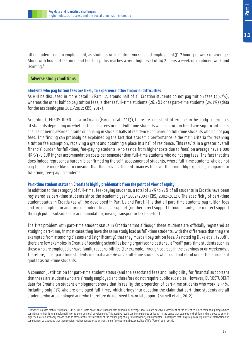

other students due to employment, as students with children work in paid employment 31.7 hours per week on average. Along with hours of learning and teaching, this reaches a very high level of 64.2 hours a week of combined work and learning.<sup>8</sup>

# **Adverse study conditions**

# **Students who pay tuition fees are likely to experience other financial difficulties**

As will be discussed in more detail in Part I.2, around half of all Croatian students do not pay tuition fees (49.7%), whereas the other half do pay tuition fees, either as full-time students (26.2%) or as part-time students (25.1%) (data for the academic year 2011/2012: CBS, 2013).

According to EUROSTUDENT data for Croatia (Farnell et al., 2013), there are consistent differences in the study experiences of students depending on whether they pay fees or not. Full-time students who pay tuition fees have significantly less chance of being awarded grants or housing in student halls of residence compared to full-time students who do not pay fees. This finding can probably be explained by the fact that academic performance is the main criteria for receiving a tuition fee exemption, receiving a grant and obtaining a place in a hall of residence. This results in a greater overall financial burden for full-time, fee-paying students, who (aside from higher costs due to fees) on average have 1,000 HRK/130 EUR higher accommodation costs per semester than full-time students who do not pay fees. The fact that this does indeed represent a burden is confirmed by the self-assessment of students, where full-time students who do not pay fees are more likely to consider that they have sufficient finances to cover their monthly expenses, compared to full-time, fee-paying students.

# **Part-time student status in Croatia is highly problematic from the point of view of equity**

In addition to the category of full-time, fee-paying students, a total of 25% to 27% of all students in Croatia have been registered as part-time students since the academic year 2002/2003 (CBS, 2002-2012). The specificity of part-time student status in Croatia (as will be developed in Part I.2 and Part I.3) is that all part-time students pay tuition fees and are ineligible for any form of student financial support (neither direct support through grants, nor indirect support through public subsidies for accommodation, meals, transport or tax benefits).

The first problem with part-time student status in Croatia is that although these students are officially registered as studying part-time, in most cases they have the same study load as full-time students, with the difference that they are exempted from attending classes and (significantly) that they must all pay tuition fees. As noted by Duke et al. (2008), there are few examples in Croatia of teaching schedules being organised to better suit "real" part-time students such as those who are employed or have family responsibilities (for example, through courses in the evenings or on weekends). Therefore, most part-time students in Croatia are *de facto* full-time students who could not enrol under the enrolment quotas as full-time students.

A common justification for part-time student status (and the associated fees and ineligibility for financial support) is that these are students who are already employed and therefore do not require public subsidies. However, EUROSTUDENT data for Croatia on student employment shows that in reality the proportion of part-time students who work is 54%, including only 31% who are employed full-time, which brings into question the claim that part-time students are all students who are employed and who therefore do not need financial support (Farnell et al., 2012).

 $^{\rm 8}$  However, as with mature students, EUROSTUDENT data shows that students with children on average have a more positive assessment of the extent to which their study programmes contribute to their future employability or to their personal development. This positive result can be considered as logical in the sense that students with children who choose to enrol in higher education probably choose to do so after careful consideration of the challenging study conditions they will encounter. This implies that this group has a high level of motivation and commitment to study and that they consider higher education as an investment for ensuring a better quality of life (Farnell et al, 2013).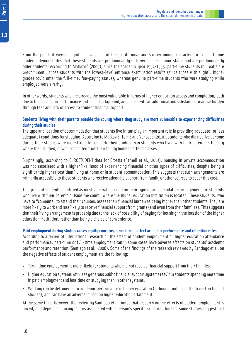From the point of view of equity, an analysis of the institutional and socioeconomic characteristics of part-time students demonstrates that these students are predominantly of lower socioeconomic status and are predominantly older students. According to Matković (2009), since the academic year 1994/1995, part-time students in Croatia are predominantly those students with the lowest-level entrance examination results (since those with slightly higher grades could enter the full-time, fee-paying status), whereas genuine part-time students who were studying while employed were a rarity.

In other words, students who are already the most vulnerable in terms of higher education access and completion, both due to their academic performance and social background, are placed with an additional and substantial financial burden through fees and lack of access to student financial support.

# **Students living with their parents outside the county where they study are more vulnerable to experiencing difficulties during their studies**

The type and location of accommodation that students live in can play an important role in providing adequate (or less adequate) conditions for studying. According to Matković, Tomić and Vehovec (2010), students who did not live at home during their studies were more likely to complete their studies than students who lived with their parents in the city where they studied, or who commuted from their family home to attend classes.

Surprisingly, according to EUROSTUDENT data for Croatia (Farnell et al., 2013), housing in private accommodation was not associated with a higher likelihood of experiencing financial or other types of difficulties, despite being a significantly higher cost than living at home or in student accommodation. This suggests that such arrangements are primarily accessible to those students who receive adequate support from family or other sources to cover this cost.

The group of students identified as most vulnerable based on their type of accommodation arrangement are students who live with their parents outside the county where the higher education institution is located. These students, who have to "commute" to attend their courses, assess their financial burden as being higher than other students. They are more likely to work and less likely to receive financial support from grants (and even from their families). This suggests that their living arrangement is probably due to the lack of possibility of paying for housing in the location of the higher education institution, rather than being a choice of convenience.

# **Paid employment during studies raises equity concerns, since it may affect academic performance and retention rates**

According to a review of international research on the effect of student employment on higher education attendance and performance, part-time or full-time employment can in some cases have adverse effects on students' academic performance and retention (Santiago et al., 2008). Some of the findings of the research reviewed by Santiago et al. on the negative effects of student employment are the following:

- Term-time employment is more likely for students who did not receive financial support from their families.
- Higher education systems with less generous public financial support systems result in students spending more time in paid employment and less time on studying than in other systems.
- Working can be detrimental to academic performance in higher education (although findings differ based on field of studies), and can have an adverse impact on higher education attainment.

At the same time, however, the review by Santiago et al. notes that research on the effects of student employment is mixed, and depends on many factors associated with a person's specific situation. Indeed, some studies suggest that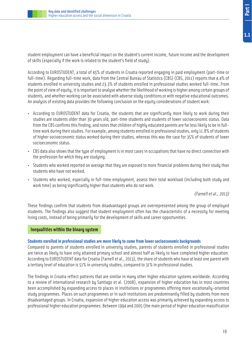student employment can have a beneficial impact on the student's current income, future income and the development of skills (especially if the work is related to the student's field of study).

According to EUROSTUDENT, a total of 45% of students in Croatia reported engaging in paid employment (part-time or full-time). Regarding full-time work, data from the Central Bureau of Statistics (CBS) (CBS, 2011) reports that 4.4% of students enrolled in university studies and 23.3% of students enrolled in professional studies worked full-time. From the point of view of equity, it is important to analyse whether the likelihood of working is higher among certain groups of students, and whether working can be associated with adverse study conditions or with negative educational outcomes. An analysis of existing data provides the following conclusion on the equity considerations of student work:

- According to EUROSTUDENT data for Croatia, the students that are significantly more likely to work during their studies are students older than 30 years old, part-time students and students of lower socioeconomic status. Data from the CBS confirms this finding, and notes that children of highly educated parents are far less likely to be in fulltime work during their studies. For example, among students enrolled in professional studies, only 11.8% of students of higher socioeconomic status worked during their studies, whereas this was the case for 35% of students of lower socioeconomic status.
- CBS data also shows that the type of employment is in most cases in occupations that have no direct connection with the profession for which they are studying.
- Students who worked reported on average that they are exposed to more financial problems during their study than students who have not worked.
- Students who worked, especially in full-time employment, assess their total workload (including both study and work time) as being significantly higher than students who do not work.

(Farnell et al., 2013)

These findings confirm that students from disadvantaged groups are overrepresented among the group of employed students. The findings also suggest that student employment often has the characteristic of a necessity for meeting living costs, instead of being primarily for the development of skills and career opportunities.

# **Inequalities within the binary system**

# **Students enrolled in professional studies are more likely to come from lower socioeconomic backgrounds**

Compared to parents of students enrolled in university studies, parents of students enrolled in professional studies are twice as likely to have only attained primary school and almost half as likely to have completed higher education. According to EUROSTUDENT data for Croatia (Farnell et al., 2013), the share of students who have at least one parent with a tertiary level of education is 51% in university studies, compared to 31% in professional studies.

The findings in Croatia reflect patterns that are similar in many other higher education systems worldwide. According to a review of international research by Santiago et al. (2008), expansion of higher education has in most countries been accomplished by expanding access to places in institutions or programmes offering more vocationally-oriented study programmes. Places on such programmes or in such institutions are predominantly filled by students from more disadvantaged groups. In Croatia, expansion of higher education access was primarily achieved by expanding access to professional higher education programmes. Between 1994 and 2005 (the main period of higher education massification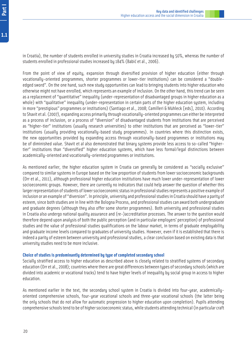From the point of view of equity, expansion through diversified provision of higher education (either through vocationally-oriented programmes, shorter programmes or lower-tier institutions) can be considered a "doubleedged sword". On the one hand, such new study opportunities can lead to bringing students into higher education who otherwise might not have enrolled, which represents an example of inclusion. On the other hand, this trend can be seen as a replacement of "quantitative" inequality (under-representation of disadvantaged groups in higher education as a whole) with "qualitative" inequality (under-representation in certain parts of the higher education system, including in more "prestigious" programmes or institutions) (Santiago et al., 2008; Camilleri & Mühleck [eds], 2010). According to Shavit et al. (2007), expanding access primarily through vocationally-oriented programmes can either be interpreted as a process of inclusion, or a process of "diversion" of disadvantaged students from institutions that are perceived as "higher-tier" institutions (usually research universities) to other institutions that are perceived as "lower-tier" institutions (usually providing vocationally-based study programmes). In countries where this distinction exists, the new opportunities provided by expanding access through vocationally-based programmes or institutions may be of diminished value. Shavit et al also demonstrated that binary systems provide less access to so-called "highertier" institutions than "diversified" higher education systems, which have less formal/legal distinctions between academically-oriented and vocationally-oriented programmes or institutions.

As mentioned earlier, the higher education system in Croatia can generally be considered as "socially exclusive" compared to similar systems in Europe based on the low proportion of students from lower socioeconomic backgrounds (Orr et al., 2011), although professional higher education institutions have much lower under-representation of lower socioeconomic groups. However, there are currently no indicators that could help answer the question of whether this larger representation of students of lower socioeconomic status in professional studies represents a positive example of inclusion or an example of "diversion". In principle, university and professional studies in Croatia should have a parity of esteem, since both studies are in line with the Bologna Process, and professional studies can award both undergraduate and graduate degrees (although they also offer some shorter programmes). Both university and professional studies in Croatia also undergo national quality assurance and (re-)accreditation processes. The answer to the question would therefore depend upon analysis of both the public perception (and in particular employers' perception) of professional studies and the value of professional studies qualifications on the labour market, in terms of graduate employability and graduate income levels compared to graduates of university studies. However, even if it is established that there is indeed a parity of esteem between university and professional studies, a clear conclusion based on existing data is that university studies need to be more inclusive.

# **Choice of studies is predominantly determined by type of completed secondary school**

Socially stratified access to higher education as described above is closely related to stratified systems of secondary education (Orr et al., 2008); countries where there are great differences between types of secondary schools (which are divided into academic or vocational tracks) tend to have higher levels of inequality by social group in access to higher education.

As mentioned earlier in the text, the secondary school system in Croatia is divided into four-year, academicallyoriented comprehensive schools, four-year vocational schools and three-year vocational schools (the latter being the only schools that do not allow for automatic progression to higher education upon completion). Pupils attending comprehensive schools tend to be of higher socioeconomic status, while students attending technical (in particular craft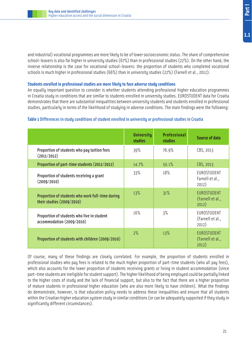and industrial) vocational programmes are more likely to be of lower socioeconomic status. The share of comprehensive school-leavers is also far higher in university studies (67%) than in professional studies (22%). On the other hand, the inverse relationship is the case for vocational school-leavers: the proportion of students who completed vocational schools is much higher in professional studies (66%) than in university studies (22%) (Farnell et al., 2012).

# **Students enrolled in professional studies are more likely to face adverse study conditions**

An equally important question to consider is whether students attending professional higher education programmes in Croatia study in conditions that are similar to students enrolled in university studies. EUROSTUDENT data for Croatia demonstrates that there are substantial inequalities between university students and students enrolled in professional studies, particularly in terms of the likelihood of studying in adverse conditions. The main findings were the following:

|                                                                               | <b>University</b><br><b>studies</b> | <b>Professional</b><br><b>studies</b> | <b>Source of data</b>                           |
|-------------------------------------------------------------------------------|-------------------------------------|---------------------------------------|-------------------------------------------------|
| Proportion of students who pay tuition fees<br>(2011/2012)                    | 39%                                 | 76.9%                                 | CBS, 2013                                       |
| Proportion of part-time students (2011/2012)                                  | 14.7%                               | 50.1%                                 | CBS, 2013                                       |
| Proportion of students receiving a grant<br>(2009/2010)                       | 33%                                 | 18%                                   | EUROSTUDENT<br>Farnell et al.,<br>2012)         |
| Proportion of students who work full-time during<br>their studies (2009/2010) | 13%                                 | 31%                                   | <b>EUROSTUDENT</b><br>(Farnell et al.,<br>2012) |
| Proportion of students who live in student<br>accommodation (2009/2010)       | 16%                                 | 3%                                    | EUROSTUDENT<br>(Farnell et al.,<br>2012)        |
| Proportion of students with children (2009/2010)                              | 2%                                  | 13%                                   | <b>EUROSTUDENT</b><br>(Farnell et al.,<br>2012) |

# **Table 1** Differences in study conditions of student enrolled in university or professional studies in Croatia

Of course, many of these findings are closely correlated. For example, the proportion of students enrolled in professional studies who pay fees is related to the much higher proportion of part-time students (who all pay fees), which also accounts for the lower proportion of students receiving grants or living in student accommodation (since part-time students are ineligible for student support). The higher likelihood of being employed could be partially linked to the higher costs of study and the lack of financial support, but also to the fact that there are a higher proportion of mature students in professional higher education (who are also more likely to have children). What the findings do demonstrate, however, is that education policy needs to address these inequalities and ensure that all students within the Croatian higher education system study in similar conditions (or can be adequately supported if they study in significantly different circumstances).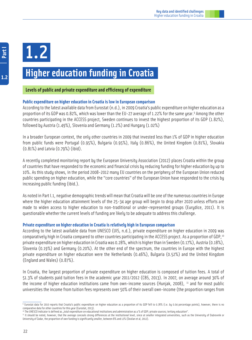

# **Higher education funding in Croatia**

# **Levels of public and private expenditure and efficiency of expenditure**

# **Public expenditure on higher education in Croatia is low in European comparison**

According to the latest available data from Eurostat (n.d.), in 2009 Croatia's public expenditure on higher education as a proportion of its GDP was 0.82%, which was lower than the EU-27 average of 1.22% for the same year.<sup>9</sup> Among the other countries participating in the ACCESS project, Sweden continues to invest the highest proportion of its GDP (1.82%), followed by Austria (1.49%), Slovenia and Germany (1.2%) and Hungary (1.02%)

In a broader European context, the only other countries in 2009 that invested less than 1% of GDP in higher education from public funds were Portugal (0.95%), Bulgaria (0.95%), Italy (0.86%), the United Kingdom (0.81%), Slovakia (0.81%) and Latvia (0.79%) (ibid).

A recently completed monitoring report by the European University Association (2012) places Croatia within the group of countries that have responded to the economic and financial crisis by reducing funding for higher education by up to 10%. As this study shows, in the period 2008-2012 many EU countries on the periphery of the European Union reduced public spending on higher education, while the "core countries" of the European Union have responded to the crisis by increasing public funding (ibid.).

As noted in Part I.1, negative demographic trends will mean that Croatia will be one of the numerous countries in Europe where the higher education attainment levels of the 25-34 age group will begin to drop after 2020 unless efforts are made to widen access to higher education to non-traditional or under-represented groups (Eurydice, 2011). It is questionable whether the current levels of funding are likely to be adequate to address this challenge.

# **Private expenditure on higher education in Croatia is relatively high in European comparison**

According to the latest available data from UNESCO (UIS, n.d.), private expenditure on higher education in 2009 was comparatively high in Croatia compared to other countries participating in the ACCESS project. As a proportion of GDP,<sup>10</sup> private expenditure on higher education in Croatia was 0.28%, which is higher than in Sweden (0.17%), Austria (0.18%), Slovenia (0.19%) and Germany (0.20%). At the other end of the spectrum, the countries in Europe with the highest private expenditure on higher education were the Netherlands (0.46%), Bulgaria (0.52%) and the United Kingdom (England and Wales) (0.87%).

In Croatia, the largest proportion of private expenditure on higher education is composed of tuition fees. A total of 51.3% of students paid tuition fees in the academic year 2011/2012 (CBS, 2013). In 2007, on average around 30% of the income of higher education institutions came from own-income sources (Hunjak, 2008),  $\mu$  and for most public universities the income from tuition fees represents over 50% of their overall own-income (the proportion ranges from

<sup>9</sup> Eurostat data for 2010 reports that Croatia's public expenditure on higher education as a proportion of its GDP fell to 0.78% (i.e. by 0.04 percentage points), however, there is no comparative data for other countries for this year (Eurostat, 2013).

<sup>10</sup> The UNESCO indicator is defined as "total expenditure on educational institutions and administration as a % of GDP; private sources; tertiary education".

If It should be noted, however, that the average conceals strong differences at the institutional level, since at smaller integrated universities, such as the University of Dubrovnik or University of Zadar, the proportion of own funding is significantly smaller, between 8% and 12% (Doolan et al, 2012).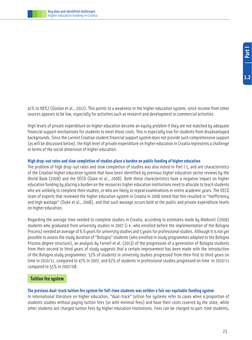

41% to 68%) (Doolan et al., 2012). This points to a weakness in the higher education system, since income from other sources appears to be low, especially for activities such as research and development or commercial activities.

High levels of private expenditure on higher education become an equity problem if they are not matched by adequate financial support mechanisms for students to meet those costs. This is especially true for students from disadvantaged backgrounds. Since the current Croatian student financial support system does not provide such comprehensive support (as will be discussed below), the high level of private expenditure on higher education in Croatia represents a challenge in terms of the social dimension of higher education.

# **High drop-out rates and slow completion of studies place a burden on public funding of higher education**

The problem of high drop-out rates and slow completion of studies was also noted in Part I.1, and are characteristics of the Croatian higher education system that have been identified by previous higher education sector reviews by the World Bank (2008) and the OECD (Duke et al., 2008). Both these characteristics have a negative impact on higher education funding by placing a burden on the resources higher education institutions need to allocate to teach students who are unlikely to complete their studies, or who are likely to repeat examinations or entire academic years. The OECD team of experts that reviewed the higher education system in Croatia in 2006 noted that this resulted in "inefficiency and high wastage" (Duke et al., 2008), and that such wastage occurs both at the public and private expenditure levels on higher education.

Regarding the average time needed to complete studies in Croatia, according to estimates made by Matković (2009) students who graduated from university studies in 2007 (i.e. who enrolled before the implementation of the Bologna Process) needed an average of 6.6 years for university studies and 5 years for professional studies. Although it is not yet possible to assess the study duration of "Bologna" students (who enrolled in study programmes adapted to the Bologna Process degree structure), an analysis by Farnell et al. (2013) of the progression of a generation of Bologna students from their second to third years of study suggests that a certain improvement has been made with the introduction of the Bologna study programmes: 52% of students in university studies progressed from their first to third years on time in 2010/11, compared to 47% in 2007, and 62% of students in professional studies progressed on time in 2010/11 compared to 55% in 2007/08.

# **Tuition fee system**

# **The previous dual-track tuition fee system for full-time students was neither a fair nor equitable funding system**

In international literature on higher education, "dual-track" tuition fee systems refer to cases when a proportion of students studies without paying tuition fees (or with minimal fees) and have their costs covered by the state, while other students are charged tuition fees by higher education institutions. Fees can be charged to part-time students,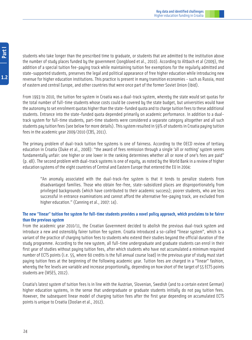students who take longer than the prescribed time to graduate, or students that are admitted to the institution above the number of study places funded by the government (Jongbloed et al., 2010). According to Altbach et al (2009), the addition of a special tuition fee-paying track while maintaining tuition fee exemptions for the regularly admitted and state-supported students, preserves the legal and political appearance of free higher education while introducing new revenue for higher education institutions. This practice is present in many transition economies - such as Russia, most of eastern and central Europe, and other countries that were once part of the former Soviet Union (ibid).

From 1993 to 2010, the tuition fee sustem in Croatia was a dual-track sustem, wherebu the state would set quotas for the total number of full-time students whose costs could be covered by the state budget, but universities would have the autonomy to set enrolment quotas higher than the state-funded quota and to charge tuition fees to these additional students. Entrance into the state-funded quota depended primarily on academic performance. In addition to a dualtrack system for full-time students, part-time students were considered a separate category altogether and all such students pay tuition fees (see below for more details). This system resulted in 59% of students in Croatia paying tuition fees in the academic year 2009/2010 (CBS, 2011).

The primary problem of dual-track tuition fee systems is one of fairness. According to the OECD review of tertiary education in Croatia (Duke et al., 2008): "the award of fees remission through a single 'all or nothing' system seems fundamentally unfair: one higher or one lower in the ranking determines whether all or none of one's fees are paid" (p. 48). The second problem with dual-track systems is one of equity, as noted by the World Bank in a review of higher education systems of the eight countries of Central and Eastern Europe that entered the EU in 2004:

"An anomaly associated with the dual-track-fee system is that it tends to penalize students from disadvantaged families. Those who obtain fee-free, state-subsidized places are disproportionately from privileged backgrounds (which have contributed to their academic success); poorer students, who are less successful in entrance examinations and cannot afford the alternative fee-paying track, are excluded from higher education." (Canning et al., 2007: 14).

# **The new "linear" tuition fee system for full-time students provides a novel policy approach, which proclaims to be fairer than the previous system**

From the academic year 2010/11, the Croatian Government decided to abolish the previous dual-track system and introduce a new and ostensibly fairer tuition fee system. Croatia introduced a so-called "linear system", which is a variant of the practice of charging tuition fees to students who extend their studies beyond the official duration of the study programme. According to the new system, all full-time undergraduate and graduate students can enrol in their first year of studies without paying tuition fees, after which students who have not accumulated a minimum required number of ECTS points (i.e. 55, where 60 credits is the full annual course load) in the previous year of study must start paying tuition fees at the beginning of the following academic year. Tuition fees are charged in a "linear" fashion, whereby the fee levels are variable and increase proportionally, depending on how short of the target of 55 ECTS points students are (MSES, 2012).

Croatia's latest system of tuition fees is in line with the Austrian, Slovenian, Swedish (and to a certain extent German) higher education systems, in the sense that undergraduate or graduate students initially do not pay tuition fees. However, the subsequent linear model of charging tuition fees after the first year depending on accumulated ECTS points is unique to Croatia (Doolan et al., 2012).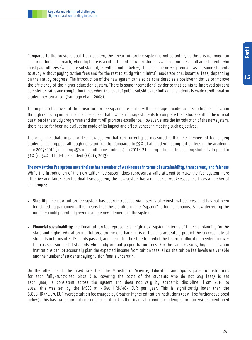Compared to the previous dual-track system, the linear tuition fee system is not as unfair, as there is no longer an "all or nothing" approach, whereby there is a cut-off point between students who pay no fees at all and students who must pay full fees (which are substantial, as will be noted below). Instead, the new system allows for some students to study without paying tuition fees and for the rest to study with minimal, moderate or substantial fees, depending on their study progress. The introduction of the new system can also be considered as a positive initiative to improve the efficiency of the higher education system. There is some international evidence that points to improved student completion rates and completion times when the level of public subsidies for individual students is made conditional on student performance. (Santiago et al., 2008).

The implicit objectives of the linear tuition fee system are that it will encourage broader access to higher education through removing initial financial obstacles, that it will encourage students to complete their studies within the official duration of the study programme and that it will promote excellence. However, since the introduction of the new system, there has so far been no evaluation made of its impact and effectiveness in meeting such objectives.

The only immediate impact of the new system that can currently be measured is that the numbers of fee-paying students has dropped, although not significantly. Compared to 59% of all student paying tuition fees in the academic year 2009/2010 (including 45% of all full-time students), in 2011/12 the proportion of fee-paying students dropped to 51% (or 34% of full-time students) (CBS, 2013).

**The new tuition fee system nevertheless has a number of weaknesses in terms of sustainability, transparency and fairness** While the introduction of the new tuition fee system does represent a valid attempt to make the fee-system more effective and fairer than the dual-track system, the new system has a number of weaknesses and faces a number of challenges:

- **Stability:** the new tuition fee system has been introduced via a series of ministerial decrees, and has not been legislated by parliament. This means that the stability of the "system" is highly tenuous. A new decree by the minister could potentially reverse all the new elements of the system.
- **Financial sustainability:** the linear tuition fee represents a "high-risk" system in terms of financial planning for the state and higher education institutions. On the one hand, it is difficult to accurately predict the success-rate of students in terms of ECTS points passed, and hence for the state to predict the financial allocation needed to cover the costs of successful students who study without paying tuition fees. For the same reasons, higher education institutions cannot accurately plan the expected income from tuition fees, since the tuition fee levels are variable and the number of students paying tuition fees is uncertain.

On the other hand, the fixed rate that the Ministry of Science, Education and Sports pays to institutions for each fully-subsidised place (i.e. covering the costs of the students who do not pay fees) is set each year, is consistent across the system and does not vary by academic discipline. From 2010 to 2012, this was set by the MSES at 3,650 HRK/485 EUR per year. This is significantly lower than the 8,800 HRK/1,170 EUR average tuition fee charged by Croatian higher education institutions (as will be further developed below). This has two important consequences: it makes the financial planning challenges for universities mentioned

**1.2**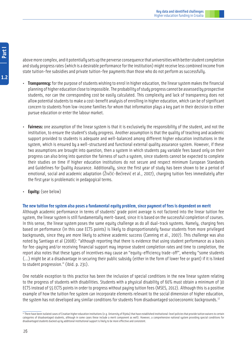Part I **1.2**<br>**1.2** 

above more complex, and it potentially sets up the perverse consequence that universities with better student completion and study progress rates (which is a desirable performance for the institution) might receive less combined income from state tuition-fee subsidies and private tuition-fee payments than those who do not perform as successfully.

- **Transparency:** for the purpose of students wishing to enrol in higher education, the linear system makes the financial planning of higher education close to impossible. The probability of study progress cannot be assessed by prospective students, nor can the corresponding cost be easily calculated. This complexity and lack of transparency does not allow potential students to make a cost-benefit analysis of enrolling in higher education, which can be of significant concern to students from low-income families for whom that information plays a key part in their decision to either pursue education or enter the labour market.
- **Fairness:** one assumption of the linear system is that it is exclusively the responsibility of the student, and not the institution, to ensure the student's studu progress. Another assumption is that the qualitu of teaching and academic support provided to students is adequate and well-balanced among different higher education institutions in the system, which is ensured by a well-structured and functional external quality assurance system. However, if these two assumptions are brought into question, then a sustem in which students pay variable fees based only on their progress can also bring into question the fairness of such a system, since students cannot be expected to complete their studies on time if higher education institutions do not secure and respect minimum European Standards and Guidelines for Quality Assurance. Additionally, since the first year of study has been shown to be a period of emotional, social and academic adaptation (Živčić-Bećirević et al., 2007), charging tuition fees immediately after the first year is problematic in pedagogical terms.
- **Equity:** (see below)

# **The new tuition fee system also poses a fundamental equity problem, since payment of fees is dependent on merit**

Although academic performance in terms of students' grade point average is not factored into the linear tuition fee system, the linear system is still fundamentally merit-based, since it is based on the successful completion of courses. In this sense, the linear system poses the same equity challenge as do all dual-track systems. Namely, charging fees based on performance (in this case ECTS points) is likely to disproportionately favour students from more privileged backgrounds, since they are more likely to achieve academic success (Canning et al., 2007). This challenge was also noted by Santiago et al (2008): "although reporting that there is evidence that using student performance as a basis for fee-paying and/or receiving financial support may improve student completion rates and time to completion, the report also notes that these types of incentives may cause an "equity-efficiency trade-off", whereby "some students (…) might be at a disadvantage in securing their public subsidy (either in the form of lower fee or grant) if it is linked to student progression." (ibid. p. 231).

One notable exception to this practice has been the inclusion of special conditions in the new linear system relating to the progress of students with disabilities. Students with a physical disability of 60% must obtain a minimum of 30 ECTS instead of 55 ECTS points in order to progress without paying tuition fees (MSES, 2012). Although this is a positive example of how the tuition fee system can incorporate elements relevant to the social dimension of higher education, the system has not developed any similar conditions for students from disadvantaged socioeconomic backgrounds.<sup>12</sup>

<sup>&</sup>lt;sup>12</sup> There have been isolated cases of Croatian higher education institutions (e.g. University of Rijeka) that have established institutional-level policies that provide tuition waivers to certain categories of disadvantaged students, although in some cases these include a merit component as well). However, a comprehensive national system providing special conditions for disadvantaged students backed up by additional institutional support is likely to be more effective and consistent.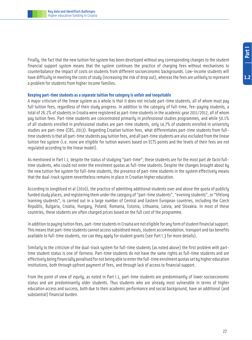Finally, the fact that the new tuition fee system has been developed without any corresponding changes to the student financial support system means that the system continues the practice of charging fees without mechanisms to counterbalance the impact of costs on students from different socioeconomic backgrounds. Low-income students will have difficulty in meeting the costs of study (increasing the risk of drop out), whereas the fees are unlikely to represent a problem for students from higher income families.

# **Keeping part-time students as a separate tuition fee category is unfair and inequitable**

A major criticism of the linear system as a whole is that it does not include part-time students, all of whom must pay full tuition fees, regardless of their study progress. In addition to the category of full-time, fee-paying students, a total of 26.2% of students in Croatia were registered as part-time students in the academic year 2011/2012, all of whom pay tuition fees. Part-time students are concentrated primarily in professional studies programmes, and while 50.1% of all students enrolled in professional studies are part-time students, only 14.7% of students enrolled in university studies are part-time (CBS, 2013). Regarding Croatian tuition fees, what differentiates part-time students from fulltime students is that all part-time students pay tuition fees, and all part-time students are also excluded from the linear tuition fee system (i.e. none are eligible for tuition waivers based on ECTS points and the levels of their fees are not regulated according to the linear model).

As mentioned in Part I.1, despite the status of studying "part-time", these students are for the most part de facto fulltime students, who could not enter the enrolment quotas as full-time students. Despite the changes brought about by the new tuition fee system for full-time students, the presence of part-time students in the system effectively means that the dual-track system nevertheless remains in place in Croatian higher education.

According to Jongbloed et al (2010), the practice of admitting additional students over and above the quota of publicly funded study places, and registering them under the category of "part-time students", "evening students", or "lifelong learning students", is carried out in a large number of Central and Eastern European countries, including the Czech Republic, Bulgaria, Croatia, Hungary, Poland, Romania, Estonia, Lithuania, Latvia, and Slovakia. In most of these countries, these students are often charged prices based on the full cost of the programme.

In addition to paying tuition fees, part-time students in Croatia are not eligible for any form of student financial support. This means that part-time students cannot access subsidised meals, student accommodation, transport and tax benefits available to full-time students, nor can they apply for student grants (see Part I.3 for more details).

Similarly to the criticism of the dual-track system for full-time students (as noted above) the first problem with parttime student status is one of *fairness*. Part-time students do not have the same rights as full-time students and are effectively being financially penalised for not being able to enter the full-time enrolment quotas set by higher education institutions, both through upfront payment of fees, and through lack of access to financial support.

From the point of view of equity, as noted in Part I.1, part-time students are predominantly of lower socioeconomic status and are predominantly older students. Thus students who are already most vulnerable in terms of higher education access and success, both due to their academic performance and social background, have an additional (and substantial) financial burden.

 $1.2$ 

27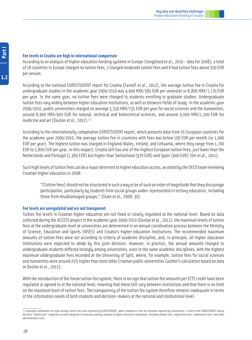# **Fee levels in Croatia are high in international comparison**

According to an analysis of higher education funding systems in Europe (Jongbloed et al., 2010 - data for 2008), a total of 18 countries in Europe charged no tuition fees, 7 charged moderate tuition fees and 8 had tuition fees above 500 EUR per annum.

According to the national EUROSTUDENT report for Croatia (Farnell et al., 2012), the average tuition fee in Croatia for undergraduate studies in the academic year 2009/2010 was 4,400 HRK/585 EUR per semester or 8,800 HRK/1,170 EUR per year. In the same year, no tuition fees were charged to students enrolling in graduate studies. Undergraduate tuition fees vary widely between higher education institutions, as well as between fields of study. In the academic year 2009/2010, public universities charged on average 5,550 HRK/735 EUR per year for social sciences and the humanities, around 6,900 HRK/920 EUR for natural, technical and biotechnical sciences, and around 9,000 HRK/1,200 EUR for medicine and art (Doolan et al., 2012).<sup>13</sup>

According to the internationally comparative EUROSTUDENT report, which presents data from 25 European countries for the academic year 2009/2010, the average tuition fee in countries with fees was below 100 EUR per month (or 1,000 EUR per year). The highest tuition was charged in England/Wales, Ireland, and Lithuania, where they range from 1,700 EUR to 2,800 EUR per year. In this respect, Croatia still has one of the highest European tuition fees, just lower than the Netherlands and Portugal (1,360 EUR) but higher than Switzerland (970 EUR) and Spain (900 EUR) (Orr et al., 2011).

Such high levels of tuition fees can be a major deterrent to higher education access, as noted by the OECD team reviewing Croatian higher education in 2008:

"(Tuition fees) should not be structured in such a way or be of such an order of magnitude that they discourage participation, particularly by students from social groups under-represented in tertiary education, including those from disadvantaged groups." (Duke et al., 2008: 30)

# **Fee levels are unregulated and are not transparent**

Tuition fee levels in Croatian higher education are not fixed or clearly regulated at the national level. Based on data collected during the ACCESS project in the academic year 2009/2010 (Doolan et al., 2012), the maximum levels of tuition fees at the undergraduate level at universities are determined in an annual coordination process between the Ministry of Science, Education and Sports (MSES) and Croatia's higher education institutions. The recommended maximum amounts of tuition fees were set according to criteria of academic discipline, and, in principle, all higher education institutions were expected to abide by this joint decision. However, in practice, the annual amounts charged to undergraduate students differed strongly among universities, even in the same academic disciplines, with the highest maximum undergraduate fees recorded at the University of Split, where, for example, tuition fees for social sciences and humanities were around 25% higher than most other Croatian public universities (author's calculation based on data in Doolan et al., 2012).

With the introduction of the linear tuition fee system, there is no sign that tuition fee amounts per ECTS credit have been regulated or agreed to at the national level, meaning that these still vary between institutions and that there is no limit on the maximum level of tuition fees. The transparency of the tuition fee system therefore remains inadequate in terms of the information needs of both students and decision-makers at the national and institutional level.

<sup>&</sup>lt;sup>13</sup> A possible explanation for high average tuition fee costs reported by EUROSTUDENT, when compared to the fee amounts reported by universities, is that in the EUROSTUDENT survey the term "tuition fees" comprises several categories of expenses paid by students to higher education institutions, including tuition fees, registration fees, examination fees, and other administrative costs.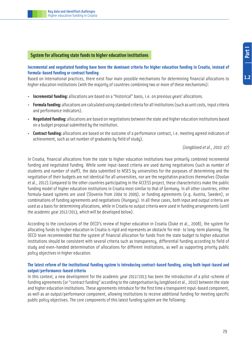# **System for allocating state funds to higher education institutions**

# **Incremental and negotiated funding have been the dominant criteria for higher education funding in Croatia, instead of formula-based funding or contract funding**

Based on international practices, there exist four main possible mechanisms for determining financial allocations to higher education institutions (with the majority of countries combining two or more of these mechanisms):

- **Incremental funding:** allocations are based on a "historical" basis, i.e. on previous years' allocations.
- **Formula funding:** allocations are calculated using standard criteria for all institutions (such as unit costs, input criteria and performance indicators).
- **Negotiated funding:** allocations are based on negotiations between the state and higher education institutions based on a budget proposal submitted by the institution.
- **Contract funding:** allocations are based on the outcome of a performance contract, i.e. meeting agreed indicators of achievement, such as set number of graduates by field of study).

# (Jongbloed et al., 2010: 47)

In Croatia, financial allocations from the state to higher education institutions have primarily combined incremental funding and negotiated funding. While some input-based criteria are used during negotiations (such as number of students and number of staff), the data submitted to MSES by universities for the purposes of determining and the negotiation of their budgets are not identical for all universities, nor are the negotiation practices themselves (Doolan et al., 2012).Compared to the other countries participating in the ACCESS project, these characteristics make the public funding model of higher education institutions in Croatia most similar to that of Germany. In all other countries, either formula-based systems are used (Slovenia from 2004 to 2009), or funding agreements (e.g. Austria, Sweden), or combinations of funding agreements and negotiations (Hungary). In all these cases, both input and output criteria are used as a basis for determining allocations, while in Croatia no output criteria were used in funding arrangements (until the academic year 2012/2013, which will be developed below).

According to the conclusions of the OECD's review of higher education in Croatia (Duke et al., 2008), the system for allocating funds to higher education in Croatia is rigid and represents an obstacle for mid- to long-term planning. The OECD team recommended that the system of financial allocation for funds from the state budget to higher education institutions should be consistent with several criteria such as transparency, differential funding according to field of study and even-handed determination of allocations for different institutions, as well as supporting priority public policy objectives in higher education.

# **The latest reform of the institutional funding system is introducing contract-based funding, using both input-based and output/performance-based criteria**

In this context, a new development for the academic year 2012/2013 has been the introduction of a pilot-scheme of funding agreements (or "contract funding" according to the categorisation by Jongbloed et al., 2010) between the state and higher education institutions. These agreements introduce for the first time a transparent input-based component, as well as an output/performance component, allowing institutions to receive additional funding for meeting specific public policy objectives. The core components of this latest funding system are the following: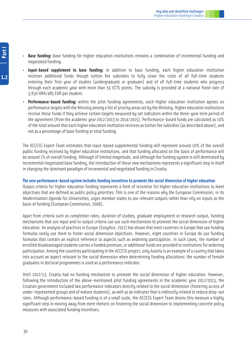- **Base funding:** base funding for higher education institutions remains a combination of incremental funding and negotiated funding.
- **Input-based supplement to base funding:** in addition to base funding, each higher education institution receives additional funds though tuition fee subsidies to fully cover the costs of all full-time students entering their first year of studies (undergraduate or graduate) and of all full-time students who progress through each academic year with more than 55 ECTS points. The subsidy is provided at a national fixed-rate of 3,650 HRK/485 EUR per student.
- **Performance-based funding:** within the pilot funding agreements, each higher education institution agrees on performance targets with the Ministry among a list of priority areas set by the Ministry. Higher education institutions receive these funds if they achieve certain targets measured by set indicators within the three-year term period of the agreement (from the academic year 2012/2013 to 2014/2015). Performance-based funds are calculated as 10% of the total amount that each higher education institution receives as tuition fee subsidies (as described above), and not as a percentage of base funding or total funding.

The ACCESS Expert Team estimates that input-based supplemental funding will represent around 10% of the overall public funding received by higher education institutions, and that funding allocated on the basis of performance will be around 1% of overall funding. Although of limited magnitude, and although the funding system is still dominated by incremental/negotiated base funding, the introduction of these new mechanisms represents a significant step in itself in changing the dominant paradigm of incremental and negotiated funding in Croatia.

# **The new performance-based system includes funding incentives to promote the social dimension of higher education**

Output criteria for higher education funding represents a form of incentive for higher education institutions to meet objectives that are defined as public policy priorities. This is one of the reasons why the European Commission, in its Modernisation Agenda for Universities, urges member states to use relevant outputs rather than rely on inputs as the basis of funding (European Commission, 2006).

Apart from criteria such as completion rates, duration of studies, graduate employment or research output, funding mechanisms that use input and/or output criteria can use such mechanisms to promote the social dimension of higher education. An analysis of practices in Europe (Eurydice, 2011) has shown that most countries in Europe that use funding formulas rarely use them to foster social dimension objectives. However, eight countries in Europe do use funding formulas that contain an explicit reference to aspects such as widening participation. In such cases, the number of enrolled disadvantaged students carries a funded premium, or additional funds are provided to institutions for widening participation. Among the countries participating in the ACCESS project, only Austria is an example of a country that takes into account an aspect relevant to the social dimension when determining funding allocations: the number of female graduates in doctoral programmes is used as a performance indicator.

Until 2012/13, Croatia had no funding mechanism to promote the social dimension of higher education. However, following the introduction of the above-mentioned pilot funding agreements in the academic year 2012/2013, the Croatian government included two performance indicators directly related to the social dimension (fostering access of under-represented groups and of mature students), as well as an indicator that is indirectly related to reduce drop-out rates. Although performance-based funding is of a small scale, the ACCESS Expert Team deems this measure a highly significant step in moving away from mere rhetoric on fostering the social dimension to implementing concrete policy measures with associated funding incentives.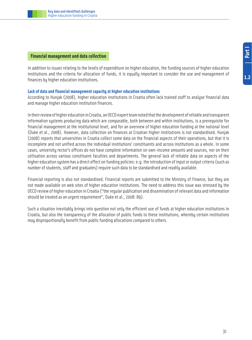# **Financial management and data collection**

In addition to issues relating to the levels of expenditure on higher education, the funding sources of higher education institutions and the criteria for allocation of funds, it is equally important to consider the use and management of finances by higher education institutions.

# **Lack of data and financial management capacity at higher education institutions**

According to Hunjak (2008), higher education institutions in Croatia often lack trained staff to analyse financial data and manage higher education institution finances.

In their review of higher education in Croatia, an OECD expert team noted that the development of reliable and transparent information systems producing data which are comparable, both between and within institutions, is a prerequisite for financial management at the institutional level, and for an overview of higher education funding at the national level (Duke et al., 2008). However, data collection on finances at Croatian higher institutions is not standardised. Hunjak (2008) reports that universities in Croatia collect some data on the financial aspects of their operations, but that it is incomplete and not unified across the individual institutions' constituents and across institutions as a whole. In some cases, university rector's offices do not have complete information on own-income amounts and sources, nor on their utilisation across various constituent faculties and departments. The general lack of reliable data on aspects of the higher education system has a direct effect on funding policies: e.g. the introduction of input or output criteria (such as number of students, staff and graduates) require such data to be standardised and readily available.

Financial reporting is also not standardised. Financial reports are submitted to the Ministry of Finance, but they are not made available on web sites of higher education institutions. The need to address this issue was stressed by the OECD review of higher education in Croatia ("the regular publication and dissemination of relevant data and information should be treated as an urgent requirement", Duke et al., 2008: 89).

Such a situation inevitably brings into question not only the efficient use of funds at higher education institutions in Croatia, but also the transparency of the allocation of public funds to these institutions, whereby certain institutions may disproportionally benefit from public funding allocations compared to others.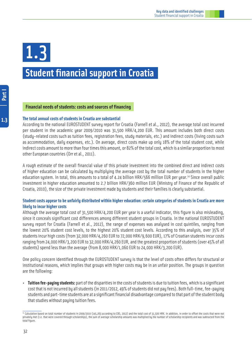# **Student financial support in Croatia** 1.3

 $1.3$ 

# **Financial needs of students: costs and sources of financing**

#### **The total annual costs of students in Croatia are substantial**

According to the national EUROSTUDENT survey report for Croatia (Farnell et al., 2012), the average total cost incurred per student in the academic year 2009/2010 was 31,500 HRK/4,200 EUR. This amount includes both direct costs (study-related costs such as tuition fees, registration fees, study materials, etc.) and indirect costs (living costs such as accommodation, daily expenses, etc.). On average, direct costs make up only 18% of the total student cost, while indirect costs amount to more than four times this amount, or 82% of the total cost, which is a similar proportion to most other European countries (Orr et al., 2011).

A rough estimate of the overall financial value of this private investment into the combined direct and indirect costs of higher education can be calculated by multiplying the average cost by the total number of students in the higher education system. In total, this amounts to a total of 4.24 billion HRK/566 million EUR per year.<sup>14</sup> Since overall public investment in higher education amounted to 2.7 billion HRK/360 million EUR (Ministry of Finance of the Republic of Croatia, 2010), the size of the private investment made by students and their families is clearly substantial.

# **Student costs appear to be unfairly distributed within higher education: certain categories of students in Croatia are more likely to incur higher costs**

Although the average total cost of 31,500 HRK/4,200 EUR per year is a useful indicator, this figure is also misleading, since it conceals significant cost differences among different student groups in Croatia. In the national EUROSTUDENT survey report for Croatia (Farnell et al., 2012), the range of expenses was analysed in cost quintiles, ranging from the lowest 20% student cost levels, to the highest 20% student cost levels. According to this analysis, over 35% of students incur high costs (from 32,000 HRK/4,260 EUR to 72,000 HRK/9,600 EUR), 17% of Croatian students incur costs ranging from 24,000 HRK/3,200 EUR to 32,000 HRK/4,260 EUR, and the greatest proportion of students (over 45% of all students) spend less than the average (from 8,000 HRK/1,060 EUR to 24,000 HRK/3,200 EUR).

One policy concern identified through the EUROSTUDENT survey is that the level of costs often differs for structural or institutional reasons, which implies that groups with higher costs may be in an unfair position. The groups in question are the following:

• **Tuition fee-paying students:** part of the disparities in the costs of students is due to tuition fees, which is a significant cost that is not incurred by all students (in 2011/2012, 49% of students did not pay fees). Both full-time, fee-paying students and part-time students are at a significant financial disadvantage compared to that part of the student body that studies without paying tuition fees.

<sup>&</sup>lt;sup>14</sup> Calculation based on total number of students in 2009/2010 (145,263 according to CBS, 2012) and the total cost of 31,500 HRK. In addition, in order to offset the costs that were not privately met (i.e. that were covered through scholarships), the sum of average scholarship amounts was multiplied by the number of scholarship recipients and was subtracted from the total figure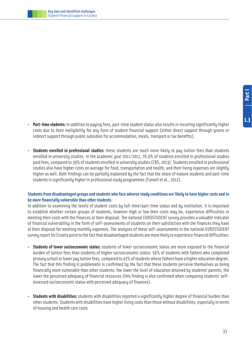

- 
- **Part-time students:** in addition to paying fees, part-time student status also results in incurring significantly higher costs due to their ineligibility for any form of student financial support (either direct support through grants or indirect support through public subsidies for accommodation, meals, transport or tax benefits).
- **Students enrolled in professional studies:** these students are much more likely to pay tuition fees than students enrolled in university studies. In the academic year 2011/2012, 76.9% of students enrolled in professional studies paid fees, compared to 39% of students enrolled in university studies (CBS, 2013). Students enrolled in professional studies also have higher costs on average for food, transportation and health, and their living expenses are slightly higher as well. Both findings can be partially explained by the fact that the share of mature students and part-time students is significantly higher in professional study programmes (Farnell et al., 2012).

# **Students from disadvantaged groups and students who face adverse study conditions are likely to have higher costs and to be more financially vulnerable than other students**

In addition to examining the levels of student costs by full-time/part-time status and by institution, it is important to establish whether certain groups of students, however high or low their costs may be, experience difficulties in meeting their costs with the finances at their disposal. The national EUROSTUDENT survey provides a valuable indicator of financial vulnerability in the form of self-assessments of students on their satisfaction with the finances they have at their disposal for meeting monthly expenses. The analyses of these self-assessments in the national EUROSTUDENT survey report for Croatia point to the fact that disadvantaged students are more likely to experience financial difficulties:

- **Students of lower socioeconomic status:** students of lower socioeconomic status are more exposed to the financial burden of tuition fees than students of higher socioeconomic status: 56% of students with fathers who completed primary school or lower pay tuition fees, compared to 43% of students whose fathers have a higher education degree. The fact that this finding is problematic is confirmed by the fact that these students perceive themselves as being financially more vulnerable than other students: the lower the level of education attained by students' parents, the lower the perceived adequacy of financial resources (this finding is also confirmed when comparing students' selfassessed socioeconomic status with perceived adequacy of finances).
- **Students with disabilities:** students with disabilities reported a significantly higher degree of financial burden than other students. Students with disabilities have higher living costs than those without disabilities, especially in terms of housing and health care costs.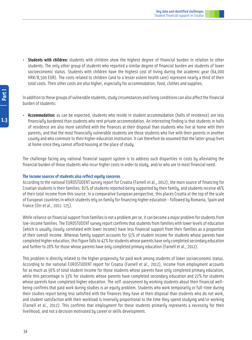• **Students with children:** students with children show the highest degree of financial burden in relation to other students. The only other group of students who reported a similar degree of financial burden are students of lower socioeconomic status. Students with children have the highest cost of living during the academic year (64,000 HRK/8,500 EUR). The costs related to children (and to a lesser extent health care) represent nearly a third of their total costs. Their other costs are also higher, especially for accommodation, food, clothes and supplies.

In addition to these groups of vulnerable students, study circumstances and living conditions can also affect the financial burden of students:

• **Accommodation:** as can be expected, students who reside in student accommodation (halls of residence) are less financially burdened than students who rent private accommodation. An interesting finding is that students in halls of residence are also more satisfied with the finances at their disposal than students who live at home with their parents, and that the most financially vulnerable students are those students who live with their parents in another county and who commute to their higher education institution. It can therefore be assumed that the latter group lives at home since they cannot afford housing at the place of study.

The challenge facing any national financial support system is to address such disparities in costs by alleviating the financial burden of those students who incur higher costs in order to study, and/or who are in most financial need.

# **The income sources of students also reflect equity concerns**

According to the national EUROSTUDENT survey report for Croatia (Farnell et al., 2012), the main source of financing for Croatian students is their families: 82% of students reported being supported by their family, and students receive 46% of their total income from this source. In a comparative European perspective, this places Croatia at the top of the scale of European countries in which students rely on family for financing higher education - followed by Romania, Spain and France (Orr et al., 2011: 125).

While reliance on financial support from families is not a problem *per se*, it can become a major problem for students from low-income families. The EUROSTUDENT survey report confirms that students from families with lower levels of education (which is usually closely correlated with lower income) have less financial support from their families as a proportion of their overall income. Whereas family support accounts for 51% of student income for students whose parents have completed higher education, this figure falls to 42% for students whose parents have only completed secondary education and further to 28% for those whose parents have only completed primary education (Farnell et al., 2012).

This problem is directly related to the higher propensity for paid work among students of lower socioeconomic status. According to the national EUROSTUDENT report for Croatia (Farnell et al., 2012), income from employment accounts for as much as 56% of total student income for those students whose parents have only completed primary education, while this percentage is 33% for students whose parents have completed secondary education and 22% for students whose parents have completed higher education. The self-assessment by working students about their financial wellbeing confirms that paid work during studies is an equity problem. Students who work temporarily or full-time during their studies report being less satisfied with the finances they have at their disposal than students who do not work, and student satisfaction with their workload is inversely proportional to the time they spend studying and/or working (Farnell et al., 2012). This confirms that employment for these students primarily represents a necessity for their livelihood, and not a decision motivated by career or skills development.

 $1.3$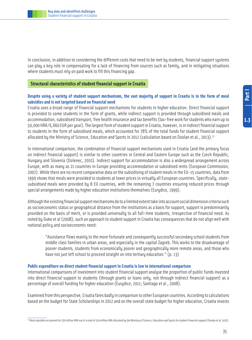In conclusion, in addition to considering the different costs that need to be met by students, financial support systems can play a key role in compensating for a lack of financing from sources such as family, and in mitigating situations where students must rely on paid work to fill this financing gap.

#### **Structural characteristics of student financial support in Croatia**

# **Despite using a variety of student support mechanisms, the vast majority of support in Croatia is in the form of meal subsidies and is not targeted based on financial need**

Croatia uses a broad range of financial support mechanisms for students in higher education. Direct financial support is provided to some students in the form of grants, while indirect support is provided through subsidised meals and accommodation, subsidised transport, free health insurance and tax benefits (tax-free work for students who earn up to 50,000 HRK/6,660 EUR per year). The largest form of student support in Croatia, however, is in indirect financial support to students in the form of subsidised meals, which accounted for 78% of the total funds for student financial support allocated by the Ministry of Science, Education and Sports in 2012 (calculation based on Doolan et al., 2013).<sup>15</sup>

In international comparison, the combination of financial support mechanisms used in Croatia (and the primary focus on indirect financial support) is similar to other countries in Central and Eastern Europe such as the Czech Republic, Hungary and Slovenia (Dolenec, 2010). Indirect support for accommodation is also a widespread arrangement across Europe, with as many as 21 countries in Europe providing accommodation at subsidised rents (European Commission, 2007). While there are no recent comparative data on the subsidising of student meals in the EU-15 countries, data from 1999 shows that meals were provided to students at lower prices in virtually all European countries. Specifically, statesubsidised meals were provided by 8 EU countries, with the remaining 7 countries ensuring reduced prices through special arrangements made by higher education institutions themselves (Eurydice, 1999).

Although the existing financial support mechanisms do to a limited extent take into account social dimension criteria such as socioeconomic status or geographical distance from the institutions as a basis for support, support is predominantly provided on the basis of merit, or is provided universally to all full-time students, irrespective of financial need. As noted by Duke et al (2008), such an approach to student support in Croatia has consequences that do not align well with national policy and socioeconomic need:

"Assistance flows mainly to the more fortunate and consequently successful secondary school students from middle class families in urban areas, and especially in the capital Zagreb. This works to the disadvantage of poorer students, students from economically poorer and geographically more remote areas, and those who have not just left school to proceed straight on into tertiary education." (p. 13)

#### **Public expenditure on direct student financial support in Croatia is low in international comparison**

International comparisons of investment into student financial support analyse the proportion of public funds invested into direct financial support to students (through grants or loans only, not through indirect financial support) as a percentage of overall funding for higher education (Eurydice, 2011; Santiago et al., 2008).

Examined from this perspective, Croatia fares badly in comparison to other European countries. According to calculations based on the budget for State Scholarships in 2012 and on the overall state budget for higher education, Croatia invests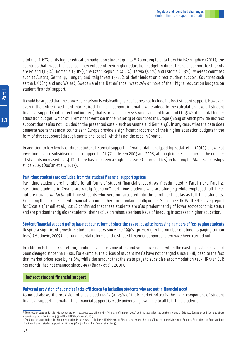a total of 1.62% of its higher education budget on student grants.<sup>16</sup> According to data from EACEA/Eurydice (2011), the countries that invest the least as a percentage of their higher education budget in direct financial support to students are Poland (1.5%), Romania (3.8%), the Czech Republic (4.2%), Latvia (5.1%) and Estonia (6.3%), whereas countries such as Austria, Germany, Hungary and Italy invest 15-20% of their budget on direct student support. Countries such as the UK (England and Wales), Sweden and the Netherlands invest 25% or more of their higher education budgets on student financial support.

It could be argued that the above comparison is misleading, since it does not include indirect student support. However, even if the entire investment into indirect financial support in Croatia were added to the calculation, overall student financial support (both direct and indirect) that is provided by MSES would amount to around 11.65%<sup>17</sup> of the total higher education budget, which still remains lower than in the majority of countries in Europe (many of which provide indirect support that is also not included in the presented data - such as Austria and Germany). In any case, what the data does demonstrate is that most countries in Europe provide a significant proportion of their higher education budgets in the form of direct support (through grants and loans), which is not the case in Croatia.

In addition to low levels of direct student financial support in Croatia, data analysed by Budak et al (2010) show that investments into subsidised meals dropped by 21.7% between 2003 and 2008, although in the same period the number of students increased by 14.1%. There has also been a slight decrease (of around 6%) in funding for State Scholarships since 2005 (Doolan et al., 2013).

#### **Part-time students are excluded from the student financial support system**

Part-time students are ineligible for all forms of student financial support. As already noted in Part I.1 and Part I.2, part-time students in Croatia are rarely "genuine" part-time students who are studying while employed full-time, but are usually de facto full-time students who were not accepted into the enrolment quotas as full-time students. Excluding them from student financial support is therefore fundamentally unfair. Since the EUROSTUDENT survey report for Croatia (Farnell et al., 2012) confirmed that these students are also predominantly of lower socioeconomic status and are predominantly older students, their exclusion raises a serious issue of inequity in access to higher education.

#### **Student financial support policy has not been reformed since the 1990s, despite increasing numbers of fee-paying students**

Despite a significant growth in student numbers since the 1990s (primarily in the number of students paying tuition fees) (Matković, 2009), no fundamental reforms of the student financial support system have been carried out.

In addition to the lack of reform, funding levels for some of the individual subsidies within the existing system have not been changed since the 1990s. For example, the prices of student meals have not changed since 1998, despite the fact that market prices rose by 41,6%, while the amount that the state pays to subsidise accommodation (105 HRK/14 EUR per month) has not changed since 1993 (Budak et al., 2010).

#### **Indirect student financial support**

#### **Universal provision of subsidies lacks efficiency by including students who are not in financial need**

As noted above, the provision of subsidised meals (at 25% of their market price) is the main component of student financial support in Croatia. This financial support is made universally available to all full-time students.

<sup>16</sup> The Croatian state budget for higher education in 2012 was 2.71 billion HRK (Ministry of Finance, 2012) and the total allocated by the Ministry of Science, Education and Sports to direct student support in 2012 was 44.95 million HRK (Doolan et al, 2013).

<sup>&</sup>lt;sup>17</sup> The Croatian state budget for higher education in 2012 was 2.71 billion HRK (Ministry of Finance, 2012) and the total allocated by the Ministry of Science, Education and Sports to both direct and indirect student support in 2012 was 316.45 million HRK (Doolan et al, 2013).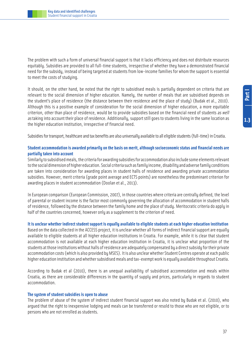The problem with such a form of universal financial support is that it lacks efficiency and does not distribute resources equitably. Subsidies are provided to all full-time students, irrespective of whether they have a demonstrated financial need for the subsidy, instead of being targeted at students from low-income families for whom the support is essential to meet the costs of studying.

It should, on the other hand, be noted that the right to subsidised meals is partially dependent on criteria that are relevant to the social dimension of higher education. Namely, the number of meals that are subsidised depends on the student's place of residence (the distance between their residence and the place of study) (Budak et al., 2010). Although this is a positive example of consideration for the social dimension of higher education, a more equitable criterion, other than place of residence, would be to provide subsidies based on the financial need of students as well as taking into account their place of residence. Additionally, support still goes to students living in the same location as the higher education institution, irrespective of financial need.

Subsidies for transport, healthcare and tax benefits are also universally available to all eligible students (full-time) in Croatia.

#### **Student accommodation is awarded primarily on the basis on merit, although socioeconomic status and financial needs are partially taken into account**

Similarly to subsidised meals, the criteria for awarding subsidies for accommodation also include some elements relevant to the social dimension of higher education. Social criteria such as family income, disability and adverse family conditions are taken into consideration for awarding places in student halls of residence and awarding private accommodation subsidies. However, merit criteria (grade point average and ECTS points) are nonetheless the predominant criterion for awarding places in student accommodation (Doolan et al., 2013).

In European comparison (European Commission, 2007), in those countries where criteria are centrally defined, the level of parental or student income is the factor most commonly governing the allocation of accommodation in student halls of residence, followed by the distance between the family home and the place of study. Meritocratic criteria do apply in half of the countries concerned, however only as a supplement to the criterion of need.

#### **It is unclear whether indirect student support is equally available to eligible students at each higher education institution**

Based on the data collected in the ACCESS project, it is unclear whether all forms of indirect financial support are equally available to eligible students at all higher education institutions in Croatia. For example, while it is clear that student accommodation is not available at each higher education institution in Croatia, it is unclear what proportion of the students at those institutions without halls of residence are adequately compensated by a direct subsidy for their private accommodation costs (which is also provided by MSES). It is also unclear whether Student Centres operate at each public higher education institution and whether subsidised meals and tax-exempt work is equally available throughout Croatia.

According to Budak et al (2010), there is an unequal availability of subsidised accommodation and meals within Croatia, as there are considerable differences in the quantity of supply and prices, particularly in regards to student accommodation.

#### **The system of student subsidies is open to abuse**

The problem of abuse of the system of indirect student financial support was also noted by Budak et al. (2010), who argued that the right to inexpensive lodging and meals can be transferred or resold to those who are not eligible, or to persons who are not enrolled as students.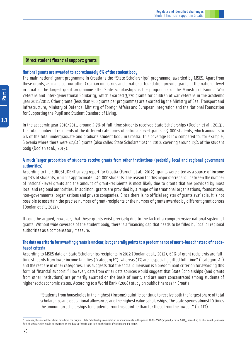#### **Direct student financial support: grants**

#### **National grants are awarded to approximately 6% of the student body**

The main national grant programme in Croatia is the "State Scholarships" programme, awarded by MSES. Apart from these grants, as many as four other Croatian ministries and a national foundation provide grants at the national level in Croatia. The largest grant programme after State Scholarships is the programme of the Ministry of Family, War Veterans and Inter-generational Solidarity, which awarded 3,770 grants for children of war veterans in the academic year 2011/2012. Other grants (less than 500 grants per programme) are awarded by the Ministry of Sea, Transport and Infrastructure, Ministry of Defence, Ministry of Foreign Affairs and European Integration and the National Foundation for Supporting the Pupil and Student Standard of Living.

In the academic year 2010/2011, around 3.7% of full-time students received State Scholarships (Doolan et al., 2013). The total number of recipients of the different categories of national-level grants is 9,000 students, which amounts to 6% of the total undergraduate and graduate student body in Croatia. This coverage is low compared to, for example, Slovenia where there were 42,646 grants (also called State Scholarships) in 2010, covering around 23% of the student body (Doolan et al., 2013).

#### **A much larger proportion of students receive grants from other institutions (probably local and regional government authorities)**

According to the EUROSTUDENT survey report for Croatia (Farnell et al., 2012), grants were cited as a source of income by 28% of students, which is approximately 40,000 students. The reason for this major discrepancy between the number of national-level grants and the amount of grant-recipients is most likely due to grants that are provided by most local and regional authorities. In addition, grants are provided by a range of international organisations, foundations, non-governmental organisations and private companies. Since there is no official register of grants available, it is not possible to ascertain the precise number of grant-recipients or the number of grants awarded by different grant donors (Doolan et al., 2013).

It could be argued, however, that these grants exist precisely due to the lack of a comprehensive national system of grants. Without wide coverage of the student body, there is a financing gap that needs to be filled by local or regional authorities as a compensatory measure.

#### **The data on criteria for awarding grants is unclear, but generally points to a predominance of merit-based instead of needsbased criteria**

According to MSES data on State Scholarships recipients in 2012 (Doolan et al., 2013), 63% of grant recipients are fulltime students from lower income families ("category E"), whereas 31% are "especially gifted full-time" ("category A") and the rest are in other categories. This suggests that the social dimension is a predominant criterion for awarding this form of financial support.<sup>18</sup> However, data from other data sources would suggest that State Scholarships (and grants from other institutions) are primarily awarded on the basis of merit, and are more concentrated among students of higher socioeconomic status. According to a World Bank (2008) study on public finances in Croatia:

"Students from households in the highest (income) quintile continue to receive both the largest share of total scholarships and educational allowances and the highest value scholarships. The state spends almost 10 times the amount on scholarships for students from this quintile than for those from the lowest." (p. 117)

 $1.3$ 

38

<sup>18</sup> However, this data differs from data from the original State Scholarships competition announcements in the period 2006-2007 (Stipendije.info, 2012), according to which each year over 60% of scholarships would be awarded on the basis of merit, and 30% on the basis of socioeconomic status.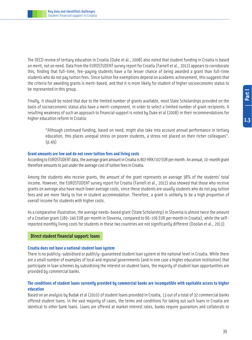The OECD review of tertiary education in Croatia (Duke et al., 2008) also noted that student funding in Croatia is based on merit, not on need. Data from the EUROSTUDENT survey report for Croatia (Farnell et al., 2012) appears to corroborate this, finding that full-time, fee-paying students have a far lesser chance of being awarded a grant than full-time students who do not pay tuition fees. Since tuition fee exemptions depend on academic achievement, this suggests that the criteria for awarding grants is merit-based, and that it is more likely for student of higher socioeconomic status to be represented in this group.

Finally, it should be noted that due to the limited number of grants available, most State Scholarships provided on the basis of socioeconomic status also have a merit-component, in order to select a limited number of grant recipients. A resulting weakness of such an approach to financial support is noted by Duke et al (2008) in their recommendations for higher education reform in Croatia:

"Although continued funding, based on need, might also take into account annual performance in tertiary education, this places unequal stress on poorer students, a stress not placed on their richer colleagues".  $(p.49)$ 

#### **Grant amounts are low and do not cover tuition fees and living costs**

According to EUROSTUDENT data, the average grant amount in Croatia is 807 HRK/107 EUR per month. An annual, 10-month grant therefore amounts to just under the average cost of tuition fees in Croatia.

Among the students who receive grants, the amount of the grant represents on average 38% of the students' total income. However, the EUROSTUDENT survey report for Croatia (Farnell et al., 2012) also showed that those who receive grants on average also have much lower average costs, since these students are usually students who do not pay tuition fees and are more likely to live in student accommodation. Therefore, a grant is unlikely to be a high proportion of overall income for students with higher costs.

As a comparative illustration, the average needs-based grant (State Scholarship) in Slovenia is almost twice the amount of a Croatian grant (180-240 EUR per month in Slovenia, compared to 66-106 EUR per month in Croatia), while the selfreported monthly living costs for students in these two countries are not significantly different (Doolan et al., 2013).

#### **Direct student financial support: loans**

#### **Croatia does not have a national student loan system**

There is no publicly-subsidised or publicly-guaranteed student loan system at the national level in Croatia. While there are a small number of examples of local and regional governments (and in one case a higher education institution) that participate in loan schemes by subsidising the interest on student loans, the majority of student loan opportunities are provided by commercial banks.

#### **The conditions of student loans currently provided by commercial banks are incompatible with equitable access to higher education**

Based on an analysis by Budak et al (2010) of student loans provided in Croatia, 13 out of a total of 32 commercial banks offered student loans. In the vast majority of cases, the terms and conditions for taking out such loans in Croatia are identical to other bank loans. Loans are offered at market interest rates, banks require guarantors and collaterals to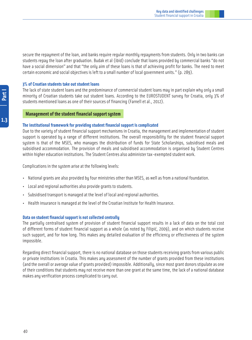secure the repayment of the loan, and banks require regular monthly repayments from students. Only in two banks can students repay the loan after graduation. Budak et al (ibid) conclude that loans provided by commercial banks "do not have a social dimension" and that "the only aim of these loans is that of achieving profit for banks. The need to meet certain economic and social objectives is left to a small number of local government units." (p. 289).

#### **3% of Croatian students take out student loans**

The lack of state student loans and the predominance of commercial student loans may in part explain why only a small minority of Croatian students take out student loans. According to the EUROSTUDENT survey for Croatia, only 3% of students mentioned loans as one of their sources of financing (Farnell et al., 2012).

#### **Management of the student financial support system**

#### **The institutional framework for providing student financial support is complicated**

Due to the variety of student financial support mechanisms in Croatia, the management and implementation of student support is operated by a range of different institutions. The overall responsibility for the student financial support system is that of the MSES, who manages the distribution of funds for State Scholarships, subsidised meals and subsidised accommodation. The provision of meals and subsidised accommodation is organised by Student Centres within higher education institutions. The Student Centres also administer tax-exempted student work.

Complications in the system arise at the following levels:

- National grants are also provided by four ministries other than MSES, as well as from a national foundation.
- Local and regional authorities also provide grants to students.
- Subsidised transport is managed at the level of local and regional authorities.
- Health insurance is managed at the level of the Croatian Institute for Health Insurance.

#### **Data on student financial support is not collected centrally**

The partially centralised system of provision of student financial support results in a lack of data on the total cost of different forms of student financial support as a whole (as noted by Filipić, 2009), and on which students receive such support, and for how long. This makes any detailed evaluation of the efficiency or effectiveness of the system impossible.

Regarding direct financial support, there is no national database on those students receiving grants from various public or private institutions in Croatia. This makes any assessment of the number of grants provided from these institutions (and the overall or average value of grants provided) impossible. Additionally, since most grant donors stipulate as one of their conditions that students may not receive more than one grant at the same time, the lack of a national database makes any verification process complicated to carry out.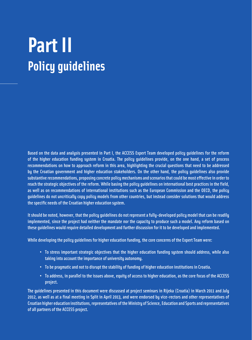## **Part II Policy guidelines**

Based on the data and analysis presented in Part I, the ACCESS Expert Team developed policy guidelines for the reform of the higher education funding system in Croatia. The policy guidelines provide, on the one hand, a set of process recommendations on how to approach reform in this area, highlighting the crucial questions that need to be addressed by the Croatian government and higher education stakeholders. On the other hand, the policy guidelines also provide substantive recommendations, proposing concrete policy mechanisms and scenarios that could be most effective in order to reach the strategic objectives of the reform. While basing the policy guidelines on international best practices in the field, as well as on recommendations of international institutions such as the European Commission and the OECD, the policy guidelines do not uncritically copy policy models from other countries, but instead consider solutions that would address the specific needs of the Croatian higher education system.

It should be noted, however, that the policy guidelines do not represent a fully-developed policy model that can be readily implemented, since the project had neither the mandate nor the capacity to produce such a model. Any reform based on these guidelines would require detailed development and further discussion for it to be developed and implemented.

While developing the policy guidelines for higher education funding, the core concerns of the Expert Team were:

- • To stress important strategic objectives that the higher education funding system should address, while also taking into account the importance of university autonomy.
- To be pragmatic and not to disrupt the stability of funding of higher education institutions in Croatia.
- • To address, in parallel to the issues above, equity of access to higher education, as the core focus of the ACCESS project.

The guidelines presented in this document were discussed at project seminars in Rijeka (Croatia) in March 2011 and July 2012, as well as at a final meeting in Split in April 2013, and were endorsed by vice-rectors and other representatives of Croatian higher education institutions, representatives of the Ministry of Science, Education and Sports and representatives of all partners of the ACCESS project.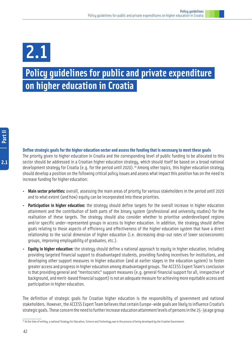# 2.1

### **Policy guidelines for public and private expenditure on higher education in Croatia**

#### **Define strategic goals for the higher education sector and assess the funding that is necessary to meet these goals**

The priority given to higher education in Croatia and the corresponding level of public funding to be allocated to this sector should be addressed in a Croatian higher education strategy, which should itself be based on a broad national development strategy for Croatia (e.g. for the period until 2020).<sup>19</sup> Among other topics, this higher education strategy should develop a position on the following critical policy issues and assess what impact this position has on the need to increase funding for higher education:

- **Main sector priorities:** overall, assessing the main areas of priority for various stakeholders in the period until 2020 and to what extent (and how) equity can be incorporated into these priorities.
- **Participation in higher education:** the strategy should define targets for the overall increase in higher education attainment and the contribution of both parts of the binary system (professional and university studies) for the realisation of these targets. The strategy should also consider whether to prioritise underdeveloped regions and/or specific under-represented groups in access to higher education. In addition, the strategy should define goals relating to those aspects of efficiency and effectiveness of the higher education system that have a direct relationship to the social dimension of higher education (i.e. decreasing drop-out rates of lower socioeconomic groups, improving employability of graduates, etc.).
- **Equity in higher education:** the strategy should define a national approach to equity in higher education, including providing targeted financial support to disadvantaged students, providing funding incentives for institutions, and developing other support measures in higher education (and at earlier stages in the education system) to foster greater access and progress in higher education among disadvantaged groups. The ACCESS Expert Team's conclusion is that providing general and "meritocratic" support measures (e.g. general financial support for all, irrespective of background, and merit-based financial support) is not an adequate measure for achieving more equitable access and participation in higher education.

The definition of strategic goals for Croatian higher education is the responsibility of government and national stakeholders. However, the ACCESS Expert Team believes that certain Europe-wide goals are likely to influence Croatia's strategic goals. These concern the need to further increase education attainment levels of persons in the 25-34 age group

<sup>&</sup>lt;sup>19</sup> At the time of writing, a national Strategy for Education, Science and Technology was in the process of being developed by the Croatian Government.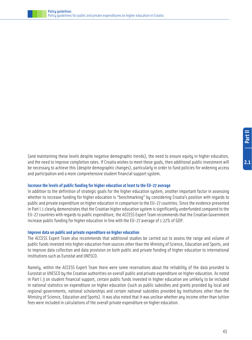

(and maintaining these levels despite negative demographic trends), the need to ensure equity in higher education, and the need to improve completion rates. If Croatia wishes to meet these goals, then additional public investment will be necessary to achieve this (despite demographic changes), particularly in order to fund policies for widening access and participation and a more comprehensive student financial support system.

#### **Increase the levels of public funding for higher education at least to the EU-27 average**

In addition to the definition of strategic goals for the higher education system, another important factor in assessing whether to increase funding for higher education is "benchmarking" by considering Croatia's position with regards to public and private expenditure on higher education in comparison to the EU-27 countries. Since the evidence presented in Part I.1 clearly demonstrates that the Croatian higher education system is significantly underfunded compared to the EU-27 countries with regards to public expenditure, the ACCESS Expert Team recommends that the Croatian Government increase public funding for higher education in line with the EU-27 average of 1.22% of GDP.

#### **Improve data on public and private expenditure on higher education**

The ACCESS Expert Team also recommends that additional studies be carried out to assess the range and volume of public funds invested into higher education from sources other than the Ministry of Science, Education and Sports, and to improve data collection and data provision on both public and private funding of higher education to international institutions such as Eurostat and UNESCO.

Namely, within the ACCESS Expert Team there were some reservations about the reliability of the data provided to Eurostat or UNESCO by the Croatian authorities on overall public and private expenditure on higher education. As noted in Part I.3 on student financial support, certain public funds invested in higher education are unlikely to be included in national statistics on expenditure on higher education (such as public subsidies and grants provided by local and regional governments, national scholarships and certain national subsidies provided by institutions other than the Ministry of Science, Education and Sports). It was also noted that it was unclear whether any income other than tuition fees were included in calculations of the overall private expenditure on higher education.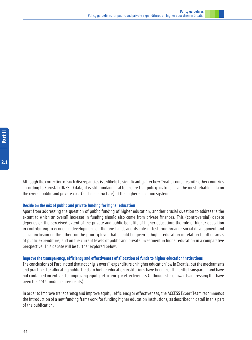$2.1$ 

Although the correction of such discrepancies is unlikely to significantly alter how Croatia compares with other countries according to Eurostat/UNESCO data, it is still fundamental to ensure that policy-makers have the most reliable data on the overall public and private cost (and cost structure) of the higher education system.

#### **Decide on the mix of public and private funding for higher education**

Apart from addressing the question of public funding of higher education, another crucial question to address is the extent to which an overall increase in funding should also come from private finances. This (controversial) debate depends on the perceived extent of the private and public benefits of higher education; the role of higher education in contributing to economic development on the one hand, and its role in fostering broader social development and social inclusion on the other: on the priority level that should be given to higher education in relation to other areas of public expenditure; and on the current levels of public and private investment in higher education in a comparative perspective. This debate will be further explored below.

#### **Improve the transparency, efficiency and effectiveness of allocation of funds to higher education institutions**

The conclusions of Part I noted that not only is overall expenditure on higher education low in Croatia, but the mechanisms and practices for allocating public funds to higher education institutions have been insufficiently transparent and have not contained incentives for improving equity, efficiency or effectiveness (although steps towards addressing this have been the 2012 funding agreements).

In order to improve transparency and improve equity, efficiency or effectiveness, the ACCESS Expert Team recommends the introduction of a new funding framework for funding higher education institutions, as described in detail in this part of the publication.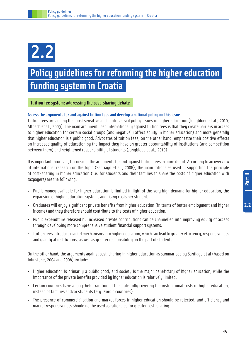## 2.2

### **Policy guidelines for reforming the higher education funding system in Croatia**

#### **Tuition fee system: addressing the cost-sharing debate**

#### **Assess the arguments for and against tuition fees and develop a national policy on this issue**

Tuition fees are among the most sensitive and controversial policy issues in higher education (Jongbloed et al., 2010; Altbach et al., 2009). The main argument used internationally against tuition fees is that they create barriers in access to higher education for certain social groups (and negatively affect equity in higher education) and more generally that higher education is a public good. Advocates of tuition fees, on the other hand, emphasize their positive effects on increased quality of education by the impact they have on greater accountability of institutions (and competition between them) and heightened responsibility of students (Jongbloed et al., 2010).

It is important, however, to consider the arguments for and against tuition fees in more detail. According to an overview of international research on the topic (Santiago et al., 2008), the main rationales used in supporting the principle of cost-sharing in higher education (i.e. for students and their families to share the costs of higher education with taxpayers) are the following:

- Public money available for higher education is limited in light of the very high demand for higher education, the expansion of higher education systems and rising costs per student.
- Graduates will enjoy significant private benefits from higher education (in terms of better employment and higher income) and they therefore should contribute to the costs of higher education.
- Public expenditure released by increased private contributions can be channelled into improving equity of access through developing more comprehensive student financial support systems.
- Tuition fees introduce market mechanisms into higher education, which can lead to greater efficiency, responsiveness and quality at institutions, as well as greater responsibility on the part of students.

On the other hand, the arguments against cost-sharing in higher education as summarised by Santiago et al (based on Johnstone, 2004 and 2006) include:

- Higher education is primarily a public good, and society is the major beneficiary of higher education, while the importance of the private benefits provided by higher education is relatively limited.
- Certain countries have a long-held tradition of the state fully covering the instructional costs of higher education, instead of families and/or students (e.g. Nordic countries).
- The presence of commercialisation and market forces in higher education should be rejected, and efficiency and market responsiveness should not be used as rationales for greater cost-sharing.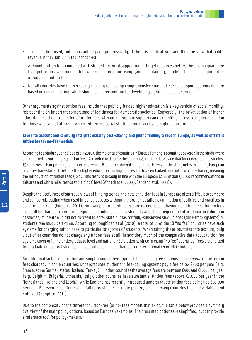- Taxes can be raised, both substantially and progressively, if there is political will, and thus the view that public revenue is inevitably limited is incorrect.
- Although tuition fees combined with student financial support might target resources better, there is no guarantee that politicians will indeed follow through on prioritising (and maintaining) student financial support after introducing tuition fees.
- Not all countries have the necessary capacity to develop comprehensive student financial support systems that are based on means-testing, which should be a precondition for developing significant cost-sharing.

Other arguments against tuition fees include that publicly funded higher education is a key vehicle of social mobility, representing an important cornerstone of legitimacy for democratic societies. Conversely, the privatisation of higher education and the introduction of tuition fees without appropriate support can risk limiting access to higher education for those who cannot afford it, which entrenches social stratification in access to higher education.

#### **Take into account and carefully interpret existing cost-sharing and public funding trends in Europe, as well as different tuition fee (or no-fee) models**

According to a study by Jongbloed et al (2010), the majority of countries in Europe (among 33 countries covered in the study) were still reported as not charging tuition fees. According to data for the year 2008, the trends showed that for undergraduate studies, 15 countries in Europe charged tuition fees, while 18 countries did not charge fees. However, the study notes that many European countries have started to rethink their higher education funding policies and have embarked on a policy of cost-sharing, meaning the introduction of tuition fees (ibid). This trend is broadly in line with the European Commission (2006) recommendations in this area and with similar trends at the global level (Altbach et al., 2009; Santiago et al., 2008).

Despite the usefulness of such overviews of funding trends, the data on tuition fees in Europe are often difficult to compare and can be misleading when used in policy debates without a thorough detailed examination of policies and practices in specific countries. (Eurydice, 2011). For example, in countries that are categorised as having no tuition fees, tuition fees may still be charged to certain categories of students, such as students who study beyond the official maximal duration of studies, students who did not succeed to enter state quotas for fully-subsidised study places (dual-track systems) or students who study part-time. According to Jongbloed et al (2010), a total of 11 of the 18 "no fee" countries have such systems for charging tuition fees to particular categories of students. When taking these countries into account, only 7 out of 33 countries do not charge any tuition fees at all. In addition, much of the comparative data about tuition fee systems cover only the undergraduate level and national/EU students, since in many "no fee" countries, fees are charged for graduate or doctoral studies, and special fees may be charged for international (non-EU) students.

An additional factor complicating any simple comparative approach to analysing fee systems is the *amount* of the tuition fees charged. In some countries, undergraduate students in fee-paying systems pay a fee below  $E$ 500 per year (e.g. France, some German states, Iceland, Turkey), in other countries the average fees are between  $\epsilon$ 500 and  $\epsilon$ 1,000 per year (e.g. Belgium, Bulgaria, Lithuania, Italy), other countries have substantial tuition fees (above  $\epsilon$ 1,000 per year in the Netherlands, Ireland and Latvia), while England has recently introduced undergraduate tuition fees as high as €10,000 per year. But even these figures can fail to provide an accurate picture, since in many countries fees are variable, and not fixed (Eurydice, 2011).

Due to the complexity of the different tuition-fee (or no-fee) models that exist, the table below provides a summary overview of the main policy options, based on European examples. The presented options are simplified, but can provide a reference tool for policy-makers.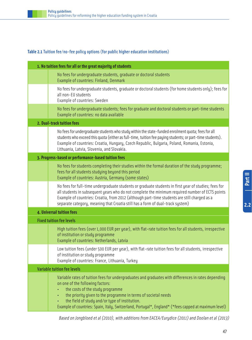#### **Table 2.1** Tuition fee/no-fee policy options (for public higher education institutions)

| 1. No tuition fees for all or the great majority of students                                                                                                                                                                                                                                                                                                                                                         |
|----------------------------------------------------------------------------------------------------------------------------------------------------------------------------------------------------------------------------------------------------------------------------------------------------------------------------------------------------------------------------------------------------------------------|
| No fees for undergraduate students, graduate or doctoral students<br>Example of countries: Finland, Denmark                                                                                                                                                                                                                                                                                                          |
| No fees for undergraduate students, graduate or doctoral students (for home students only); fees for<br>all non-EU students<br>Example of countries: Sweden                                                                                                                                                                                                                                                          |
| No fees for undergraduate students; fees for graduate and doctoral students or part-time students<br>Example of countries: no data available                                                                                                                                                                                                                                                                         |
| 2. Dual-track tuition fees                                                                                                                                                                                                                                                                                                                                                                                           |
| No fees for undergraduate students who study within the state-funded enrolment quota; fees for all<br>students who exceed this quota (either as full-time, tuition fee paying students; or part-time students).<br>Example of countries: Croatia, Hungary, Czech Republic, Bulgaria, Poland, Romania, Estonia,<br>Lithuania, Latvia, Slovenia, and Slovakia.                                                         |
| 3. Progress-based or performance-based tuition fees                                                                                                                                                                                                                                                                                                                                                                  |
| No fees for students completing their studies within the formal duration of the study programme;<br>fees for all students studying beyond this period<br>Example of countries: Austria, Germany (some states)                                                                                                                                                                                                        |
| No fees for full-time undergraduate students or graduate students in first year of studies; fees for<br>all students in subsequent years who do not complete the minimum required number of ECTS points<br>Example of countries: Croatia, from 2012 (although part-time students are still charged as a<br>separate category, meaning that Croatia still has a form of dual-track system)                            |
| 4. Universal tuition fees                                                                                                                                                                                                                                                                                                                                                                                            |
| <b>Fixed tuition fee levels</b>                                                                                                                                                                                                                                                                                                                                                                                      |
| High tuition fees (over 1,000 EUR per year), with flat-rate tuition fees for all students, irrespective<br>of institution or study programme<br>Example of countries: Netherlands, Latvia                                                                                                                                                                                                                            |
| Low tuition fees (under 500 EUR per year), with flat-rate tuition fees for all students, irrespective<br>of institution or study programme<br>Example of countries: France, Lithuania, Turkey                                                                                                                                                                                                                        |
| <b>Variable tuition fee levels</b>                                                                                                                                                                                                                                                                                                                                                                                   |
| Variable rates of tuition fees for undergraduates and graduates with differences in rates depending<br>on one of the following factors:<br>the costs of the study programme<br>the priority given to the programme in terms of societal needs<br>$\bullet$<br>the field of study and/or type of institution.<br>Example of countries: Spain, Italy, Switzerland, Portugal*, England* (*fees capped at maximum level) |

Based on Jongbloed et al (2010), with additions from EACEA/Eurydice (2011) and Doolan et al (2013)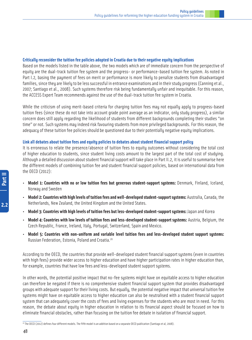#### **Critically reconsider the tuition fee policies adopted in Croatia due to their negative equity implications**

Based on the models listed in the table above, the two models which are of immediate concern from the perspective of equity are the dual-track tuition fee system and the progress- or performance-based tuition fee system. As noted in Part I.2, basing the payment of fees on merit or performance is more likely to penalize students from disadvantaged families, since they are likely to be less successful in entrance examinations and in their study progress (Canning et al., 2007; Santiago et al., 2008). Such systems therefore risk being fundamentally unfair and inequitable. For this reason, the ACCESS Expert Team recommends against the use of the dual-track tuition fee sustem in Croatia.

While the criticism of using merit-based criteria for charging tuition fees may not equally apply to progress-based tuition fees (since these do not take into account grade point average as an indicator, only study progress), a similar concern does still apply regarding the likelihood of students from different backgrounds completing their studies "on time" or not. Such systems may indeed risk favouring students from more privileged backgrounds. For this reason, the adequacy of these tuition fee policies should be questioned due to their potentially negative equity implications.

#### **Link all debates about tuition fees and equity policies to debates about student financial support policy**

It is erroneous to relate the presence/absence of tuition fees to equity outcomes without considering the total cost of higher education to students, since student living costs amount to the largest part of the total cost of studying. Although a detailed discussion about student financial support will take place in Part II.2, it is useful to summarise here the different models of combining tuition fee and student financial support policies, based on international data from the OECD (2012):

- **Model 1: Countries with no or low tuition fees but generous student-support systems:** Denmark, Finland, Iceland, Norway and Sweden
- **Model 2: Countries with high levels of tuition fees and well-developed student-support systems:** Australia, Canada, the Netherlands, New Zealand, the United Kingdom and the United States.
- **Model 3: Countries with high levels of tuition fees but less-developed student-support systems:** Japan and Korea
- **Model 4: Countries with low levels of tuition fees and less-developed student-support systems:** Austria, Belgium, the Czech Republic, France, Ireland, Italy, Portugal, Switzerland, Spain and Mexico.
- **Model 5: Countries with non-uniform and variable level tuition fees and less-developed student support systems:** Russian Federation, Estonia, Poland and Croatia.<sup>20</sup>

According to the OECD, the countries that provide well-developed student financial support systems (even in countries with high fees) provide wider access to higher education and have higher participation rates in higher education than, for example, countries that have low fees and less-developed student support systems.

In other words, the potential positive impact that no-fee systems might have on equitable access to higher education can therefore be negated if there is no comprehensive student financial support system that provides disadvantaged groups with adequate support for their living costs. But equally, the potential negative impact that universal tuition fee systems might have on equitable access to higher education can also be neutralised with a student financial support system that can adequately cover the costs of fees and living expenses for the students who are most in need. For this reason, the debate about equity in higher education in relation to its financial aspect should be focused on how to eliminate financial obstacles, rather than focusing on the tuition fee debate in isolation of financial support.

 $2.2$ 

48

 $^{\overline{20}}$  The OECD (2012) defines four different models. The fifth model is an addition based on a separate OECD publication (Santiago et al, 2008).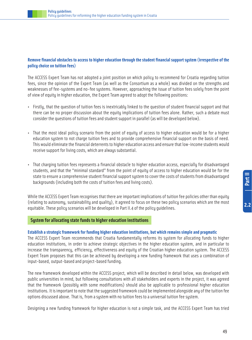#### **Remove financial obstacles to access to higher education through the student financial support system (irrespective of the policy choice on tuition fees)**

The ACCESS Expert Team has not adopted a joint position on which policy to recommend for Croatia regarding tuition fees, since the opinion of the Expert Team (as well as the Consortium as a whole) was divided on the strengths and weaknesses of fee-systems and no-fee systems. However, approaching the issue of tuition fees solely from the point of view of equity in higher education, the Expert Team agreed to adopt the following positions:

- Firstly, that the question of tuition fees is inextricably linked to the question of student financial support and that there can be no proper discussion about the equity implications of tuition fees alone. Rather, such a debate must consider the questions of tuition fees and student support in parallel (as will be developed below).
- That the most ideal policy scenario from the point of equity of access to higher education would be for a higher education system to not charge tuition fees and to provide comprehensive financial support on the basis of need. This would eliminate the financial deterrents to higher education access and ensure that low-income students would receive support for living costs, which are always substantial.
- That charging tuition fees represents a financial obstacle to higher education access, especially for disadvantaged students, and that the "minimal standard" from the point of equity of access to higher education would be for the state to ensure a comprehensive student financial support system to cover the costs of students from disadvantaged backgrounds (including both the costs of tuition fees and living costs).

While the ACCESS Expert Team recognises that there are important implications of tuition fee policies other than equity (relating to autonomy, sustainability and quality), it agreed to focus on these two policy scenarios which are the most equitable. These policy scenarios will be developed in Part II.4 of the policy guidelines.

#### **System for allocating state funds to higher education institutions**

#### **Establish a strategic framework for funding higher education institutions, but which remains simple and pragmatic**

The ACCESS Expert Team recommends that Croatia fundamentally reforms its system for allocating funds to higher education institutions, in order to achieve strategic objectives in the higher education system, and in particular to increase the transparency, efficiency, effectiveness and equity of the Croatian higher education system. The ACCESS Expert Team proposes that this can be achieved by developing a new funding framework that uses a combination of input-based, output-based and project-based funding.

The new framework developed within the ACCESS project, which will be described in detail below, was developed with public universities in mind, but following consultations with all stakeholders and experts in the project, it was agreed that the framework (possibly with some modifications) should also be applicable to professional higher education institutions. It is important to note that the suggested framework could be implemented alongside any of the tuition fee options discussed above. That is, from a system with no tuition fees to a universal tuition fee system.

Designing a new funding framework for higher education is not a simple task, and the ACCESS Expert Team has tried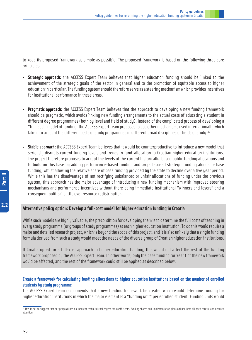to keep its proposed framework as simple as possible. The proposed framework is based on the following three core principles:

- **Strategic approach:** the ACCESS Expert Team believes that higher education funding should be linked to the achievement of the strategic goals of the sector in general and to the promotion of equitable access to higher education in particular. The funding system should therefore serve as a steering mechanism which provides incentives for institutional performance in these areas.
- **Pragmatic approach:** the ACCESS Expert Team believes that the approach to developing a new funding framework should be pragmatic, which avoids linking new funding arrangements to the actual costs of educating a student in different degree programmes (both by level and field of study). Instead of the complicated process of developing a "full-cost" model of funding, the ACCESS Expert Team proposes to use other mechanisms used internationally which take into account the different costs of study programmes in different broad disciplines or fields of study.<sup>21</sup>
- **Stable approach:** the ACCESS Expert Team believes that it would be counterproductive to introduce a new model that seriously disrupts current funding levels and trends in fund-allocation to Croatian higher education institutions. The project therefore proposes to accept the levels of the current historically-based public funding allocations and to build on this base by adding performance-based funding and project-based strategic funding alongside base funding, whilst allowing the relative share of base funding provided by the state to decline over a five year period. While this has the disadvantage of not rectifying unbalanced or unfair allocations of funding under the previous system, this approach has the major advantage of introducing a new funding mechanism with improved steering mechanisms and performance incentives without there being immediate institutional "winners and losers" and a consequent political battle over resource redistribution.

#### **Alternative policy option: Develop a full-cost model for higher education funding in Croatia**

While such models are highly valuable, the precondition for developing them is to determine the full costs of teaching in every study programme (or groups of study programmes) at each higher education institution. To do this would require a major and detailed research project, which is beyond the scope of this project, and it is also unlikely that a single funding formula derived from such a study would meet the needs of the diverse group of Croatian higher education institutions.

If Croatia opted for a full-cost approach to higher education funding, this would not affect the rest of the funding framework proposed by the ACCESS Expert Team. In other words, only the base funding for Year 1 of the new framework would be affected, and the rest of the framework could still be applied as described below.

#### **Create a framework for calculating funding allocations to higher education institutions based on the number of enrolled students by study programme**

The ACCESS Expert Team recommends that a new funding framework be created which would determine funding for higher education institutions in which the major element is a "funding unit" per enrolled student. Funding units would

<sup>21</sup> This is not to suggest that our proposal has no inherent technical challenges: the coefficients, funding shares and implementation plan outlined here all need careful and detailed attention.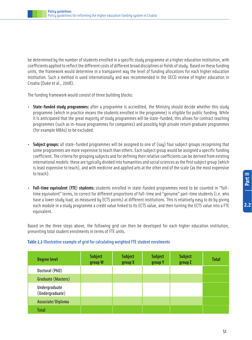be determined by the number of students enrolled in a specific study programme at a higher education institution, with coefficients applied to reflect the different costs of different broad disciplines or fields of study. Based on these funding units, the framework would determine in a transparent way the level of funding allocations for each higher education institution. Such a method is used internationally and was recommended in the OECD review of higher education in Croatia (Duke et al., 2008).

The funding framework would consist of three building blocks:

- **State-funded study programmes:** after a programme is accredited, the Ministry should decide whether this study programme (which in practice means the students enrolled in the programme) is eligible for public funding. While it is anticipated that the great majority of study programmes will be state-funded, this allows for contract teaching programmes (such as in-house programmes for companies) and possibly high private return graduate programmes (for example MBAs) to be excluded.
- **Subject groups:** all state-funded programmes will be assigned to one of (say) four subject groups recognising that some programmes are more expensive to teach than others. Each subject group would be assigned a specific funding coefficient. The criteria for grouping subjects and for defining their relative coefficients can be derived from existing international models: these are typically divided into humanities and social sciences as the first subject group (which is least expensive to teach), and with medicine and applied arts at the other end of the scale (as the most expensive to teach).
- **Full-time equivalent (FTE) students:** students enrolled in state-funded programmes need to be counted in "fulltime equivalent" terms, to correct for different proportions of full-time and "genuine" part-time students (i.e. who have a lower study load, as measured by ECTS points) at different institutions. This is relatively easy to do by giving each module in a study programme a credit value linked to its ECTS value, and then turning the ECTS value into a FTE equivalent.

Based on the three steps above, the following grid can then be developed for each higher education institution, presenting total student enrolments in terms of FTE units.

| <b>Degree level</b>              | <b>Subject</b><br>group W | <b>Subject</b><br>group X | <b>Subject</b><br>group Y | <b>Subject</b><br>group Z | <b>Total</b> |
|----------------------------------|---------------------------|---------------------------|---------------------------|---------------------------|--------------|
| Doctoral (PhD)                   |                           |                           |                           |                           |              |
| Graduate (Masters)               |                           |                           |                           |                           |              |
| Undergraduate<br>(Undergraduate) |                           |                           |                           |                           |              |
| Associate/Diploma                |                           |                           |                           |                           |              |
| <b>Total</b>                     |                           |                           |                           |                           |              |

#### **Table 2.2** Illustrative example of grid for calculating weighted FTE student enrolments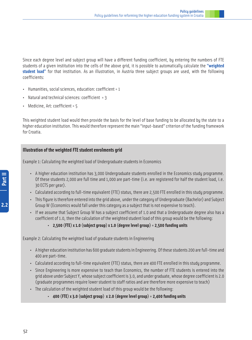Since each degree level and subject group will have a different funding coefficient, by entering the numbers of FTE students of a given institution into the cells of the above grid, it is possible to automatically calculate the **"weighted student load"** for that institution. As an illustration, in Austria three subject groups are used, with the following coefficients:

- Humanities, social sciences, education: coefficient = 1
- Natural and technical sciences: coefficient  $= 3$
- Medicine, Art: coefficient = 5

This weighted student load would then provide the basis for the level of base funding to be allocated by the state to a higher education institution. This would therefore represent the main "input-based" criterion of the funding framework for Croatia.

#### **Illustration of the weighted FTE student enrolments grid**

Example 1: Calculating the weighted load of Undergraduate students in Economics

- A higher education institution has 3,000 Undergraduate students enrolled in the Economics study programme. Of these students 2,000 are full time and 1,000 are part-time (i.e. are registered for half the student load, i.e. 30 ECTS per year).
- Calculated according to full-time equivalent (FTE) status, there are 2,500 FTE enrolled in this study programme.
- This figure is therefore entered into the grid above, under the category of Undergraduate (Bachelor) and Subject Group W (Economics would fall under this category as a subject that is not expensive to teach).
- If we assume that Subject Group W has a subject coefficient of 1.0 and that a Undergraduate degree also has a coefficient of 1.0, then the calculation of the weighted student load of this group would be the following:
	- **2,500 (FTE) x 1.0 (subject group) x 1.0 (degree level group) = 2,500 funding units**

Example 2: Calculating the weighted load of graduate students in Engineering

- A higher education institution has 600 graduate students in Engineering. Of these students 200 are full-time and 400 are part-time.
- Calculated according to full-time equivalent (FTE) status, there are 400 FTE enrolled in this study programme.
- Since Engineering is more expensive to teach than Economics, the number of FTE students is entered into the grid above under Subject Y, whose subject coefficient is 3.0, and under graduate, whose degree coefficient is 2.0 (graduate programmes require lower student to staff ratios and are therefore more expensive to teach)
- The calculation of the weighted student load of this group would be the following:
	- **400 (FTE) x 3.0 (subject group) x 2.0 (degree level group) = 2,400 funding units**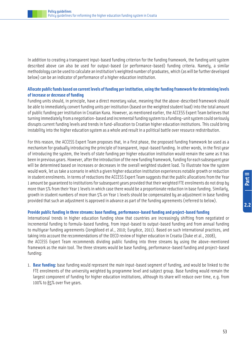In addition to creating a transparent input-based funding criterion for the funding framework, the funding unit system described above can also be used for output-based (or performance-based) funding criteria. Namely, a similar methodology can be used to calculate an institution's weighted number of graduates, which (as will be further developed below) can be an indicator of performance of a higher education institution.

#### **Allocate public funds based on current levels of funding per institution, using the funding framework for determining levels of increase or decrease of funding**

Funding units should, in principle, have a direct monetary value, meaning that the above-described framework should be able to immediately convert funding units per institution (based on the weighted student load) into the total amount of public funding per institution in Croatian Kuna. However, as mentioned earlier, the ACCESS Expert Team believes that turning immediately from a negotiation-based and incremental funding system to a funding-unit system could seriously disrupts current funding levels and trends in fund-allocation to Croatian higher education institutions. This could bring instability into the higher education system as a whole and result in a political battle over resource redistribution.

For this reason, the ACCESS Expert Team proposes that, in a first phase, the proposed funding framework be used as a mechanism for gradually introducing the principle of transparent, input-based funding. In other words, in the first year of introducing the system, the levels of state funding per higher education institution would remain the same as it has been in previous years. However, after the introduction of the new funding framework, funding for each subsequent year will be determined based on increases or decreases in the overall weighted student load. To illustrate how the system would work, let us take a scenario in which a given higher education institution experiences notable growth or reduction in student enrolments. In terms of reductions the ACCESS Expert Team suggests that the public allocations from the Year 1 amount be guaranteed to institutions for subsequent years provided that their weighted FTE enrolments do not drop by more than 5% from their Year 1 levels in which case there would be a proportionate reduction in base funding. Similarly, growth in student numbers of more than 5% on Year 1 levels should be compensated by an adjustment in base funding provided that such an adjustment is approved in advance as part of the funding agreements (referred to below).

#### **Provide public funding in three streams: base funding, performance-based funding and project-based funding**

International trends in higher education funding show that countries are increasingly shifting from negotiated or incremental funding to formula-based funding, from input-based to output-based funding and from annual funding to multiyear funding agreements (Jongbloed et al., 2010; Eurydice, 2011). Based on such international practices, and taking into account the recommendations of the OECD review of higher education in Croatia (Duke et al., 2008), the ACCESS Expert Team recommends dividing public funding into three streams by using the above-mentioned framework as the main tool. The three streams would be base funding, performance-based funding and project-based funding:

1. **Base funding:** base funding would represent the main input-based segment of funding, and would be linked to the FTE enrolments of the university weighted by programme level and subject group. Base funding would remain the largest component of funding for higher education institutions, although its share will reduce over time, e.g. from 100% to 85% over five years.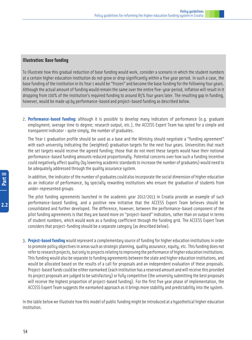#### **Illustration: Base funding**

To illustrate how this gradual reduction of base funding would work, consider a scenario in which the student numbers at a certain higher education institution do not grow or drop significantly within a five year period. In such a case, the base funding of the institution in its Year 1 would be "frozen" and become the base funding for the following four years. Although the actual amount of funding would remain the same over the entire five-year period, inflation will result in it dropping from 100% of the institution's required funding to around 85% four years later. The resulting gap in funding, however, would be made up by performance-based and project-based funding as described below.

2. **Performance-based funding:** although it is possible to develop many indicators of performance (e.g. graduate employment; average time to degree; research output, etc.), the ACCESS Expert Team has opted for a simple and transparent indicator - quite simply, the number of graduates.

The Year 1 graduation profile should be used as a base and the Ministry should negotiate a "funding agreement" with each university indicating the (weighted) graduation targets for the next four years. Universities that reach the set targets would receive the agreed funding; those that do not meet these targets would have their notional performance-based funding amounts reduced proportionally. Potential concerns over how such a funding incentive could negatively affect quality (by lowering academic standards to increase the number of graduates) would need to be adequately addressed through the quality assurance system.

In addition, the indicator of the number of graduates could also incorporate the social dimension of higher education as an indicator of performance, by specially rewarding institutions who ensure the graduation of students from under-represented groups.

The pilot funding agreements launched in the academic year 2012/2013 in Croatia provide an example of such performance-based funding, and a positive new initiative that the ACCESS Expert Team believes should be consolidated and further developed. The difference, however, between the performance-based component of the pilot funding agreements is that they are based more on "project-based" indicators, rather than on output in terms of student numbers, which would work as a funding coefficient through the funding grid. The ACCESS Expert Team considers that project-funding should be a separate category (as described below).

3. **Project-based funding** would represent a complementary source of funding for higher education institutions in order to promote policy objectives in areas such as strategic planning, quality assurance, equity, etc. This funding does not refer to research projects, but only to projects relating to improving the performance of higher education institutions. This funding would also be separate to funding agreements between the state and higher education institutions, and would be allocated based on the results of a call for proposals and an independent evaluation of these proposals. Project-based funds could be either earmarked (each institution has a reserved amount and will receive this provided its project proposals are judged to be satisfactory) or fully competitive (the university submitting the best proposals will receive the highest proportion of project-based funding). For the first five year phase of implementation, the ACCESS Expert Team suggests the earmarked approach as it brings more stability and predictability into the system.

In the table below we illustrate how this model of public funding might be introduced at a hypothetical higher education institution.

 $2.2$ 

54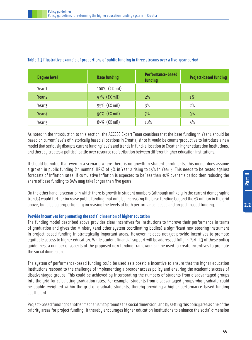| <b>Degree level</b> | <b>Base funding</b>           | <b>Performance-based</b><br>funding | <b>Project-based funding</b> |
|---------------------|-------------------------------|-------------------------------------|------------------------------|
| Year 1              | 100% (€X mil)                 | $\qquad \qquad -$                   | $\overline{\phantom{a}}$     |
| Year 2              | 97% $(\epsilon \text{X mil})$ | 2%                                  | $1\%$                        |
| Year 3              | $95\%$ ( $\epsilon$ X mil)    | 3%                                  | $2\%$                        |
| Year 4              | 90% (€X mil)                  | 7%                                  | 3%                           |
| Year 5              | $85\%$ ( $\epsilon$ X mil)    | 10%                                 | 5%                           |

#### **Table 2.3**Illustrative example of proportions of public funding in three streams over a five-year period

As noted in the introduction to this section, the ACCESS Expert Team considers that the base funding in Year 1 should be based on current levels of historically based allocations in Croatia, since it would be counterproductive to introduce a new model that seriously disrupts current funding levels and trends in fund-allocation to Croatian higher education institutions, and thereby creates a political battle over resource redistribution between different higher education institutions.

It should be noted that even in a scenario where there is no growth in student enrolments, this model does assume a growth in public funding (in nominal HRK) of 3% in Year 2 rising to 15% in Year 5. This needs to be tested against forecasts of inflation rates: if cumulative inflation is expected to be less than 30% over this period then reducing the share of base funding to 85% may take longer than five years.

On the other hand, a scenario in which there is growth in student numbers (although unlikely in the current demographic trends) would further increase public funding, not only by increasing the base funding beyond the  $EX$  million in the grid above, but also by proportionally increasing the levels of both performance-based and project-based funding.

#### **Provide incentives for promoting the social dimension of higher education**

The funding model described above provides clear incentives for institutions to improve their performance in terms of graduation and gives the Ministry (and other system coordinating bodies) a significant new steering instrument in project-based funding in strategically important areas. However, it does not yet provide incentives to promote equitable access to higher education. While student financial support will be addressed fully in Part II.3 of these policy guidelines, a number of aspects of the proposed new funding framework can be used to create incentives to promote the social dimension.

The system of performance-based funding could be used as a possible incentive to ensure that the higher education institutions respond to the challenge of implementing a broader access policy and ensuring the academic success of disadvantaged groups. This could be achieved by incorporating the numbers of students from disadvantaged groups into the grid for calculating graduation rates. For example, students from disadvantaged groups who graduate could be double-weighted within the grid of graduate students, thereby providing a higher performance-based funding coefficient.

Project-based funding is another mechanism to promote the social dimension, and by setting this policy area as one of the priority areas for project funding, it thereby encourages higher education institutions to enhance the social dimension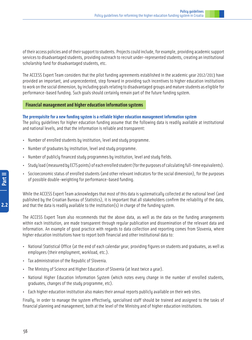of their access policies and of their support to students. Projects could include, for example, providing academic support services to disadvantaged students, providing outreach to recruit under-represented students, creating an institutional scholarship fund for disadvantaged students, etc.

The ACCESS Expert Team considers that the pilot funding agreements established in the academic year 2012/2013 have provided an important, and unprecedented, step forward in providing such incentives to higher education institutions to work on the social dimension, by including goals relating to disadvantaged groups and mature students as eligible for performance-based funding. Such goals should certainly remain part of the future funding system.

#### **Financial management and higher education information systems**

#### **The prerequisite for a new funding system is a reliable higher education management information system**

The policy guidelines for higher education funding assume that the following data is readily available at institutional and national levels, and that the information is reliable and transparent:

- Number of enrolled students by institution, level and study programme.
- Number of graduates by institution, level and study programme.
- Number of publicly financed study programmes by institution, level and study fields.
- Study load (measured by ECTS points) of each enrolled student (for the purposes of calculating full-time equivalents).
- Socioeconomic status of enrolled students (and other relevant indicators for the social dimension), for the purposes of possible double-weighting for performance-based funding.

While the ACCESS Expert Team acknowledges that most of this data is systematically collected at the national level (and published by the Croatian Bureau of Statistics), it is important that all stakeholders confirm the reliability of the data, and that the data is readily available to the institution(s) in charge of the funding system.

The ACCESS Expert Team also recommends that the above data, as well as the data on the funding arrangements within each institution, are made transparent through regular publication and dissemination of the relevant data and information. An example of good practice with regards to data collection and reporting comes from Slovenia, where higher education institutions have to report both financial and other institutional data to:

- National Statistical Office (at the end of each calendar year, providing figures on students and graduates, as well as employees (their employment, workload, etc.).
- Tax administration of the Republic of Slovenia.
- The Ministry of Science and Higher Education of Slovenia (at least twice a year).
- National Higher Education Information System (which notes every change in the number of enrolled students, graduates, changes of the study programme, etc).
- Each higher education institution also makes their annual reports publicly available on their web sites.

Finally, in order to manage the system effectively, specialised staff should be trained and assigned to the tasks of financial planning and management, both at the level of the Ministry and of higher education institutions.

 $2.2$ 

56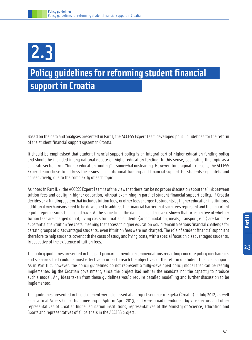## 2.3

### **Policy guidelines for reforming student financial support in Croatia**

Based on the data and analyses presented in Part I, the ACCESS Expert Team developed policy guidelines for the reform of the student financial support system in Croatia.

It should be emphasised that student financial support policy is an integral part of higher education funding policy and should be included in any national debate on higher education funding. In this sense, separating this topic as a separate section from "higher education funding" is somewhat misleading. However, for pragmatic reasons, the ACCESS Expert Team chose to address the issues of institutional funding and financial support for students separately and consecutively, due to the complexity of each topic.

As noted in Part II.2, the ACCESS Expert Team is of the view that there can be no proper discussion about the link between tuition fees and equity in higher education, without examining in parallel student financial support policy. If Croatia decides on a funding system that includes tuition fees, or other fees charged to students by higher education institutions, additional mechanisms need to be developed to address the financial barrier that such fees represent and the important equity repercussions they could have. At the same time, the data analysed has also shown that, irrespective of whether tuition fees are charged or not, living costs for Croatian students (accommodation, meals, transport, etc.) are far more substantial than tuition fee costs, meaning that access to higher education would remain a serious financial challenge for certain groups of disadvantaged students, even if tuition fees were not charged. The role of student financial support is therefore to help students cover both the costs of study and living costs, with a special focus on disadvantaged students, irrespective of the existence of tuition fees.

The policy guidelines presented in this part primarily provide recommendations regarding concrete policy mechanisms and scenarios that could be most effective in order to reach the objectives of the reform of student financial support. As in Part II.2, however, the policy guidelines do not represent a fully-developed policy model that can be readily implemented by the Croatian government, since the project had neither the mandate nor the capacity to produce such a model. Any ideas taken from these guidelines would require detailed modelling and further discussion to be implemented.

The guidelines presented in this document were discussed at a project seminar in Rijeka (Croatia) in July 2012, as well as at a final Access Consortium meeting in Split in April 2013, and were broadly endorsed by vice-rectors and other representatives of Croatian higher education institutions, representatives of the Ministry of Science, Education and Sports and representatives of all partners in the ACCESS project.

 $2.3$ 

57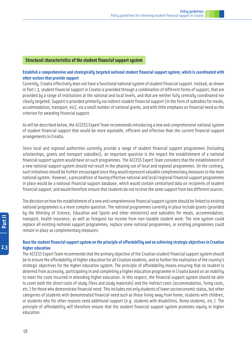#### **Structural characteristics of the student financial support system**

#### **Establish a comprehensive and strategically targeted national student financial support system, which is coordinated with other sectors that provide support**

Currently, Croatia effectively does not have a functional national system of student financial support. Instead, as shown in Part I.3, student financial support in Croatia is provided through a combination of different forms of support, that are provided by a range of institutions at the national and local levels, and that are neither fully centrally coordinated nor clearly targeted. Support is provided primarily via indirect student financial support (in the form of subsidies for meals, accommodation, transport, etc), via a small number of national grants, and with little emphasis on financial need as the criterion for awarding financial support.

As will be described below, the ACCESS Expert Team recommends introducing a new and comprehensive national system of student financial support that would be more equitable, efficient and effective than the current financial support arrangements in Croatia.

Since local and regional authorities currently provide a range of student financial support programmes (including scholarships, grants and transport subsidies), an important question is the impact the establishment of a national financial support system would have on such programmes. The ACCESS Expert Team considers that the establishment of a new national support system should not result in the phasing out of local and regional programmes. On the contrary, such initiatives should be further encouraged since they would represent valuable complementary measures to the main national system. However, a precondition of having effective national and local/regional financial support programmes in place would be a national financial support database, which would contain centralised data on recipients of student financial support, and would therefore ensure that students do not receive the same support from two different sources.

The decision on how the establishment of a new and comprehensive financial support system should be linked to existing national programmes is a more complex question. The national programmes currently in place include grants (provided by the Ministry of Science, Education and Sports and other ministries) and subsidies for meals, accommodation, transport, health insurance, as well as foregone tax income from non-taxable student work. The new system could replace all existing national support programmes, replace some national programmes, or existing programmes could remain in place as complementary measures.

#### **Base the student financial support system on the principle of affordability and on achieving strategic objectives in Croatian higher education**

The ACCESS Expert Team recommends that the primary objective of the Croatian student financial support system should be to ensure the affordability of higher education for all Croatian students, and to further the realisation of the country's strategic objectives for the higher education system. The principle of affordability means ensuring that no student is deterred from accessing, participating in and completing a higher education programme in Croatia based on an inability to meet the costs incurred in attending higher education. In this respect, the financial support system should be able to cover both the *direct* costs of study (fees and study materials) and the *indirect* costs (accommodation, living costs, etc.) for those who demonstrate financial need. This includes not only students of lower socioeconomic status, but other categories of students with demonstrated financial need such as those living away from home, students with children, or students who for other reasons need additional support (e.g. students with disabilities, Roma students, etc.). The principle of affordability will therefore ensure that the student financial support system promotes equity in higher education.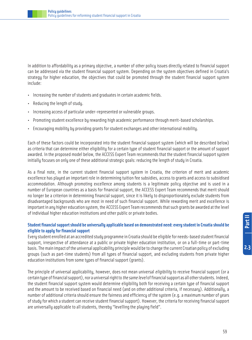In addition to affordability as a primary objective, a number of other policy issues directly related to financial support can be addressed via the student financial support system. Depending on the system objectives defined in Croatia's strategy for higher education, the objectives that could be promoted through the student financial support system include:

- Increasing the number of students and graduates in certain academic fields.
- Reducing the length of study.
- Increasing access of particular under-represented or vulnerable groups.
- Promoting student excellence by rewarding high academic performance through merit-based scholarships.
- Encouraging mobility by providing grants for student exchanges and other international mobility.

Each of these factors could be incorporated into the student financial support system (which will be described below) as criteria that can determine either eligibility for a certain type of student financial support or the amount of support awarded. In the proposed model below, the ACCESS Expert Team recommends that the student financial support system initially focuses on only one of these additional strategic goals: reducing the length of study in Croatia.

As a final note, in the current student financial support system in Croatia, the criterion of merit and academic excellence has played an important role in determining tuition fee subsidies, access to grants and access to subsidised accommodation. Although promoting excellence among students is a legitimate policy objective and is used in a number of European countries as a basis for financial support, the ACCESS Expert Team recommends that merit should no longer be a criterion in determining financial support, since it is likely to disproportionately exclude students from disadvantaged backgrounds who are most in need of such financial support. While rewarding merit and excellence is important in any higher education system, the ACCESS Expert Team recommends that such grants be awarded at the level of individual higher education institutions and other public or private bodies.

#### **Student financial support should be universally applicable based on demonstrated need: every student in Croatia should be eligible to apply for financial support**

Every student enrolled at an accredited study programme in Croatia should be eligible for needs-based student financial support, irrespective of attendance at a public or private higher education institution, or on a full-time or part-time basis. The main impact of the universal applicability principle would be to change the current Croatian policy of excluding groups (such as part-time students) from all types of financial support, and excluding students from private higher education institutions from some types of financial support (grants).

The principle of universal applicability, however, does not mean universal eligibility to receive financial support (or a certain type of financial support), nor a universal right to the same level of financial support as all other students. Indeed, the student financial support system would determine eligibility both for receiving a certain type of financial support and the amount to be received based on financial need (and on other additional criteria, if necessary). Additionally, a number of additional criteria should ensure the fairness and efficiency of the system (e.g. a maximum number of years of study for which a student can receive student financial support). However, the criteria for receiving financial support are universally applicable to all students, thereby "levelling the playing field".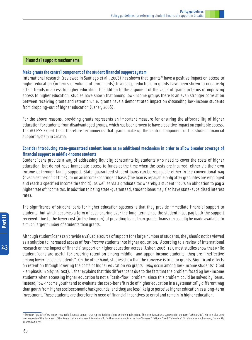#### **Financial support mechanisms**

#### **Make grants the central component of the student financial support system**

International research (reviewed in Santiago et al., 2008) has shown that grants<sup>22</sup> have a positive impact on access to higher education (in terms of volume of enrolments).Inversely, reductions in grants have been shown to negatively affect trends in access to higher education. In addition to the argument of the value of grants in terms of improving access to higher education, studies have shown that among low-income groups there is an even stronger correlation between receiving grants and retention, i.e. grants have a demonstrated impact on dissuading low-income students from dropping-out of higher education (Usher, 2006).

For the above reasons, providing grants represents an important measure for ensuring the affordability of higher education for students from disadvantaged groups, which has been proven to have a positive impact on equitable access. The ACCESS Expert Team therefore recommends that grants make up the central component of the student financial support system in Croatia.

#### **Consider introducing state-guaranteed student loans as an additional mechanism in order to allow broader coverage of financial support to middle-income students**

Student loans provide a way of addressing liquidity constraints by students who need to cover the costs of higher education, but do not have immediate access to funds at the time when the costs are incurred, either via their own income or through family support. State-guaranteed student loans can be repayable either in the conventional way (over a set period of time), or on an income-contingent basis (the loan is repayable only after graduates are employed and reach a specified income threshold), as well as via a graduate tax whereby a student incurs an obligation to pay a higher rate of income tax. In addition to being state-guaranteed, student loans may also have state-subsidised interest rates.

The significance of student loans for higher education systems is that they provide immediate financial support to students, but which becomes a form of cost-sharing over the long-term since the student must pay back the support received. Due to the lower cost (in the long run) of providing loans than grants, loans can usually be made available to a much larger number of students than grants.

Although student loans can provide a valuable source of support for a large number of students, they should not be viewed as a solution to increased access of low-income students into higher education. According to a review of international research on the impact of financial support on higher education access (Usher, 2006: 11), most studies show that while student loans are useful for ensuring retention among middle- and upper-income students, they are "ineffective among lower-income students". On the other hand, studies show that the converse is true for grants. Significant effects on retention through lowering the costs of higher education via grants "only occur among low-income students" (ibid - emphasis in original text). Usher explains that this difference is due to the fact that the problem faced by low-income students when accessing higher education is not a "cash-flow" problem, since this problem could be solved by loans. Instead, low-income youth tend to evaluate the cost-benefit ratio of higher education in a systematically different way than youth from higher socioeconomic backgrounds, and they are less likely to perceive higher education as a long-term investment. These students are therefore in need of financial incentives to enrol and remain in higher education.

<sup>22</sup> The term "grant" refers to non-repayable financial support that is provided directly to an individual student. The term is used as a synonym for the term "scholarship", which is also used in other parts of this document. Other terms that are also used internationally for the same concept can include "bursary", "stipend" and "fellowship". Scholarships are, however, frequently awarded on merit.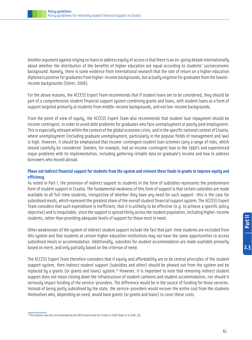Another argument against relying on loans to address equity of access is that there is an on-going debate internationally about whether the distribution of the benefits of higher education are equal according to students' socioeconomic background. Namely, there is some evidence from international research that the rate of return on a higher education diploma is positive for graduates from higher-income backgrounds, but actually negative for graduates from the lowestincome backgrounds (Usher, 2006).

For the above reasons, the ACCESS Expert Team recommends that if student loans are to be considered, they should be part of a comprehensive student financial support system combining grants and loans, with student loans as a form of support targeted primarily at students from middle-income backgrounds, and not low-income backgrounds.

From the point of view of equity, the ACCESS Expert Team also recommends that student loan repayment should be income contingent, in order to avoid debt problems for graduates who face unemployment or poorly paid employment. This is especially relevant within the context of the global economic crisis, and in the specific national context of Croatia, where unemployment (including graduate unemployment, particularly in the popular fields of management and law) is high. However, it should be emphasised that income-contingent student loan schemes carry a range of risks, which should carefully be considered. Sweden, for example, had an income-contingent loan in the 1990's and experienced major problems with its implementation, including gathering reliable data on graduate's income and how to address borrowers who moved abroad.

#### **Phase out indirect financial support for students from the system and reinvest these funds in grants to improve equity and efficiency**

As noted in Part I, the provision of indirect support to students in the form of subsidies represents the predominant form of student support in Croatia. The fundamental weakness of this form of support is that certain subsidies are made available to all full-time students, irrespective of whether they have any need for such support -this is the case for subsidised meals, which represent the greatest share of the overall student financial support system. The ACCESS Expert Team considers that such expenditure is inefficient, that it is unlikely to be effective (e.g. to achieve a specific policy objective) and is inequitable, since the support is spread thinly across the student population, including higher-income students, rather than providing adequate levels of support for those most in need.

Other weaknesses of the system of indirect student support include the fact that part-time students are excluded from this system and that students at certain higher education institutions may not have the same opportunities to access subsidised meals or accommodation. Additionally, subsidies for student accommodation are made available primarily based on merit, and only partially based on the criterion of need.

The ACCESS Expert Team therefore considers that if equity and affordability are to be central principles of the student support system, then indirect student support (subsidies and other) should be phased out from the system and be replaced by a grants (or grants and loans) system.<sup>23</sup> However, it is important to note that removing indirect student support does not mean closing down the infrastructure of student canteens and student accommodation, nor should it seriously impact funding of the service-providers. The difference would be in the source of funding for those services. Instead of being partly subsidised by the state, the service-providers would recover the entire cost from the students themselves who, depending on need, would have grants (or grants and loans) to cover these costs.

<sup>&</sup>lt;sup>23</sup> This measure was also recommended by the OECD review team for Croatia in 2008 (Duke et al 2008: 35).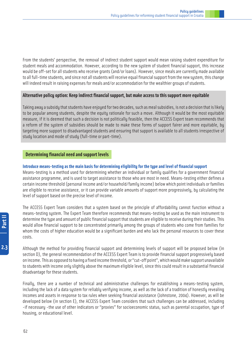From the students' perspective, the removal of indirect student support would mean raising student expenditure for student meals and accommodation. However, according to the new system of student financial support, this increase would be off-set for all students who receive grants (and/or loans). However, since meals are currently made available to all full-time students, and since not all students will receive equal financial support from the new system, this change will indeed result in raising expenses for meals and/or accommodation for the wealthier groups of students.

#### **Alternative policy option: Keep indirect financial support, but make access to this support more equitable**

Taking away a subsidy that students have enjoyed for two decades, such as meal subsidies, is not a decision that is likely to be popular among students, despite the equity rationale for such a move. Although it would be the most equitable measure, if it is deemed that such a decision is not politically feasible, then the ACCESS Expert team recommends that a reform of the system of subsidies should be made to make these forms of support fairer and more equitable, by targeting more support to disadvantaged students and ensuring that support is available to all students irrespective of study location and mode of study (full-time or part-time).

#### **Determining financial need and support levels**

#### **Introduce means-testing as the main basis for determining eligibility for the type and level of financial support**

Means-testing is a method used for determining whether an individual or family qualifies for a government financial assistance programme, and is used to target assistance to those who are most in need. Means-testing either defines a certain income threshold (personal income and/or household/family income) below which point individuals or families are eligible to receive assistance, or it can provide variable amounts of support more progressively, by calculating the level of support based on the precise level of income.

The ACCESS Expert Team considers that a system based on the principle of affordability cannot function without a means-testing system. The Expert Team therefore recommends that means-testing be used as the main instrument to determine the type and amount of public financial support that students are eligible to receive during their studies. This would allow financial support to be concentrated primarily among the groups of students who come from families for whom the costs of higher education would be a significant burden and who lack the personal resources to cover these costs.

Although the method for providing financial support and determining levels of support will be proposed below (in section D), the general recommendation of the ACCESS Expert Team is to provide financial support progressively based on income. This as opposed to having a fixed income threshold, or "cut-off point", which would make support unavailable to students with income only slightly above the maximum eligible level, since this could result in a substantial financial disadvantage for these students.

Finally, there are a number of technical and administrative challenges for establishing a means-testing system, including the lack of a data system for reliably verifying income, as well as the lack of a tradition of honestly revealing incomes and assets in response to tax rules when seeking financial assistance (Johnstone, 2004). However, as will be developed below (in section E), the ACCESS Expert Team considers that such challenges can be addressed, including -if necessary -the use of other indicators or "proxies" for socioeconomic status, such as parental occupation, type of housing, or educational level.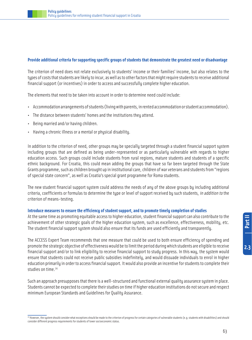#### **Provide additional criteria for supporting specific groups of students that demonstrate the greatest need or disadvantage**

The criterion of need does not relate exclusively to students' income or their families' income, but also relates to the types of costs that students are likely to incur, as well as to other factors that might require students to receive additional financial support (or incentives) in order to access and successfully complete higher education.

The elements that need to be taken into account in order to determine need could include:

- Accommodation arrangements of students (living with parents, in rented accommodation or student accommodation).
- The distance between students' homes and the institutions they attend.
- Being married and/or having children.
- Having a chronic illness or a mental or physical disability.

In addition to the criterion of need, other groups may be specially targeted through a student financial support system including groups that are defined as being under-represented or as particularly vulnerable with regards to higher education access. Such groups could include students from rural regions, mature students and students of a specific ethnic background. For Croatia, this could mean adding the groups that have so far been targeted through the State Grants programme, such as children brought up in institutional care, children of war veterans and students from "regions of special state concern", as well as Croatia's special grant programme for Roma students.

The new student financial support system could address the needs of any of the above groups by including additional criteria, coefficients or formulas to determine the type or level of support received by such students, in addition to the criterion of means-testing.

#### **Introduce measures to ensure the efficiency of student support, and to promote timely completion of studies**

At the same time as promoting equitable access to higher education, student financial support can also contribute to the achievement of other strategic goals of the higher education system, such as excellence, effectiveness, mobility, etc. The student financial support system should also ensure that its funds are used efficiently and transparently.

The ACCESS Expert Team recommends that one measure that could be used to both ensure efficiency of spending and promote the strategic objective of effectiveness would be to limit the period during which students are eligible to receive financial support and/or to link eligibility to receive financial support to study progress. In this way, the system would ensure that students could not receive public subsidies indefinitely, and would dissuade individuals to enrol in higher education primarily in order to access financial support. It would also provide an incentive for students to complete their studies on time.<sup>24</sup>

Such an approach presupposes that there is a well-structured and functional external quality assurance system in place. Students cannot be expected to complete their studies on time if higher education institutions do not secure and respect minimum European Standards and Guidelines for Quality Assurance.

 $2.3$ 

63

<sup>24</sup> However. the sustem should consider what exceptions should be made to the criterion of progress for certain categories of vulnerable students (e.g. students with disabilities) and should consider different progress requirements for students of lower socioeconomic status.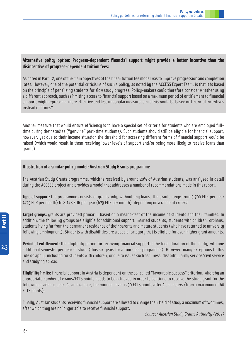#### **Alternative policy option: Progress-dependent financial support might provide a better incentive than the disincentive of progress-dependent tuition fees:**

As noted in Part I.2, one of the main objectives of the linear tuition fee model was to improve progression and completion rates. However, one of the potential criticisms of such a policy, as noted by the ACCESS Expert Team, is that it is based on the principle of penalising students for slow study progress. Policy-makers could therefore consider whether using a different approach, such as limiting access to financial support based on a maximum period of entitlement to financial support, might represent a more effective and less unpopular measure, since this would be based on financial incentives instead of "fines".

Another measure that would ensure efficiencu is to have a special set of criteria for students who are emploued fulltime during their studies ("genuine" part-time students). Such students should still be eligible for financial support, however, yet due to their income situation the threshold for accessing different forms of financial support would be raised (which would result in them receiving lower levels of support and/or being more likely to receive loans than grants).

#### **Illustration of a similar policy model: Austrian Study Grants programme**

The Austrian Study Grants programme, which is received by around 20% of Austrian students, was analysed in detail during the ACCESS project and provides a model that addresses a number of recommendations made in this report.

**Type of support:** the programme consists of grants only, without any loans. The grants range from 5,700 EUR per year (475 EUR per month) to 8,148 EUR per year (679 EUR per month), depending on a range of criteria.

**Target groups:** grants are provided primarily based on a means-test of the income of students and their families. In addition, the following groups are eligible for additional support: married students, students with children, orphans, students living far from the permanent residence of their parents and mature students (who have returned to university following employment). Students with disabilities are a special category that is eligible for even higher grant amounts.

**Period of entitlement:** the eligibility period for receiving financial support is the legal duration of the study, with one additional semester per year of study (thus six years for a four-year programme). However, many exceptions to this rule do apply, including for students with children, or due to issues such as illness, disability, army service/civil service and studying abroad.

**Eligibility limits:** financial support in Austria is dependent on the so-called "favourable success" criterion, whereby an appropriate number of exams/ECTS points needs to be achieved in order to continue to receive the study grant for the following academic year. As an example, the minimal level is 30 ECTS points after 2 semesters (from a maximum of 60 ECTS points).

Finally, Austrian students receiving financial support are allowed to change their field of study a maximum of two times, after which they are no longer able to receive financial support.

Source: Austrian Study Grants Authority (2011)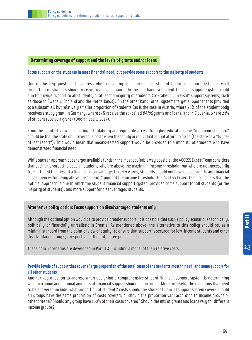#### **Determining coverage of support and the levels of grants and/or loans**

#### **Focus support on the students in most financial need, but provide some support to the majority of students**

One of the key questions to address when designing a comprehensive student financial support system is what proportion of students should receive financial support. On the one hand, a student financial support system could aim to provide support to all students, or at least a majority of students (so-called "universal" support systems, such as those in Sweden, England and the Netherlands). On the other hand, other systems target support that is provided to a substantial, but relatively smaller proportion of students (as is the case in Austria, where 20% of the student body receives a study grant; in Germany, where 17% receive the so-called BAföG grants and loans; and in Slovenia, where 23% of student receive a grant) (Doolan et al., 2013).

From the point of view of ensuring affordability and equitable access to higher education, the "minimum standard" should be that the state only covers the costs when the family or individual cannot afford to do so (the state as a "funder of last resort"). This would mean that means-tested support would be provided to a minority of students who have demonstrated financial need.

While such an approach does target available funds in the most equitable way possible, the ACCESS Expert Team considers that such an approach places all students who are above the maximum income threshold, but who are not necessarily from affluent families, at a financial disadvantage. In other words, students should not have to face significant financial consequences for being above the "cut-off" point of the income threshold. The ACCESS Expert Team considers that the optimal approach is one in which the student financial support system provides some support for all students (or the majority of students), and more support for disadvantaged students.

#### **Alternative policy option: Focus support on disadvantaged students only**

Although the optimal option would be to provide broader support, it is possible that such a policy scenario is technically, politically or financially unrealistic in Croatia. As mentioned above, the alternative to this policy should be, as a minimal standard from the point of view of equity, to ensure that support is secured for low-income students and other disadvantaged groups, irrespective of the tuition fee policy in place.

These policy scenarios are developed in Part II.4, including a model of their relative costs.

#### **Provide levels of support that cover a large proportion of the total costs of the students most in need, and some support for all other students**

Another key question to address when designing a comprehensive student financial support system is determining what maximum and minimal amounts of financial support should be provided. More precisely, the questions that need to be answered include: what proportion of students' costs should the student financial support system cover? Should all groups have the same proportion of costs covered, or should the proportion vary according to income groups or other criteria? Should any group have 100% of their costs covered? Should the mix of grants and loans vary for different income groups?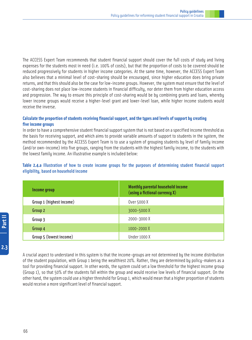The ACCESS Expert Team recommends that student financial support should cover the full costs of study and living expenses for the students most in need (i.e. 100% of costs), but that the proportion of costs to be covered should be reduced progressively for students in higher income categories. At the same time, however, the ACCESS Expert Team also believes that a minimal level of cost-sharing should be encouraged, since higher education does bring private returns, and that this should also be the case for low-income groups. However, the system must ensure that the level of cost-sharing does not place low-income students in financial difficulty, nor deter them from higher education access and progression. The way to ensure this principle of cost-sharing would be by combining grants and loans, whereby lower income groups would receive a higher-level grant and lower-level loan, while higher income students would receive the inverse.

#### **Calculate the proportion of students receiving financial support, and the types and levels of support by creating five income groups**

In order to have a comprehensive student financial support system that is not based on a specified income threshold as the basis for receiving support, and which aims to provide variable amounts of support to students in the system, the method recommended by the ACCESS Expert Team is to use a system of grouping students by level of family income (and/or own-income) into five groups, ranging from the students with the highest family income, to the students with the lowest family income. An illustrative example is included below:

#### **Table 2.4.a** Illustration of how to create income groups for the purposes of determining student financial support eligibility, based on household income

| Income group             | Monthly parental household income<br>$(using a fittional current X)$ |
|--------------------------|----------------------------------------------------------------------|
| Group 1 (highest income) | Over 5000 X                                                          |
| Group 2                  | 3000-5000X                                                           |
| Group 3                  | 2000-3000X                                                           |
| Group 4                  | $1000 - 2000X$                                                       |
| Group 5 (lowest income)  | Under 1000 X                                                         |

A crucial aspect to understand in this system is that the income-groups are not determined by the income distribution of the student population, with Group 1 being the wealthiest 20%. Rather, they are determined by policy-makers as a tool for providing financial support. In other words, the system could set a low threshold for the highest income group (Group 1), so that 50% of the students fall within the group and would receive low levels of financial support. On the other hand, the system could use a higher threshold for Group 1, which would mean that a higher proportion of students would receive a more significant level of financial support.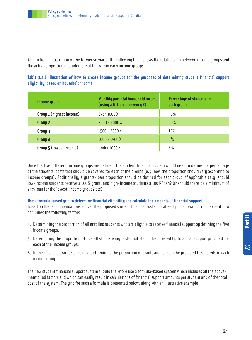As a fictional illustration of the former scenario, the following table shows the relationship between income groups and the actual proportion of students that fall within each income group:

#### **Table 2.4.b** Illustration of how to create income groups for the purposes of determining student financial support eligibility, based on household income

| Income group             | Monthly parental household income<br>(using a fictional currency $X$ ) |     |
|--------------------------|------------------------------------------------------------------------|-----|
| Group 1 (highest income) | Over 3000 X                                                            | 50% |
| Group 2                  | $2000 - 3000X$                                                         | 20% |
| Group 3                  | 1500 - 2000 X                                                          | 15% |
| Group 4                  | $1000 - 1500 X$                                                        | 9%  |
| Group 5 (lowest income)  | <b>Under 1000 X</b>                                                    | 6%  |

Once the five different income groups are defined, the student financial system would need to define the percentage of the students' costs that should be covered for each of the groups (e.g. how the proportion should vary according to income groups). Additionally, a grants-loan proportion should be defined for each group, if applicable (e.g. should low-income students receive a 100% grant, and high-income students a 100% loan? Or should there be a minimum of 25% loan for the lowest-income group? etc).

#### **Use a formula-based grid to determine financial eligibility and calculate the amounts of financial support**

Based on the recommendations above, the proposed student financial system is already considerably complex as it now combines the following factors:

- 4. Determining the proportion of all enrolled students who are eligible to receive financial support by defining the five income groups.
- 5. Determining the proportion of overall study/living costs that should be covered by financial support provided for each of the income groups.
- 6. In the case of a grants/loans mix, determining the proportion of grants and loans to be provided to students in each income group.

The new student financial support system should therefore use a formula-based system which includes all the abovementioned factors and which can easily result in calculations of financial support amounts per student and of the total cost of the system. The grid for such a formula is presented below, along with an illustrative example.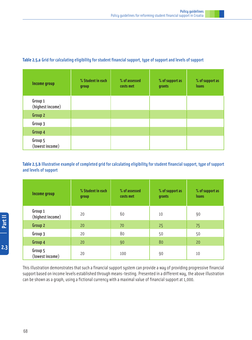| Income group                | % Student in each<br>group | % of assessed<br>costs met | % of support as<br>grants | % of support as<br><b>loans</b> |
|-----------------------------|----------------------------|----------------------------|---------------------------|---------------------------------|
| Group 1<br>(highest income) |                            |                            |                           |                                 |
| Group 2                     |                            |                            |                           |                                 |
| Group 3                     |                            |                            |                           |                                 |
| Group 4                     |                            |                            |                           |                                 |
| Group 5<br>(lowest income)  |                            |                            |                           |                                 |

#### **Table 2.5.a** Grid for calculating eligibility for student financial support, type of support and levels of support

#### **Table 2.5.b** Illustrative example of completed grid for calculating eligibility for student financial support, type of support and levels of support

| <b>Income group</b>         | % Student in each<br>group | % of assessed<br>costs met | % of support as<br>grants | % of support as<br><b>loans</b> |
|-----------------------------|----------------------------|----------------------------|---------------------------|---------------------------------|
| Group 1<br>(highest income) | 20                         | 60                         | 10                        | 90                              |
| Group 2                     | 20                         | 70                         | 25                        | 75                              |
| Group 3                     | 20                         | 80                         | 50                        | 50                              |
| Group 4                     | 20                         | 90                         | 80                        | 20                              |
| Group 5<br>(lowest income)  | 20                         | 100                        | 90                        | 10                              |

This illustration demonstrates that such a financial support system can provide a way of providing progressive financial support based on income levels established through means-testing. Presented in a different way, the above illustration can be shown as a graph, using a fictional currency with a maximal value of financial support at 1,000.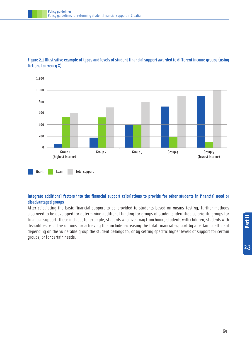

**Figure 2.1**Illustrative example of types and levels of student financial support awarded to different income groups (using fictional currency X)

#### **Integrate additional factors into the financial support calculations to provide for other students in financial need or disadvantaged groups**

After calculating the basic financial support to be provided to students based on means-testing, further methods also need to be developed for determining additional funding for groups of students identified as priority groups for financial support. These include, for example, students who live away from home, students with children, students with disabilities, etc. The options for achieving this include increasing the total financial support by a certain coefficient depending on the vulnerable group the student belongs to, or by setting specific higher levels of support for certain groups, or for certain needs.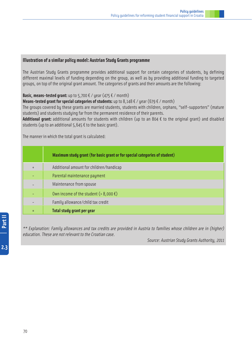#### **Illustration of a similar policy model: Austrian Study Grants programme**

The Austrian Studu Grants programme provides additional support for certain categories of students, bu defining different maximal levels of funding depending on the group, as well as by providing additional funding to targeted groups, on top of the original grant amount. The categories of grants and their amounts are the following:

#### **Basic, means-tested grant:** up to 5,700  $\epsilon$  / year (475  $\epsilon$  / month)

**Means-tested grant for special categories of students:** up to  $8,148 \notin \ell$  year (679  $\notin \ell$  month)

The groups covered by these grants are married students, students with children, orphans, "self-supporters" (mature students) and students studying far from the permanent residence of their parents.

Additional grant: additional amounts for students with children (up to an 804  $\epsilon$  to the original grant) and disabled students (up to an additional  $5,645 \text{ } \epsilon$  to the basic grant).

The manner in which the total grant is calculated:

|     | Maximum study grant (for basic grant or for special categories of student) |
|-----|----------------------------------------------------------------------------|
| $+$ | Additional amount for children/handicap                                    |
|     | Parental maintenance payment                                               |
|     | Maintenance from spouse                                                    |
|     | Own income of the student (>8,000 $\epsilon$ )                             |
|     | Family allowance/child tax credit                                          |
|     | Total study grant per year                                                 |

\*\* Explanation: Family allowances and tax credits are provided in Austria to families whose children are in (higher) education. These are not relevant to the Croatian case.

Source: Austrian Study Grants Authority, 2011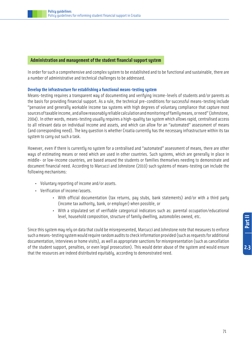#### **Administration and management of the student financial support system**

In order for such a comprehensive and complex sustem to be established and to be functional and sustainable, there are a number of administrative and technical challenges to be addressed.

#### **Develop the infrastructure for establishing a functional means-testing system**

Means-testing requires a transparent way of documenting and verifying income-levels of students and/or parents as the basis for providing financial support. As a rule, the technical pre-conditions for successful means-testing include "pervasive and generally workable income tax systems with high degrees of voluntary compliance that capture most sources of taxable income, and allow reasonably reliable calculation and monitoring of family means, or need" (Johnstone, 2004). In other words, means-testing usually requires a high-quality tax system which allows rapid, centralised access to all relevant data on individual income and assets, and which can allow for an "automated" assessment of means (and corresponding need). The key question is whether Croatia currently has the necessary infrastructure within its tax system to carry out such a task.

However, even if there is currently no system for a centralised and "automated" assessment of means, there are other ways of estimating means or need which are used in other countries. Such systems, which are generally in place in middle- or low-income countries, are based around the students or families themselves needing to demonstrate and document financial need. According to Marcucci and Johnstone (2010) such systems of means-testing can include the following mechanisms:

- Voluntary reporting of income and/or assets.
- Verification of income/assets.
	- With official documentation (tax returns, pay stubs, bank statements) and/or with a third party (income tax authority, bank, or employer) when possible, or
	- With a stipulated set of verifiable categorical indicators such as: parental occupation/educational level, household composition, structure of family dwelling, automobiles owned, etc.

Since this system may rely on data that could be misrepresented, Marcucci and Johnstone note that measures to enforce such a means-testing system would require random audits to check information provided (such as requests for additional documentation, interviews or home visits), as well as appropriate sanctions for misrepresentation (such as cancellation of the student support, penalties, or even legal prosecution). This would deter abuse of the system and would ensure that the resources are indeed distributed equitably, according to demonstrated need.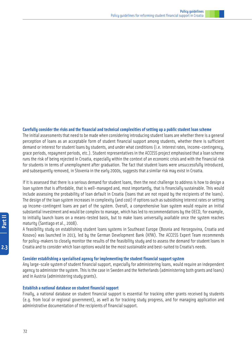#### **Carefully consider the risks and the financial and technical complexities of setting up a public student loan scheme**

The initial assessments that need to be made when considering introducing student loans are whether there is a general perception of loans as an acceptable form of student financial support among students, whether there is sufficient demand or interest for student loans by students, and under what conditions (i.e. interest rates, income-contingency, grace periods, repayment periods, etc.). Student representatives in the ACCESS project emphasised that a loan scheme runs the risk of being rejected in Croatia, especially within the context of an economic crisis and with the financial risk for students in terms of unemployment after graduation. The fact that student loans were unsuccessfully introduced, and subsequently removed, in Slovenia in the early 2000s, suggests that a similar risk may exist in Croatia.

If it is assessed that there is a serious demand for student loans, then the next challenge to address is how to design a loan system that is affordable, that is well-managed and, most importantly, that is financially sustainable. This would include assessing the probability of loan default in Croatia (loans that are not repaid by the recipients of the loans). The design of the loan system increases in complexity (and cost) if options such as subsidising interest rates or setting up income-contingent loans are part of the system. Overall, a comprehensive loan system would require an initial substantial investment and would be complex to manage, which has led to recommendations by the OECD, for example, to initially launch loans on a means-tested basis, but to make loans universally available once the system reaches maturity (Santiago et al., 2008).

A feasibility study on establishing student loans systems in Southeast Europe (Bosnia and Herzegovina, Croatia and Kosovo) was launched in 2013, led by the German Development Bank (KfW). The ACCESS Expert Team recommends for policy-makers to closely monitor the results of the feasibility study and to assess the demand for student loans in Croatia and to consider which loan options would be the most sustainable and best-suited to Croatia's needs.

#### **Consider establishing a specialised agency for implementing the student financial support system**

Any large-scale system of student financial support, especially for administering loans, would require an independent agency to administer the system. This is the case in Sweden and the Netherlands (administering both grants and loans) and in Austria (administering study grants).

#### **Establish a national database on student financial support**

Finally, a national database on student financial support is essential for tracking other grants received by students (e.g. from local or regional government), as well as for tracking study progress, and for managing application and administrative documentation of the recipients of financial support.

 $2.3$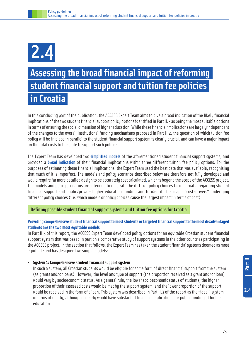# 2.4

# **Assessing the broad financial impact of reforming student financial support and tuition fee policies in Croatia**

In this concluding part of the publication, the ACCESS Expert Team aims to give a broad indication of the likely financial implications of the two student financial support policy options identified in Part II.3 as being the most suitable options in terms of ensuring the social dimension of higher education. While these financial implications are largely independent of the changes to the overall institutional funding mechanisms proposed in Part II.2, the question of which tuition fee policy will be in place in parallel to the student financial support system is clearly crucial, and can have a major impact on the total costs to the state to support such policies.

The Expert Team has developed two **simplified models** of the aforementioned student financial support systems, and provided a **broad indication** of their financial implications within three different tuition fee policy options. For the purposes of estimating these financial implications, the Expert Team used the best data that was available, recognising that much of it is imperfect. The models and policy scenarios described below are therefore not fully developed and would require far more detailed design to be accurately cost calculated**,** which is beyond the scope of the ACCESS project. The models and policy scenarios are intended to illustrate the difficult policy choices facing Croatia regarding student financial support and public/private higher education funding and to identify the major "cost-drivers" underlying different policy choices (i.e. which models or policy choices cause the largest impact in terms of cost).

#### **Defining possible student financial support systems and tuition fee options for Croatia**

#### **Providing comprehensive student financial support to most students or targeted financial support to the most disadvantaged students are the two most equitable models**

In Part II.3 of this report, the ACCESS Expert Team developed policy options for an equitable Croatian student financial support system that was based in part on a comparative study of support systems in the other countries participating in the ACCESS project. In the section that follows, the Expert Team has taken the student financial systems deemed as most equitable and has designed two simple models:

#### • **System 1: Comprehensive student financial support system**

In such a system, all Croatian students would be eligible for some form of direct financial support from the system (as grants and/or loans). However, the level and type of support (the proportion received as a grant and/or loan) would vary by socioeconomic status. As a general rule, the lower socioeconomic status of students, the higher proportion of their assessed costs would be met by the support system, and the lower proportion of the support would be received in the form of a loan. This system was described in Part II.3 of the report as the "ideal" system in terms of equity, although it clearly would have substantial financial implications for public funding of higher education.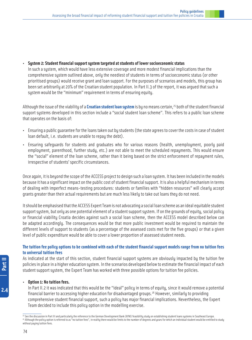• **System 2: Student financial support system targeted at students of lower socioeconomic status**

In such a system, which would have less extensive coverage and more modest financial implications than the comprehensive system outlined above, only the neediest of students in terms of socioeconomic status (or other prioritised groups) would receive grant and loan support. For the purposes of scenarios and models, this group has been set arbitrarily at 20% of the Croatian student population. In Part II.3 of the report, it was argued that such a system would be the "minimum" requirement in terms of ensuring equity.

Although the issue of the viability of a **Croatian student loan system** is by no means certain,25 both of the student financial support systems developed in this section include a "social student loan scheme". This refers to a public loan scheme that operates on the basis of:

- Ensuring a public guarantee for the loans taken out by students (the state agrees to cover the costs in case of student loan default, i.e. students are unable to repay the debt).
- Ensuring safeguards for students and graduates who for various reasons (health, unemployment, poorly paid employment, parenthood, further study, etc.) are not able to meet the scheduled repayments. This would ensure the "social" element of the loan scheme, rather than it being based on the strict enforcement of repayment rules, irrespective of students' specific circumstances.

Once again, it is beyond the scope of the ACCESS project to design such a loan system. It has been included in the models because it has a significant impact on the public cost of student financial support. It is also a helpful mechanism in terms of dealing with imperfect means-testing procedures: students or families with "hidden resources" will clearly accept grants greater than their actual requirements but are much less likely to take out loans they do not need.

It should be emphasised that the ACCESS Expert Team is not advocating a social loan scheme as an ideal equitable student support system, but only as one potential element of a student support system. If on the grounds of equity, social policy or financial viability Croatia decides against such a social loan scheme, then the ACCESS model described below can be adapted accordingly. The consequences would be that more public investment would be required to maintain the different levels of support to students (as a percentage of the assessed costs met for the five groups) or that a given level of public expenditure would be able to cover a lower proportion of assessed student needs.

#### **The tuition fee policy options to be combined with each of the student financial support models range from no tuition fees to universal tuition fees**

As indicated at the start of this section, student financial support systems are obviously impacted by the tuition fee policies in place in a higher education system. In the scenarios developed below to estimate the financial impact of each student support system, the Expert Team has worked with three possible options for tuition fee policies.

#### • **Option 1: No tuition fees.**

In Part II.2 it was indicated that this would be the "ideal" policy in terms of equity, since it would remove a potential financial barrier to accessing higher education for disadvantaged groups.26 However, similarly to providing comprehensive student financial support, such a policy has major financial implications. Nevertheless, the Expert Team decided to include this policy option in the modelling exercise.

 $2.4$ 

<sup>&</sup>lt;sup>25</sup> See the discussion in Part III and particularly the reference to the German Development Bank (KfW) feasibility study on establishing student loans systems in Southeast Europe. <sup>26</sup> Although the policy option is referred to as "no tuition fees", in reality there would be limits to the number of degrees and years for which an individual student would be entitled to study without paying tuition fees.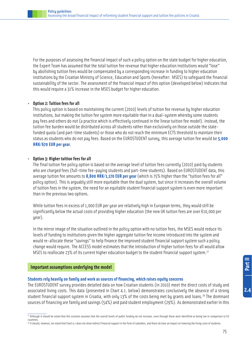For the purposes of assessing the financial impact of such a policy option on the state budget for higher education, the Expert Team has assumed that the total tuition fee revenue that higher education institutions would "lose" by abolishing tuition fees would be compensated by a corresponding increase in funding to higher education institutions by the Croatian Ministry of Science, Education and Sports (hereafter: MSES) to safeguard the financial sustainability of the sector. The assessment of the financial impact of this option (developed below) indicates that this would require a 31% increase in the MSES budget for higher education.

#### • **Option 2: Tuition fees for all**

This policy option is based on maintaining the current (2010) levels of tuition fee revenue by higher education institutions, but making the tuition fee system more equitable than in a dual-system whereby some students pay fees and others do not (a practice which is effectively continued in the linear tuition fee model). Instead, the tuition fee burden would be distributed across all students rather than exclusively on those outside the statefunded quota (and part-time students) or those who do not reach the minimum ECTS threshold to maintain their status as students who do not pay fees. Based on the EUROSTUDENT survey, this average tuition fee would be **5,000 HRK/670 EUR per year**.

#### • **Option 3: Higher tuition fees for all**

The final tuition fee policy option is based on the average level of tuition fees currently (2010) paid by students who are charged fees (full-time fee-paying students and part-time students). Based on EUROSTUDENT data, this average tuition fee amounts to **8,800 HRK/1,170 EUR per year** (which is 75% higher than the "tuition fees for all" policy option). This is arguably still more equitable than the dual system, but since it increases the overall volume of tuition fees in the system, the need for an equitable student financial support system is even more important than in the previous two options.

While tuition fees in excess of 1,000 EUR per year are relatively high in European terms, they would still be significantly below the actual costs of providing higher education (the new UK tuition fees are over  $\epsilon$ 10,000 per year).

In the mirror image of the situation outlined in the policy option with no tuition fees, the MSES would reduce its levels of funding to institutions given the higher aggregate tuition fee income introduced into the system and would re-allocate these "savings" to help finance the improved student financial support system such a policy change would require. The ACCESS model estimates that the introduction of higher tuition fees for all would allow MSES to reallocate 23% of its current higher education budget to the student financial support system.<sup>27</sup>

#### **Important assumptions underlying the model**

#### **Students rely heavily on family and work as sources of financing, which raises equity concerns**

The EUROSTUDENT survey provides detailed data on how Croatian students (in 2010) meet the direct costs of study and associated living costs. This data (presented in Chart 4.1. below) demonstrates conclusively the absence of a strong student financial support system in Croatia, with only 13% of the costs being met by grants and loans.<sup>28</sup> The dominant sources of financing are family and savings (54%) and paid student employment (29%). As demonstrated earlier in this

<sup>28</sup> It should, however, be noted that Chart 4.1 does not show indirect financial support in the form of subsidies, and these do have an impact on lowering the living costs of students.

**2.4Part II**

| Part II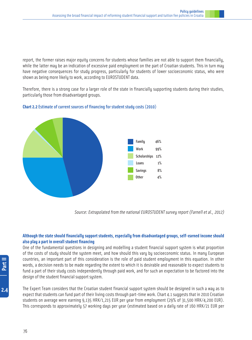report, the former raises major equity concerns for students whose families are not able to support them financially, while the latter may be an indication of excessive paid employment on the part of Croatian students. This in turn may have negative consequences for study progress, particularly for students of lower socioeconomic status, who were shown as being more likely to work, according to EUROSTUDENT data.

Therefore, there is a strong case for a larger role of the state in financially supporting students during their studies, particularly those from disadvantaged groups.



**Chart 2.2** Estimate of current sources of financing for student study costs (2010)

Source: Extrapolated from the national EUROSTUDENT survey report (Farnell et al., 2012)

#### **Although the state should financially support students, especially from disadvantaged groups, self-earned income should also play a part in overall student financing**

One of the fundamental questions in designing and modelling a student financial support system is what proportion of the costs of study should the system meet, and how should this vary by socioeconomic status. In many European countries, an important part of this consideration is the role of paid student employment in this equation. In other words, a decision needs to be made regarding the extent to which it is desirable and reasonable to expect students to fund a part of their study costs independently through paid work, and for such an expectation to be factored into the design of the student financial support system.

The Expert Team considers that the Croatian student financial support system should be designed in such a way as to expect that students can fund part of their living costs through part-time work. Chart 4.1 suggests that in 2010 Croatian students on average were earning 9,135 HRK/1,215 EUR per year from employment (29% of 31,500 HRK/4,200 EUR). This corresponds to approximately 57 working days per year (estimated based on a daily rate of 160 HRK/21 EUR per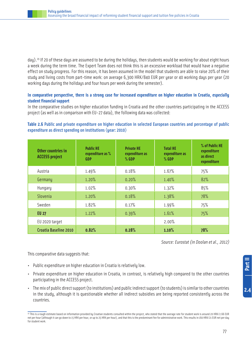day).<sup>29</sup> If 20 of these days are assumed to be during the holidays, then students would be working for about eight hours a week during the term time. The Expert Team does not think this is an excessive workload that would have a negative effect on study progress. For this reason, it has been assumed in the model that students are able to raise 20% of their study and living costs from part-time work: on average 6,300 HRK/840 EUR per year or 40 working days per year (20 working days during the holidays and four hours per week during the semester).

#### **In comparative perspective, there is a strong case for increased expenditure on higher education in Croatia, especially student financial support**

In the comparative studies on higher education funding in Croatia and the other countries participating in the ACCESS project (as well as in comparison with EU-27 data), the following data was collected:

#### **Table 2.6** Public and private expenditure on higher education in selected European countries and percentage of public expenditure as direct spending on institutions (year: 2010)

| Other countries in<br><b>ACCESS project</b> | <b>Public HE</b><br>expenditure as %<br><b>GDP</b> | <b>Private HE</b><br>expenditure as<br>$%$ GDP | <b>Total HE</b><br>expenditure as<br>$%$ GDP | % of Public HE<br>expenditure<br>as direct<br>expenditure |
|---------------------------------------------|----------------------------------------------------|------------------------------------------------|----------------------------------------------|-----------------------------------------------------------|
| Austria                                     | 1.49%                                              | 0.18%                                          | 1.67%                                        | 75%                                                       |
| Germany                                     | 1.20%                                              | 0.20%                                          | 1.40%                                        | 82%                                                       |
| Hungary                                     | 1.02%                                              | 0.30%                                          | 1.32%                                        | 85%                                                       |
| Slovenia                                    | 1.20%                                              | 0.18%                                          | 1.38%                                        | 78%                                                       |
| Sweden                                      | 1.82%                                              | 0.17%                                          | 1.99%                                        | 75%                                                       |
| <b>EU 27</b>                                | 1.22%                                              | 0.39%                                          | 1.61%                                        | 75%                                                       |
| EU 2020 target                              |                                                    |                                                | 2.00%                                        |                                                           |
| Croatia Baseline 2010                       | 0.82%                                              | 0.28%                                          | 1.10%                                        | 78%                                                       |

Source: Eurostat (in Doolan et al., 2012)

This comparative data suggests that:

- Public expenditure on higher education in Croatia is relatively low.
- Private expenditure on higher education in Croatia, in contrast, is relatively high compared to the other countries participating in the ACCESS project.
- The mix of public direct support (to institutions) and public indirect support (to students) is similar to other countries in the study, although it is questionable whether all indirect subsidies are being reported consistently across the countries.

<sup>&</sup>lt;sup>29</sup> This is a rough estimate based on information provided by Croatian students consulted within the project, who stated that the average rate for student work is around 20 HRK/2.66 EUR net per hour (although it can go down to 15 HRK per hour, or up to 25 HRK per hour), and that this is the predominant fee for administrative work. This results in 160 HRK/21 EUR net per day for student work.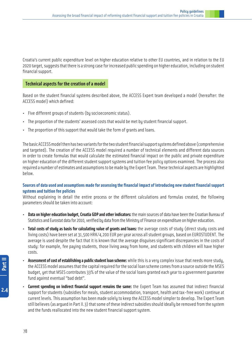Croatia's current public expenditure level on higher education relative to other EU countries, and in relation to the EU 2020 target, suggests that there is a strong case for increased public spending on higher education, including on student financial support.

#### **Technical aspects for the creation of a model**

Based on the student financial systems described above, the ACCESS Expert team developed a model (hereafter: the ACCESS model) which defined:

- Five different groups of students (by socioeconomic status).
- The proportion of the students' assessed costs that would be met by student financial support.
- The proportion of this support that would take the form of grants and loans.

The basic ACCESS model then has two variants for the two student financial support systems defined above (comprehensive and targeted). The creation of the ACCESS model required a number of technical elements and different data sources in order to create formulas that would calculate the estimated financial impact on the public and private expenditure on higher education of the different student support systems and tuition fee policy options examined. The process also required a number of estimates and assumptions to be made by the Expert Team. These technical aspects are highlighted below.

#### **Sources of data used and assumptions made for assessing the financial impact of introducing new student financial support systems and tuition fee policies**

Without explaining in detail the entire process or the different calculations and formulas created, the following parameters should be taken into account:

- **Data on higher education budget, Croatia GDP and other indicators:** the main sources of data have been the Croatian Bureau of Statistics and Eurostat data for 2010, verified by data from the Ministry of Finance on expenditure on higher education.
- **Total costs of study as basis for calculating value of grants and loans:** the average costs of study (direct study costs and living costs) have been set at 31,500 HRK/4,200 EUR per year across all student groups, based on EUROSTUDENT. The average is used despite the fact that it is known that the average disguises significant discrepancies in the costs of study: for example, fee paying students, those living away from home, and students with children will have higher costs.
- **Assessment of cost of establishing a public student loan scheme:** while this is a very complex issue that needs more study, the ACCESS model assumes that the capital required for the social loan scheme comes from a source outside the MSES budget, yet that MSES contributes 33% of the value of the social loans granted each year to a government guarantee fund against eventual "bad debt".
- **Current spending on indirect financial support remains the same:** the Expert Team has assumed that indirect financial support for students (subsidies for meals, student accommodation, transport, health and tax-free work) continue at current levels. This assumption has been made solely to keep the ACCESS model simpler to develop. The Expert Team still believes (as argued in Part II.3) that some of these indirect subsidies should ideally be removed from the system and the funds reallocated into the new student financial support system.

 $2.4$ 

78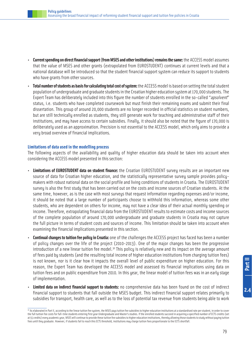- **Current spending on direct financial support (from MSES and other institutions) remains the same:** the ACCESS model assumes that the value of MSES and other grants (extrapolated from EUROSTUDENT) continues at current levels and that a national database will be introduced so that the student financial support system can reduce its support to students who have grants from other sources.
- **Total number of students as basis for calculating total cost of system:** the ACCESS model is based on setting the total student population of undergraduate and graduate students in the Croatian higher education system at 170,000 students. The Expert Team has deliberately included into this figure the number of students enrolled in the so-called "apsolvent" status, i.e. students who have completed coursework but must finish their remaining exams and submit their final dissertation. This group of around 20,000 students are no longer recorded in official statistics on student numbers, but are still technically enrolled as students, they still generate work for teaching and administrative staff of their institutions, and may have access to certain subsidies. Finally, it should also be noted that the figure of 170,000 is deliberately used as an approximation. Precision is not essential to the ACCESS model, which only aims to provide a very broad overview of financial implications.

#### **Limitations of data used in the modelling process**

The following aspects of the availability and quality of higher education data should be taken into account when considering the ACCESS model presented in this section:

- **Limitations of EUROSTUDENT data on student finance:** the Croatian EUROSTUDENT survey results are an important new source of data for Croatian higher education, and the statistically representative survey sample provides policymakers with robust national data on the social profile and living conditions of students in Croatia. The EUROSTUDENT survey is also the first study that has been carried out on the costs and income sources of Croatian students. At the same time, however, as is the case with most surveys that request information regarding expenses and/or income, it should be noted that a large number of participants choose to withhold this information, whereas some other students, who are dependent on others for income, may not have a clear idea of their actual monthly spending or income. Therefore, extrapolating financial data from the EUROSTUDENT results to estimate costs and income sources of the complete population of around 170,000 undergraduate and graduate students in Croatia may not capture the full picture in terms of student costs and sources of income. This limitation should be taken into account when examining the financial implications presented in this section.
- **Continual changes to tuition fee policy in Croatia:** one of the challenges the ACCESS project has faced has been a number of policy changes over the life of the project (2010-2013). One of the major changes has been the progressive introduction of a new linear tuition fee model.<sup>30</sup> This policy is relatively new and its impact on the average amount of fees paid by students (and the resulting total income of higher education institutions from charging tuition fees) is not known, nor is it clear how it impacts the overall level of public expenditure on higher education. For this reason, the Expert Team has developed the ACCESS model and assessed its financial implications using data on tuition fees and on public expenditure from 2010. In this year, the linear model of tuition fees was in an early stage of implementation.
- **Limited data on indirect financial support to students:** no comprehensive data has been found on the cost of indirect financial support to students that fall outside the MSES budget. This indirect financial support relates primarily to subsidies for transport, health care, as well as to the loss of potential tax revenue from students being able to work

<sup>30</sup> As elaborated in Part II, according to the linear tuition fee system, the MSES pays tuition fee subsidies to higher education institutions at a standardised rate per student, in order to cover the full tuition fee costs for full-time students entering first year Undergraduate and Master's studies. If the enrolled students succeed in acquiring a specified number of ECTS credits (set at 55 credits) every academic year, MSES will continue to provide these tuition fee subsidies to higher education institutions, thereby allowing those students to study without paying tuition fees until they graduate. However, if students fail to reach this ECTS threshold, institutions may charge tuition fees proportionate to the ECTS shortfall.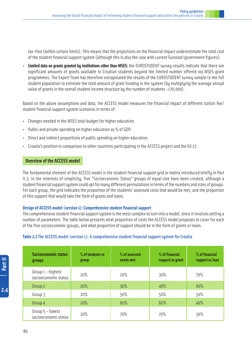tax-free (within certain limits). This means that the projections on the financial impact underestimate the total cost of the student financial support system (although this is also the case with current Eurostat/government figures).

• **Limited data on grants granted by institutions other than MSES:** the EUROSTUDENT survey results indicate that there are significant amounts of grants available to Croatian students beyond the limited number offered via MSES grant programmes. The Expert Team has therefore extrapolated the results of the EUROSTUDENT survey sample to the full student population to estimate the total amount of grant funding in the system (by multiplying the average annual value of grants in the overall student income structure by the number of students -170,000).

Based on the above assumptions and data, the ACCESS model measures the financial impact of different tuition fee/ student financial support system scenarios in terms of:

- Changes needed in the MSES total budget for higher education.
- Public and private spending on higher education as % of GDP.
- Direct and indirect proportions of public spending on higher education.
- Croatia's position in comparison to other countries participating in the ACCESS project and the EU 27.

#### **Overview of the ACCESS model**

The fundamental element of the ACCESS model is the student financial support grid or matrix introduced briefly in Part II.3. In the interests of simplicity, five "Socioeconomic Status" groups of equal size have been created, although a student financial support system could opt for many different permutations in terms of the numbers and sizes of groups. For each group, the grid indicates the proportion of the students' assessed costs that would be met, and the proportion of this support that would take the form of grants and loans.

#### **Design of ACCESS model (version 1): Comprehensive student financial support**

The comprehensive student financial support system is the most complex to turn into a model, since it involves setting a number of parameters. The table below presents what proportion of costs the ACCESS model proposes to cover for each of the five socioeconomic groups, and what proportion of support should be in the form of grants or loans.

#### **Table 2.7** The ACCESS model (version 1): A comprehensive student financial support system for Croatia

| <b>Socioeconomic status</b><br><b>groups</b> | % of students in<br>qroup | % of assessed<br>needs met | % of financial<br>support as grant | % of financial<br>support as loan |
|----------------------------------------------|---------------------------|----------------------------|------------------------------------|-----------------------------------|
| Group 1 - highest<br>socioeconomic status    | 20%                       | 20%                        | 30%                                | 70%                               |
| Group 2                                      | 20%                       | 30%                        | 40%                                | 60%                               |
| Group 3                                      | 20%                       | 50%                        | 50%                                | 50%                               |
| Group 4                                      | 20%                       | 60%                        | 60%                                | 40%                               |
| Group 5 - lowest<br>socioeconomic status     | 20%                       | 70%                        | 70%                                | 30%                               |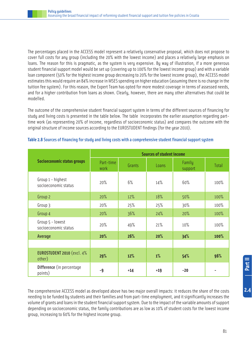The percentages placed in the ACCESS model represent a relatively conservative proposal, which does not propose to cover full costs for any group (including the 20% with the lowest income) and places a relatively large emphasis on loans. The reason for this is pragmatic, as the system is very expensive. By way of illustration, if a more generous student financial support model would be set up (covering up to 100% for the lowest income group) and with a variable loan component (50% for the highest income group decreasing to 20% for the lowest income group), the ACCESS model estimates this would require an 84% increase in MSES spending on higher education (assuming there is no change in the tuition fee system). For this reason, the Expert Team has opted for more modest coverage in terms of assessed needs, and for a higher contribution from loans as shown. Clearly, however, there are many other alternatives that could be modelled.

The outcome of the comprehensive student financial support system in terms of the different sources of financing for study and living costs is presented in the table below. The table incorporates the earlier assumption regarding parttime work (as representing 20% of income, regardless of socioeconomic status) and compares the outcome with the original structure of income sources according to the EUROSTUDENT findings (for the year 2010).

|                                           | <b>Sources of student income</b> |        |       |                   |       |  |
|-------------------------------------------|----------------------------------|--------|-------|-------------------|-------|--|
| <b>Socioeconomic status groups</b>        | Part-time<br>work                | Grants | Loans | Family<br>support | Total |  |
| Group 1 - highest<br>socioeconomic status | 20%                              | 6%     | 14%   | 60%               | 100%  |  |
| Group 2                                   | 20%                              | 12%    | 18%   | 50%               | 100%  |  |
| Group 3                                   | 20%                              | 25%    | 25%   | 30%               | 100%  |  |
| Group 4                                   | 20%                              | 36%    | 24%   | 20%               | 100%  |  |
| Group 5 - lowest<br>socioeconomic status  | 20%                              | 49%    | 21%   | 10%               | 100%  |  |
| Average                                   | 20%                              | 26%    | 20%   | 34%               | 100%  |  |
|                                           |                                  |        |       |                   |       |  |
| EUROSTUDENT 2010 (excl. 4%<br>other)      | 29%                              | 12%    | 1%    | 54%               | 96%   |  |
| Difference (in percentage<br>points)      | -9                               | $+14$  | $+19$ | $-20$             |       |  |

#### **Table 2.8** Sources of financing for study and living costs with a comprehensive student financial support system

The comprehensive ACCESS model as developed above has two major overall impacts: it reduces the share of the costs needing to be funded by students and their families and from part-time employment, and it significantly increases the volume of grants and loans in the student financial support system. Due to the impact of the variable amounts of support depending on socioeconomic status, the family contributions are as low as 10% of student costs for the lowest income group, increasing to 60% for the highest income group.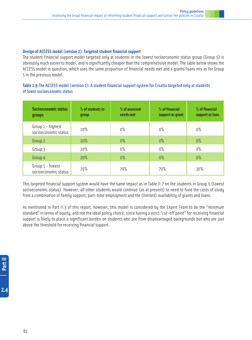#### **Design of ACCESS model (version 2): Targeted student financial support**

The student financial support model targeted only at students in the lowest socioeconomic status group (Group 5) is obviously much easier to model, and is significantly cheaper than the comprehensive model. The table below shows the ACCESS model in question, which uses the same proportion of financial needs met and a grants/loans mix as for Group 5 in the previous model.

#### **Table 2.9** The ACCESS model (version 2): A student financial support system for Croatia targeted only at students of lower socioeconomic status

| <b>Socioeconomic status</b><br><b>groups</b> | % of students in<br>qroup | % of assessed<br>needs met | % of financial<br>support as grant | % of financial<br>support as loan |
|----------------------------------------------|---------------------------|----------------------------|------------------------------------|-----------------------------------|
| Group 1 - highest<br>socioeconomic status    | 20%                       | $0\%$                      | $0\%$                              | $0\%$                             |
| Group 2                                      | 20%                       | $0\%$                      | $0\%$                              | $0\%$                             |
| Group 3                                      | 20%                       | $0\%$                      | $0\%$                              | $0\%$                             |
| Group 4                                      | 20%                       | $0\%$                      | $0\%$                              | $0\%$                             |
| Group 5 - lowest<br>socioeconomic status     | 20%                       | 70%                        | 70%                                | 30%                               |

This targeted financial support system would have the same impact as in Table II.7 on the students in Group 5 (lowest socioeconomic status). However, all other students would continue (as at present) to need to fund the costs of study from a combination of family support, part-time employment and the (limited) availability of grants and loans.

As mentioned in Part II.3 of this report, however, this model is considered by the Expert Team to be the "minimum standard" in terms of equity, and not the ideal policy choice, since having a strict "cut-off point" for receiving financial support is likely to place a significant burden on students who are from disadvantaged backgrounds but who are just above the threshold for receiving financial support.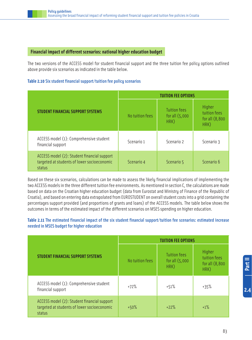#### **Financial impact of different scenarios: national higher education budget**

The two versions of the ACCESS model for student financial support and the three tuition fee policy options outlined above provide six scenarios as indicated in the table below.

#### **Table 2.10** Six student financial support/tuition fee policy scenarios

|                                                                                                      | <b>TUITION FEE OPTIONS</b> |                                                  |                                                     |  |
|------------------------------------------------------------------------------------------------------|----------------------------|--------------------------------------------------|-----------------------------------------------------|--|
| <b>STUDENT FINANCIAL SUPPORT SYSTEMS</b>                                                             | No tuition fees            | <b>Tuition fees</b><br>for all $(5,000)$<br>HRK) | Higher<br>tuition fees<br>for all $(8,800)$<br>HRK) |  |
| ACCESS model (1): Comprehensive student<br>financial support                                         | Scenario 1                 | Scenario 2                                       | Scenario 3                                          |  |
| ACCESS model (2): Student financial support<br>targeted at students of lower socioeconomic<br>status | Scenario 4                 | Scenario 5                                       | Scenario 6                                          |  |

Based on these six scenarios, calculations can be made to assess the likely financial implications of implementing the two ACCESS models in the three different tuition fee environments. As mentioned in section C, the calculations are made based on data on the Croatian higher education budget (data from Eurostat and Ministry of Finance of the Republic of Croatia), and based on entering data extrapolated from EUROSTUDENT on overall student costs into a grid containing the percentages support provided (and proportions of grants and loans) of the ACCESS models. The table below shows the outcomes in terms of the estimated impact of the different scenarios on MSES spending on higher education.

#### **Table 2.11** The estimated financial impact of the six student financial support/tuition fee scenarios: estimated increase needed in MSES budget for higher education

|                                                                                                      | <b>TUITION FEE OPTIONS</b> |                                                  |                                                     |  |  |
|------------------------------------------------------------------------------------------------------|----------------------------|--------------------------------------------------|-----------------------------------------------------|--|--|
| <b>STUDENT FINANCIAL SUPPORT SYSTEMS</b>                                                             | No tuition fees            | <b>Tuition fees</b><br>for all $(5,000)$<br>HRK) | Higher<br>tuition fees<br>for all $(8,800)$<br>HRK) |  |  |
| ACCESS model (1): Comprehensive student<br>financial support                                         | $+72%$                     | $+51%$                                           | $+35%$                                              |  |  |
| ACCESS model (2): Student financial support<br>targeted at students of lower socioeconomic<br>status | $+50%$                     | $+22%$                                           | $+1\%$                                              |  |  |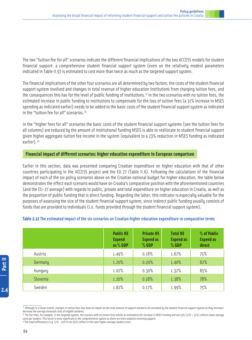The two "tuition fee for all" scenarios indicate the different financial implications of the two ACCESS models for student financial support: a comprehensive student financial support system (even on the relatively modest parameters indicated in Table II.9) is estimated to cost more than twice as much as the targeted support system.

The financial implications of the other four scenarios are all determined by two factors: the costs of the student financial support system involved and changes in total revenue of higher education institutions from charging tuition fees, and the consequences this has for the level of public funding of institutions.<sup>31</sup> In the two scenarios with no tuition fees, the estimated increase in public funding to institutions to compensate for the loss of tuition fees (a 31% increase in MSES spending as indicated earlier) needs to be added to the basic costs of the student financial support sustem as indicated in the "tuition fee for all" scenarios.<sup>32</sup>

In the "higher fees for all" scenarios the basic costs of the student financial support systems (see the tuition fees for all columns) are reduced by the amount of institutional funding MSES is able to reallocate to student financial support given higher aggregate tuition fee income in the system (equivalent to a 23% reduction in MSES funding as indicated earlier).<sup>33</sup>

#### **Financial impact of different scenarios: higher education expenditure in European comparison**

Earlier in this section, data was presented comparing Croatian expenditure on higher education with that of other countries participating in the ACCESS project and the EU 27 (Table II.6). Following the calculations of the financial impact of each of the six policy scenarios above on the Croatian national budget for higher education, the table below demonstrates the effect each scenario would have on Croatia's comparative position with the aforementioned countries (and the EU-27 average) with regards to public, private and total expenditure on higher education in Croatia, as well as the proportion of public funding that is direct funding. Regarding the latter, this indicator is especially valuable for the purposes of assessing the size of the student financial support system, since indirect public funding usually consists of funds that are provided to individuals (i.e. funds provided through the student financial support system).

| Table 2.12 The estimated impact of the six scenarios on Croatian higher education expenditure in comparative terms |  |  |
|--------------------------------------------------------------------------------------------------------------------|--|--|
|                                                                                                                    |  |  |

|          | <b>Public HE</b><br><b>Expend</b><br>as % GDP | <b>Private HE</b><br><b>Expend as</b><br>% GDP | <b>Total HE</b><br><b>Expend as</b><br>% GDP | % of Public<br><b>Expend as</b><br>direct |
|----------|-----------------------------------------------|------------------------------------------------|----------------------------------------------|-------------------------------------------|
| Austria  | 1.49%                                         | 0.18%                                          | 1.67%                                        | 75%                                       |
| Germany  | 1.20%                                         | 0.20%                                          | 1.40%                                        | 82%                                       |
| Hungary  | 1.02%                                         | 0.30%                                          | 1.32%                                        | 85%                                       |
| Slovenia | 1.20%                                         | 0.18%                                          | 1.38%                                        | 78%                                       |
| Sweden   | 1.82%                                         | 0.17%                                          | 1.99%                                        | 75%                                       |

 $2.4$ 

<sup>3&</sup>lt;sup>1</sup> Although to a lesser extent, changes in tuition fees also have an impact on the total amount of support needed to be provided by the student financial support system as they increase/ decrease the average assessed costs of eligible students.

<sup>32</sup> The fact that, for example, in the targeted system, the scenario with no tuition fees entails an estimated 50% increase in MSES funding and not 53% [22% + 31%] reflects lower average costs per student. This factor is more significant in the comprehensive system as there are more students receiving support.

<sup>33</sup> The small differences (e.g. 51% - 23% is not 35%) reflect in this case higher average student costs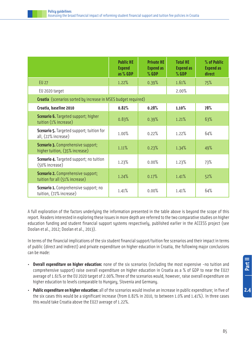|                                                                             | <b>Public HE</b><br><b>Expend</b><br>as % GDP | <b>Private HE</b><br><b>Expend as</b><br>$%$ GDP | <b>Total HE</b><br><b>Expend as</b><br>% GDP | % of Public<br><b>Expend as</b><br>direct |
|-----------------------------------------------------------------------------|-----------------------------------------------|--------------------------------------------------|----------------------------------------------|-------------------------------------------|
| <b>EU 27</b>                                                                | 1.22%                                         | 0.39%                                            | 1.61%                                        | 75%                                       |
| EU 2020 target                                                              |                                               |                                                  | 2.00%                                        |                                           |
| Croatia (scenarios sorted by increase in MSES budget required)              |                                               |                                                  |                                              |                                           |
| Croatia, baseline 2010                                                      | 0.82%                                         | 0.28%                                            | 1.10%                                        | 78%                                       |
| <b>Scenario 6. Targeted support; higher</b><br>tuition (1% increase)        | 0.83%                                         | 0.39%                                            | 1.21%                                        | 63%                                       |
| <b>Scenario 5.</b> Targeted support; tuition for<br>all, (22% increase)     | 1.00%                                         | 0.22%                                            | 1.22%                                        | 64%                                       |
| <b>Scenario 3. Comprehensive support;</b><br>higher tuition, (35% increase) | 1.11%                                         | 0.23%                                            | 1.34%                                        | 49%                                       |
| <b>Scenario 4. Targeted support; no tuition</b><br>(50% increase)           | 1.23%                                         | 0.00%                                            | 1.23%                                        | 73%                                       |
| <b>Scenario 2. Comprehensive support;</b><br>tuition for all (51% increase) | 1.24%                                         | 0.17%                                            | 1.41%                                        | 52%                                       |
| Scenario 1. Comprehensive support; no<br>tuition, (72% increase)            | 1.41%                                         | 0.00%                                            | 1.41%                                        | 64%                                       |

A full exploration of the factors underlying the information presented in the table above is beyond the scope of this report. Readers interested in exploring these issues in more depth are referred to the two comparative studies on higher education funding and student financial support systems respectively, published earlier in the ACCESS project (see Doolan et al., 2012; Doolan et al., 2013).

In terms of the financial implications of the six student financial support/tuition fee scenarios and their impact in terms of public (direct and indirect) and private expenditure on higher education in Croatia, the following major conclusions can be made:

- **Overall expenditure on higher education:** none of the six scenarios (including the most expensive -no tuition and comprehensive support) raise overall expenditure on higher education in Croatia as a % of GDP to near the EU27 average of 1.61% or the EU 2020 target of 2.00%.Three of the scenarios would, however, raise overall expenditure on higher education to levels comparable to Hungary, Slovenia and Germany.
- **Public expenditure on higher education:** all of the scenarios would involve an increase in public expenditure; in five of the six cases this would be a significant increase (from 0.82% in 2010, to between 1.0% and 1.41%). In three cases this would take Croatia above the EU27 average of 1.22%.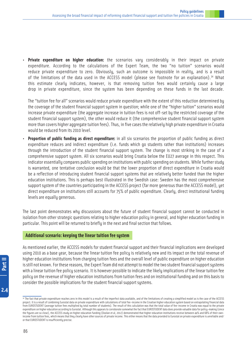• **Private expenditure on higher education:** the scenarios vary considerably in their impact on private expenditure. According to the calculations of the Expert Team, the two "no tuition" scenarios would reduce private expenditure to zero. Obviously, such an outcome is impossible in reality, and is a result of the limitations of the data used in the ACCESS model (please see footnote for an explanation).<sup>34</sup> What this estimate clearly indicates, however, is that removing tuition fees would certainly cause a large drop in private expenditure, since the system has been depending on these funds in the last decade.

The "tuition fee for all" scenarios would reduce private expenditure with the extent of this reduction determined by the coverage of the student financial support system in question; while one of the "higher tuition" scenarios would increase private expenditure (the aggregate increase in tuition fees is not off-set by the restricted coverage of the student financial support system), the other would reduce it (the comprehensive student financial support system more than covers higher aggregate tuition fees). Thus, in five cases the relatively high private expenditure in Croatia would be reduced from its 2010 level.

• **Proportion of public funding as direct expenditure:** in all six scenarios the proportion of public funding as direct expenditure reduces and indirect expenditure (i.e. funds which go students rather than institutions) increases through the introduction of the student financial support system. The change is most striking in the case of a comprehensive support system. All six scenarios would bring Croatia below the EU27 average in this respect. This indicator essentially compares public spending on institutions with public spending on students. While further study is warranted, one tentative conclusion would be that the lower proportion of direct expenditure in Croatia would be a reflection of introducing student financial support systems that are relatively better funded than the higher education institutions. This is perhaps best illustrated in the Swedish case: Sweden has the most comprehensive support system of the countries participating in the ACCESS project (far more generous than the ACCESS model), yet direct expenditure on institutions still accounts for 75% of public expenditure. Clearly, direct institutional funding levels are equally generous.

The last point demonstrates why discussions about the future of student financial support cannot be conducted in isolation from other strategic questions relating to higher education policy in general, and higher education funding in particular. This point will be returned to briefly in the next and final section that follows.

#### **Additional scenario: keeping the linear tuition fee system**

As mentioned earlier, the ACCESS models for student financial support and their financial implications were developed using 2010 as a base year, because the linear tuition fee policy is relatively new and its impact on the total revenue of higher education institutions from charging tuition fees and the overall level of public expenditure on higher education is still not known. For these reasons, the Expert Team did not attempt to model the two student financial support systems with a linear tuition fee policy scenario. It is however possible to indicate the likely implications of the linear tuition fee policy on the revenue of higher education institutions from tuition fees and on institutional funding and on this basis to consider the possible implications for the student financial support systems.

<sup>34</sup> The fact that private expenditure reaches zero in this model is a result of the imperfect data available, and of the limitations of creating a simplified model as is the case of the ACCESS project. It is a result of combining Eurostat data on private expenditure with calculations of total fee-income in the Croatian higher education system based on extrapolating financial data from EUROSTUDENT (average tuition fees multiplied by total number of students). The result of this calculation was that the total value of fee-income in Croatia was equal to the private expenditure on higher education according to Eurostat. Although this appears to corroborate somewhat the fact that EUROSTUDENT data does provide valuable data for policy-making (since the figures are so close), the ACCESS study on higher education funding (Doolan et al, 2012) demonstrated that higher education institutions receive between 44% and 68% of their ownincome from tuition fees, which means that they clearly have other sources of private income. This either means that the data provided to Eurostat on private expenditure is unreliable and/ or that EUROSTUDENT is insufficiently precise.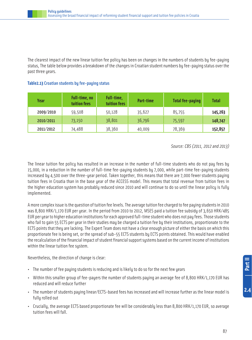The clearest impact of the new linear tuition fee policy has been on changes in the numbers of students by fee-paying status, The table below provides a breakdown of the changes in Croatian student numbers by fee-paying status over the past three years.

| Year      | Full-time, no<br>tuition fees | Full-time,<br>tuition fees | Part-time | <b>Total fee-paying</b> | <b>Total</b> |
|-----------|-------------------------------|----------------------------|-----------|-------------------------|--------------|
| 2009/2010 | 59,508                        | 50,128                     | 35,627    | 85,755                  | 145,263      |
| 2010/2011 | 73,150                        | 38,801                     | 36,796    | 75,597                  | 148,747      |
| 2011/2012 | 74,488                        | 38,360                     | 40,009    | 78,369                  | 152,857      |

#### **Table2.13** Croatian students by fee-paying status

Source: CBS (2011, 2012 and 2013)

The linear tuition fee policy has resulted in an increase in the number of full-time students who do not pay fees by 15,000, in a reduction in the number of full-time fee-paying students by 7,000, while part-time fee-paying students increased by 4,500 over the three-year period. Taken together, this means that there are 7,000 fewer students paying tuition fees in Croatia than in the base year of the ACCESS model. This means that total revenue from tuition fees in the higher education system has probably reduced since 2010 and will continue to do so until the linear policy is fully implemented.

A more complex issue is the question of tuition fee levels. The average tuition fee charged to fee paying students in 2010 was 8,800 HRK/1,170 EUR per year. In the period from 2010 to 2012, MSES paid a tuition fee subsidy of 3,650 HRK/485 EUR per year to higher education institutions for each approved full-time student who does not pay fees. Those students who fail to gain 55 ECTS per year in their studies may be charged a tuition fee by their institutions, proportionate to the ECTS points that they are lacking. The Expert Team does not have a clear enough picture of either the basis on which this proportionate fee is being set, or the spread of sub-55 ECTS students by ECTS points obtained. This would have enabled the recalculation of the financial impact of student financial support systems based on the current income of institutions within the linear tuition fee system.

Nevertheless, the direction of change is clear:

- The number of fee paying students is reducing and is likely to do so for the next few years
- Within this smaller group of fee-payers the number of students paying an average fee of 8,800 HRK/1,170 EUR has reduced and will reduce further
- The number of students paying linear/ECTS-based fees has increased and will increase further as the linear model is fully rolled out
- Crucially, the average ECTS based proportionate fee will be considerably less than 8,800 HRK/1,170 EUR, so average tuition fees will fall.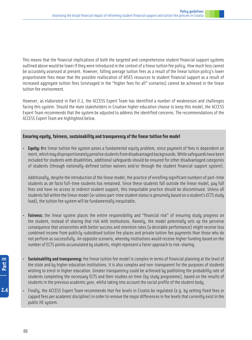This means that the financial implications of both the targeted and comprehensive student financial support systems outlined above would be lower if they were introduced in the context of a linear tuition fee policy. How much less cannot be accurately assessed at present. However, falling average tuition fees as a result of the linear tuition policy's lower proportionate fees mean that the possible reallocation of MSES resources to student financial support as a result of increased aggregate tuition fees (envisaged in the "higher fees for all" scenarios) cannot be achieved in the linear tuition fee environment.

However, as elaborated in Part II.2, the ACCESS Expert Team has identified a number of weaknesses and challenges facing this system. Should the main stakeholders in Croatian higher education choose to keep this model, the ACCESS Expert Team recommends that the system be adjusted to address the identified concerns. The recommendations of the ACCESS Expert Team are highlighted below.

#### **Ensuring equity, fairness, sustainability and transparency of the linear tuition fee model**

• **Equity: t**he linear tuition fee system poses a fundamental equity problem, since payment of fees is dependent on merit, which may disproportionately penalise students from disadvantaged backgrounds. While safeguards have been included for students with disabilities, additional safeguards should be ensured for other disadvantaged categories of students (through nationally-defined tuition waivers and/or through the student financial support system).

Additionally, despite the introduction of the linear model, the practice of enrolling significant numbers of part-time students as de facto full-time students has remained. Since these students fall outside the linear model, pay full fees and have no access to indirect student support, this inequitable practice should be discontinued. Unless all students fall within the linear model (or unless part-time student status is genuinely based on a student's ECTS study load), the tuition fee system will be fundamentally inequitable.

- **Fairness:** the linear system places the entire responsibility and "financial risk" of ensuring study progress on the student, instead of sharing that risk with institutions. Namely, the model potentially sets up the perverse consequence that universities with better success and retention rates (a desirable performance) might receive less combined income from publicly-subsidised tuition fee places and private tuition fee payments than those who do not perform as successfully. An opposite scenario, whereby institutions would receive higher funding based on the number of ECTS points accumulated by students, might represent a fairer approach to risk-sharing.
- **Sustainability and transparency:** the linear tuition fee model is complex in terms of financial planning at the level of the state and by higher education institutions. It is also complex and non-transparent for the purposes of students wishing to enrol in higher education. Greater transparency could be achieved by publishing the probability rate of students completing the necessary ECTS and their studies on time (by study programme), based on the results of students in the previous academic year, whilst taking into account the social profile of the student body.
- Finally, the ACCESS Expert Team recommends that fee levels in Croatia be regulated (e.g. by setting fixed fees or capped fees per academic discipline) in order to remove the major differences in fee levels that currently exist in the public HE system.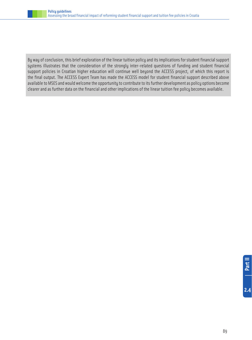

By way of conclusion, this brief exploration of the linear tuition policy and its implications for student financial support systems illustrates that the consideration of the strongly inter-related questions of funding and student financial support policies in Croatian higher education will continue well beyond the ACCESS project, of which this report is the final output. The ACCESS Expert Team has made the ACCESS model for student financial support described above available to MSES and would welcome the opportunity to contribute to its further development as policy options become clearer and as further data on the financial and other implications of the linear tuition fee policy becomes available.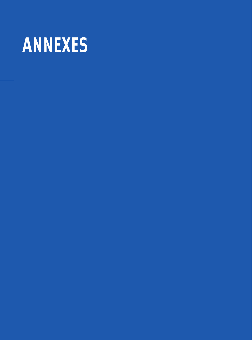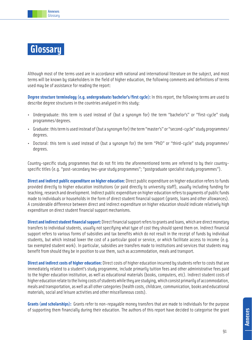

## **Glossary**

Although most of the terms used are in accordance with national and international literature on the subject, and most terms will be known by stakeholders in the field of higher education, the following comments and definitions of terms used may be of assistance for reading the report:

**Degree structure terminology (e.g. undergraduate/bachelor's/first cycle):** In this report, the following terms are used to describe degree structures in the countries analysed in this study:

- Undergraduate: this term is used instead of (but a synonym for) the term "bachelor's" or "first-cycle" study programmes/degrees.
- Graduate: this term is used instead of (but a synonym for) the term "master's" or "second-cycle" study programmes/ degrees.
- Doctoral: this term is used instead of (but a synonym for) the term "PhD" or "third-cycle" study programmes/ degrees.

Country-specific study programmes that do not fit into the aforementioned terms are referred to by their countryspecific titles (e.g. "post-secondary two-year study programmes"; "postgraduate specialist study programmes").

**Direct and indirect public expenditure on higher education:** Direct public expenditure on higher education refers to funds provided directly to higher education institutions (or paid directly to university staff), usually including funding for teaching, research and development. Indirect public expenditure on higher education refers to payments of public funds made to individuals or households in the form of direct student financial support (grants, loans and other allowances). A considerable difference between direct and indirect expenditure on higher education should indicate relatively high expenditure on direct student financial support mechanisms.

**Direct and indirect student financial support:** Direct financial support refers to grants and loans, which are direct monetary transfers to individual students, usually not specifying what type of cost they should spend them on. Indirect financial support refers to various forms of subsidies and tax benefits which do not result in the receipt of funds by individual students, but which instead lower the cost of a particular good or service, or which facilitate access to income (e.g. tax exempted student work). In particular, subsidies are transfers made to institutions and services that students may benefit from should they be in position to use them, such as accommodation, meals and transport.

**Direct and indirect costs of higher education:** Direct costs of higher education incurred by students refer to costs that are immediately related to a student's study programme, include primarily tuition fees and other administrative fees paid to the higher education institution, as well as educational materials (books, computers, etc). Indirect student costs of higher education relate to the living costs of students while they are studying, which consist primarily of accommodation, meals and transportation, as well as all other categories (health costs, childcare, communication, books and educational materials, social and leisure activities and other miscellaneous costs).

**Grants (and scholarships):** Grants refer to non-repayable money transfers that are made to individuals for the purpose of supporting them financially during their education. The authors of this report have decided to categorise the grant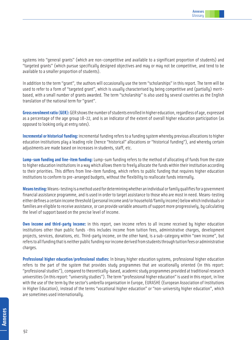systems into "general grants" (which are non-competitive and available to a significant proportion of students) and "targeted grants" (which pursue specifically designed objectives and may or may not be competitive, and tend to be available to a smaller proportion of students).

In addition to the term "grant", the authors will occasionally use the term "scholarships" in this report. The term will be used to refer to a form of "targeted grant", which is usually characterised by being competitive and (partially) meritbased, with a small number of grants awarded. The term "scholarship" is also used by several countries as the English translation of the national term for "grant".

**Gross enrolment ratio (GER):** GER shows the number of students enrolled in higher education, regardless of age, expressed as a percentage of the age group 18-22, and is an indicator of the extent of overall higher education participation (as opposed to looking only at entry rates).

**Incremental or historical funding:** incremental funding refers to a funding system whereby previous allocations to higher education institutions play a leading role (hence "historical" allocations or "historical funding"), and whereby certain adjustments are made based on increases in students, staff, etc.

**Lump-sum funding and line-item funding:** Lump-sum funding refers to the method of allocating of funds from the state to higher education institutions in a way which allows them to freely allocate the funds within their institution according to their priorities. This differs from line-item funding, which refers to public funding that requires higher education institutions to conform to pre-arranged budgets, without the flexibility to reallocate funds internally.

**Means testing:** Means-testing is a method used for determining whether an individual or family qualifies for a government financial assistance programme, and is used in order to target assistance to those who are most in need. Means-testing either defines a certain income threshold (personal income and/or household/family income) below which individuals or families are eligible to receive assistance, or can provide variable amounts of support more progressively, by calculating the level of support based on the precise level of income.

**Own income and third-party income:** in this report, own income refers to all income received by higher education institutions other than public funds -this includes income from tuition fees, administrative charges, development projects, services, donations, etc. Third-party income, on the other hand, is a sub-category within "own income", but refers to all funding that is neither public funding nor income derived from students through tuition fees or administrative charges.

**Professional higher education/professional studies:** In binary higher education systems, professional higher education refers to the part of the system that provides study programmes that are vocationally oriented (in this report: "professional studies"), compared to theoretically-based, academic study programmes provided at traditional research universities (in this report: "university studies"). The term "professional higher education" is used in this report, in line with the use of the term by the sector's umbrella organisation in Europe, EURASHE (European Association of Institutions in Higher Education), instead of the terms "vocational higher education" or "non-university higher education", which are sometimes used internationally.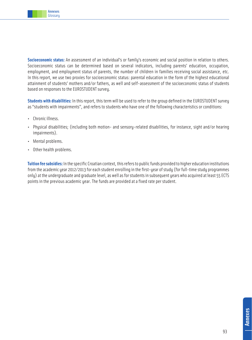

**Socioeconomic status:** An assessment of an individual's or family's economic and social position in relation to others. Socioeconomic status can be determined based on several indicators, including parents' education, occupation, employment, and employment status of parents, the number of children in families receiving social assistance, etc. In this report, we use two proxies for socioeconomic status: parental education in the form of the highest educational attainment of students' mothers and/or fathers, as well and self-assessment of the socioeconomic status of students based on responses to the EUROSTUDENT survey.

**Students with disabilities:** In this report, this term will be used to refer to the group defined in the EUROSTUDENT survey as "students with impairments", and refers to students who have one of the following characteristics or conditions:

- Chronic illness.
- Physical disabilities; (including both motion- and sensory-related disabilities, for instance, sight and/or hearing impairments).
- Mental problems.
- Other health problems.

**Tuition fee subsidies:** In the specific Croatian context, this refers to public funds provided to higher education institutions from the academic year 2012/2013 for each student enrolling in the first-year of study (for full-time study programmes only) at the undergraduate and graduate level, as well as for students in subsequent years who acquired at least 55 ECTS points in the previous academic year. The funds are provided at a fixed rate per student.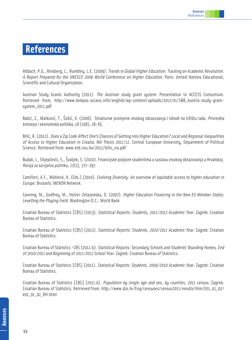### **References**

Altbach, P.G., Reisberg, L., Rumbley, L.E. (2009). Trends in Global Higher Education: Tracking an Academic Revolution. A Report Prepared for the UNESCO 2009 World Conference on Higher Education. Paris: United Nations Educational, Scientific and Cultural Organization.

Austrian Study Grants Authority (2011). The Austrian study grant system. Presentation to ACCESS Consortium. Retrieved from; http://www.tempus-access.info/english/wp-content/uploads/2012/01/SBB\_Austria-study-grantsystem\_2011.pdf

Babić, Z., Matković, T., Šošić, V. (2006). Strukturne promjene visokog obrazovanja i ishodi na tržištu rada. Privredna kretanja i ekonomska politika, 16 (108), 26-65.

Bilić, R. (2012). Does a Zip Code Affect One's Chances of Getting into Higher Education? Local and Regional Inequalities of Access to Higher Education in Croatia. MA Thesis 2011/12. Central European University, Department of Political Science. Retrieved from: www.etd.ceu.hu/2012/bilic\_ria.pdf

Budak, J., Slijepčević, S., Švaljek, S. (2010). Financijske potpore studentima u sustavu visokog obrazovanja u Hrvatskoj. Revija za socijalnu politiku, 17(2), 277-297.

Camilleri, A.F., Mühleck, K. (Eds.) (2010). Evolving Diversity: An overview of equitable access to higher education in Europe. Brussels: MENON Network.

Canning, M., Godfrey, M., Holzer-Zelazewska, D. (2007). Higher Education Financing in the New EU Member States: Levelling the Playing Field. Washington D.C.: World Bank

Croatian Bureau of Statistics [CBS] (2013). Statistical Reports: Students, 2011/2012 Academic Year. Zagreb: Croatian Bureau of Statistics.

Croatian Bureau of Statistics [CBS] (2012). Statistical Reports: Students, 2010/2011 Academic Year. Zagreb: Croatian Bureau of Statistics.

Croatian Bureau of Statistics -CBS (2012.b). Statistical Reports: Secondary Schools and Students' Boarding Homes, End of 2010/2011 and Beginning of 2011/2012 School Year. Zagreb: Croatian Bureau of Statistics.

Croatian Bureau of Statistics [CBS] (2011). Statistical Reports: Students, 2009/2010 Academic Year. Zagreb: Croatian Bureau of Statistics.

Croatian Bureau of Statistics [CBS] (2011.b). Population by single age and sex, by counties, 2011 census. Zagreb: Croatian Bureau of Statistics. Retrieved from: http://www.dzs.hr/Eng/censuses/census2011/results/htm/E01\_01\_02/ e01\_01\_02\_RH.html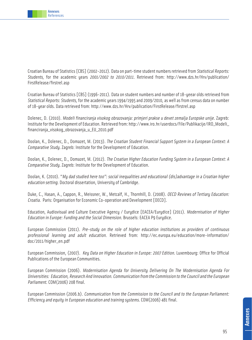

Croatian Bureau of Statistics [CBS] (2002-2012). Data on part-time student numbers retrieved from Statistical Reports: Students, for the academic years 2001/2002 to 2010/2011. Retrieved from: http://www.dzs.hr/Hrv/publication/ FirstRelease/firstrel.asp

Croatian Bureau of Statistics [CBS] (1996-2011). Data on student numbers and number of 18-yeear olds retrieved from Statistical Reports: Students, for the academic years 1994/1995 and 2009/2010, as well as from census data on number of 18-year olds. Data retrieved from: http://www.dzs.hr/Hrv/publication/FirstRelease/firstrel.asp

Dolenec, D. (2010). Modeli financiranja visokog obrazovanja: primjeri prakse u devet zemalja Europske unije. Zagreb: Institute for the Development of Education. Retrieved from: http://www.iro.hr/userdocs/File/Publikacije/IRO\_Modeli\_ financiranja\_visokog\_obrazovanja\_u\_EU\_2010.pdf

Doolan, K., Dolenec, D., Domazet, M. (2013). The Croatian Student Financial Support System in a European Context: A Comparative Study. Zagreb: Institute for the Development of Education.

Doolan, K., Dolenec, D., Domazet, M. (2012). The Croatian Higher Education Funding System in a European Context: A Comparative Study. Zagreb: Institute for the Development of Education.

Doolan, K. (2010). "My dad studied here too": social inequalities and educational (dis)advantage in a Croatian higher education setting. Doctoral dissertation, University of Cambridge.

Duke, C., Hasan, A., Cappon, R., Meissner, W., Metcalf, H., Thornhill, D. (2008). OECD Reviews of Tertiary Education: Croatia. Paris: Organisation for Economic Co-operation and Development [OECD].

Education, Audiovisual and Culture Executive Agency / Eurydice [EACEA/Eurydice] (2011). Modernisation of Higher Education in Europe: Funding and the Social Dimension. Brussels: EACEA P9 Eurydice.

European Commission (2011). Pre-study on the role of higher education institutions as providers of continuous professional learning and adult education. Retrieved from: http://ec.europa.eu/education/more-information/ doc/2011/higher\_en.pdf

European Commission, (2007). Key Data on Higher Education in Europe: 2007 Edition. Luxembourg: Office for Official Publications of the European Communities.

European Commission (2006). Modernisation Agenda for University Delivering On The Modernisation Agenda For Universities: Education, Research And Innovation. Communication from the Commission to the Council and the European Parliament. COM(2006) 208 final.

European Commission (2006.b). Communication from the Commission to the Council and to the European Parliament: Efficiency and equity in European education and training systems. COM(2006) 481 final.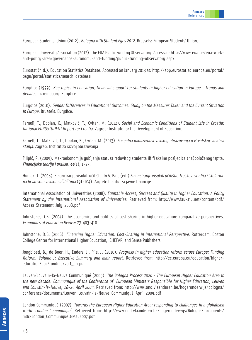European Students' Union (2012). Bologna with Student Eyes 2012. Brussels: European Students' Union.

European University Association (2012). The EUA Public Funding Observatory. Access at: http://www.eua.be/eua-workand-policy-area/governance-autonomy-and-funding/public-funding-observatory.aspx

Eurostat (n.d.). Education Statistics Database. Accessed on January 2013 at: http://epp.eurostat.ec.europa.eu/portal/ page/portal/statistics/search\_database

Eurydice (1999). Key topics in education, financial support for students in higher education in Europe - Trends and debates. Luxembourg: Eurydice.

Eurydice (2010). Gender Differences in Educational Outcomes: Study on the Measures Taken and the Current Situation in Europe. Brussels: Eurydice.

Farnell, T., Doolan, K., Matković, T., Cvitan, M. (2012). Social and Economic Conditions of Student Life in Croatia: National EUROSTUDENT Report for Croatia. Zagreb: Institute for the Development of Education.

Farnell, T., Matković, T., Doolan, K., Cvitan, M. (2013). Socijalna inkluzivnost visokog obrazovanja u Hrvatskoj: analiza stanja. Zagreb: Institut za razvoj obrazovanja

Filipić, P. (2009). Makroekonomija gubljenja statusa redovitog studenta ili fi skalne posljedice (ne)položenog ispita. Financijska teorija i praksa, 33(1), 1-23.

Hunjak, T. (2008). Financiranje visokih učilišta. In A. Bajo (ed.) Financiranje visokih učilišta: Troškovi studija i školarine na hrvatskim visokim učilištima (91-104). Zagreb: Institut za javne financije.

International Association of Universities (2008). Equitable Access, Success and Quality in Higher Education: A Policy Statement by the International Association of Universities. Retrieved from: http://www.iau-aiu.net/content/pdf/ Access\_Statement\_July\_2008.pdf

Johnstone, D.B. (2004). The economics and politics of cost sharing in higher education: comparative perspectives. Economics of Education Review 23, 403-410.

Johnstone, D.B. (2006). Financing Higher Education: Cost-Sharing in International Perspective. Rotterdam: Boston College Center for International Higher Education, ICHEFAP, and Sense Publishers.

Jongbloed, B., de Boer, H., Enders, J., File, J. (2010). Progress in higher education reform across Europe: Funding Reform. Volume 1: Executive Summary and main report. Retrieved from: http://ec.europa.eu/education/highereducation/doc/funding/vol1\_en.pdf

Leuven/Louvain-la-Neuve Communiqué (2009). The Bologna Process 2020 - The European Higher Education Area in the new decade: Communiqué of the Conference of European Ministers Responsible for Higher Education, Leuven and Louvain-la-Neuve, 28-29 April 2009. Retrieved from: http://www.ond.vlaanderen.be/hogeronderwijs/bologna/ conference/documents/Leuven\_Louvain-la-Neuve\_Communiqué\_April\_2009.pdf

London Communiqué (2007). Towards the European Higher Education Area: responding to challenges in a globalised world. London Communiqué. Retrieved from: http://www.ond.vlaanderen.be/hogeronderwijs/Bologna/documents/ mdc/London\_Communique18May2007.pdf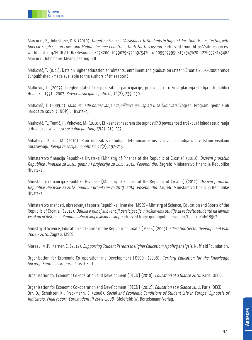Marcucci, P., Johnstone, D.B. (2010). Targeting Financial Assistance to Students in Higher Education: Means Testing with Special Emphasis on Low- and Middle-Income Countries. Draft for Discussion. Retrieved from: http://siteresources. worldbank.org/EDUCATION/Resources/278200-1099079877269/547664-1099079956815/547670-1276537814548/ Marcucci\_Johnstone\_Means\_testing.pdf

Matković, T. (n.d.). Data on higher education enrolments, enrolment and graduation rates in Croatia 2005-2009 trends (unpublished -made available to the authors of this report).

Matković, T. (2009). Pregled statističkih pokazatelja participacije, prolaznosti i režima plaćanja studija u Republici Hrvatskoj 1991.-2007. Revija za socijalnu politiku, 16(2), 239-250.

Matković, T. (2009.b). Mladi između obrazovanja i zapošljavanja: isplati li se školovati? Zagreb: Program Ujedinjenih naroda za razvoj (UNDP) u Hrvatskoj.

Matković. T., Tomić, I., Vehovec, M. (2010). Efikasnost naspram dostupnosti? O povezanosti troškova i ishoda studiranja u Hrvatskoj. Revija za socijalnu politiku, 17(2), 215-237.

Mihaljević Kosor, M. (2010). Rani odlazak sa studija: determinante nezavršavanja studija u hrvatskom visokom obrazovanju. Revija za socijalnu politiku, 17(2), 197-213.

Ministarstvo financija Republike Hrvatske [Ministry of Finance of the Republic of Croatia] (2010). Državni proračun Republike Hrvatske za 2010. godinu i projekcije za 2011. 2012. Posebni dio. Zagreb: Ministarstvo financija Republike Hrvatske.

Ministarstvo financija Republike Hrvatske [Ministry of Finance of the Republic of Croatia] (2012). Državni proračun Republike Hrvatske za 2012. godinu i projekcije za 2013. 2014. Posebni dio. Zagreb: Ministarstvo financija Republike Hrvatske.

Ministarstvo znanosti, obrazovanja i sporta Republike Hrvatske [MSES - Ministry of Science, Education and Sports of the Republic of Croatia] (2012). Odluka o punoj subvenciji participacije u troškovima studija za redovite studente na javnim visokim učilištima u Republici Hrvatskoj u akademskoj. Retrieved from: godinipublic.mzos.hr/fgs.axd?id=18967

Ministry of Science, Education and Sports of the Republic of Croatia [MSES] (2005). Education Sector Development Plan 2005 - 2010. Zagreb: MSES.

Moreau, M.P., Kerner, C. (2012). Supporting Student Parents in Higher Education: A policy analysis. Nuffield Foundation.

Organisation for Economic Co-operation and Development [OECD] (2008). Tertiary Education for the Knowledge Society: Synthesis Report. Paris: OECD.

Organisation for Economic Co-operation and Development [OECD] (2010). Education at a Glance 2010. Paris: OECD.

Organisation for Economic Co-operation and Development [OECD] (2012). Education at a Glance 2012. Paris: OECD. Orr, D., Schnitzer, K., Frackmann, E. (2008). Social and Economic Conditions of Student Life in Europe. Synopsis of indicators. Final report. Eurostudent III 2005-2008. Bielefeld: W. Bertelsmann Verlag.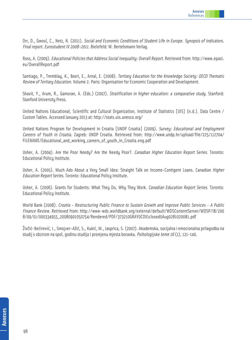

Orr, D., Gwosć, C., Netz, N. (2011). Social and Economic Conditions of Student Life in Europe. Synopsis of indicators. Final report. Eurostudent IV 2008-2011. Bielefeld: W. Bertelsmann Verlag.

Ross, A. (2009). Educational Policies that Address Social Inequality: Overall Report. Retrieved from: http://www.epasi. eu/OverallReport.pdf

Santiago, P., Tremblay, K., Basri, E., Arnal, E. (2008). Tertiary Education for the Knowledge Society: OECD Thematic Review of Tertiary Education. Volume 2. Paris: Organisation for Economic Cooperation and Development.

Shavit, Y., Arum, R., Gamoran, A. (Eds.) (2007). Stratification in higher education: a comparative study. Stanford: Stanford University Press.

United Nations Educational, Scientific and Cultural Organization, Institute of Statistics [UIS] (n.d.). Data Centre / Custom Tables. Accessed January 2013 at: http://stats.uis.unesco.org/

United Nations Program for Development in Croatia [UNDP Croatia] (2009). Survey: Educational and Employment Careers of Youth in Croatia. Zagreb: UNDP Croatia. Retrieved from: http://www.undp.hr/upload/file/225/112704/ FILENAME/Educational\_and\_working\_careers\_of\_youth\_in\_Croatia.eng.pdf

Usher, A. (2004). Are the Poor Needu? Are the Needu Poor?. Canadian Higher Education Report Series. Toronto: Educational Policy Institute.

Usher, A. (2005). Much Ado About a Very Small Idea: Straight Talk on Income-Contigent Loans. Canadian *Higher* Education Report Series. Toronto: Educational Policy Institute.

Usher, A. (2006). Grants for Students: What They Do, Why They Work. Canadian Education Report Series. Toronto: Educational Policy Institute.

World Bank (2008). Croatia - Restructuring Public Finance to Sustain Growth and Improve Public Services - A Public Finance Review. Retrieved from: http://www-wds.worldbank.org/external/default/WDSContentServer/WDSP/IB/200 8/09/01/000334955\_20080901050754/Rendered/PDF/373210GRAY0COV1closed0Aug0281020081.pdf

Živčić-Bećirević, I., Smojver-Ažić, S., Kukić, M., Jasprica, S. (2007). Akademska, socijalna i emocionalna prilagodba na studij s obzirom na spol, godinu studija i promjenu mjesta boravka. Psihologijske teme 16 (1), 121-140.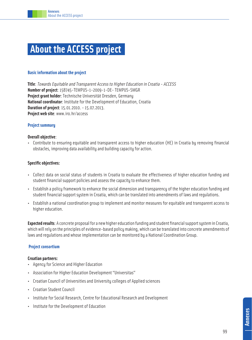# **About the ACCESS project�**

#### **Basic information about the project**

**Title**: Towards Equitable and Transparent Access to Higher Education in Croatia - ACCESS **Number of project**: 158745-TEMPUS-1-2009-1-DE- TEMPUS-SMGR **Project grant holder**: Technische Universität Dresden, Germany **National coordinator**: Institute for the Development of Education, Croatia **Duration of project**: 15.01.2010. - 15.07.2013. **Project web site**: www.iro.hr/access

#### **Project summary**

#### **Overall objective**:

• Contribute to ensuring equitable and transparent access to higher education (HE) in Croatia by removing financial obstacles, improving data availability and building capacity for action.

#### **Specific objectives:**

- Collect data on social status of students in Croatia to evaluate the effectiveness of higher education funding and student financial support policies and assess the capacity to enhance them.
- Establish a policy framework to enhance the social dimension and transparency of the higher education funding and student financial support system in Croatia, which can be translated into amendments of laws and regulations.
- Establish a national coordination group to implement and monitor measures for equitable and transparent access to higher education.

**Expected results**: A concrete proposal for a new higher education funding and student financial support system in Croatia, which will rely on the principles of evidence-based policy making, which can be translated into concrete amendments of laws and regulations and whose implementation can be monitored by a National Coordination Group.

#### **Project consortium**

#### **Croatian partners:**

- Agency for Science and Higher Education
- Association for Higher Education Development "Universitas"
- Croatian Council of Universities and University colleges of Applied sciences
- Croatian Student Council
- Institute for Social Research, Centre for Educational Research and Development
- Institute for the Development of Education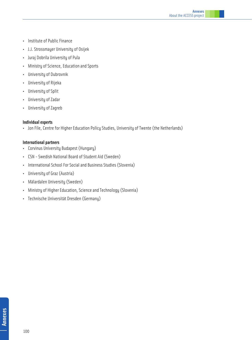- Institute of Public Finance
- J.J. Strossmayer University of Osijek
- Juraj Dobrila University of Pula
- Ministry of Science, Education and Sports
- University of Dubrovnik
- University of Rijeka
- University of Split
- University of Zadar
- University of Zagreb

#### **Individual experts**

• Jon File, Centre for Higher Education Policy Studies, University of Twente (the Netherlands)

#### **International partners**

- Corvinus University Budapest (Hungary)
- CSN Swedish National Board of Student Aid (Sweden)
- International School For Social and Business Studies (Slovenia)
- University of Graz (Austria)
- Mälardalen University (Sweden)
- Ministry of Higher Education, Science and Technology (Slovenia)
- Technische Universität Dresden (Germany)